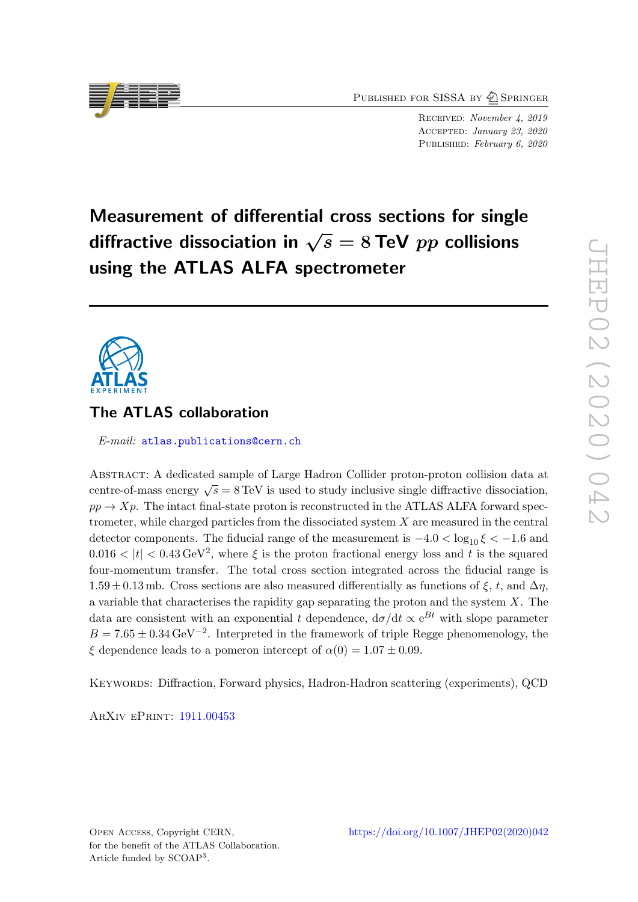PUBLISHED FOR SISSA BY 2 SPRINGER

Received: November 4, 2019 Accepted: January 23, 2020 PUBLISHED: February 6, 2020

# Measurement of differential cross sections for single diffractive dissociation in  $\sqrt{s} = 8$  TeV  $pp$  collisions using the ATLAS ALFA spectrometer

# The ATLAS collaboration

E-mail: [atlas.publications@cern.ch](mailto:atlas.publications@cern.ch)

Abstract: A dedicated sample of Large Hadron Collider proton-proton collision data at centre-of-mass energy  $\sqrt{s} = 8 \text{ TeV}$  is used to study inclusive single diffractive dissociation,  $pp \rightarrow Xp$ . The intact final-state proton is reconstructed in the ATLAS ALFA forward spectrometer, while charged particles from the dissociated system  $X$  are measured in the central detector components. The fiducial range of the measurement is  $-4.0 < \log_{10} \xi < -1.6$  and  $0.016 < |t| < 0.43 \,\text{GeV}^2$ , where  $\xi$  is the proton fractional energy loss and t is the squared four-momentum transfer. The total cross section integrated across the fiducial range is  $1.59 \pm 0.13$  mb. Cross sections are also measured differentially as functions of  $\xi$ ,  $t$ , and  $\Delta \eta$ , a variable that characterises the rapidity gap separating the proton and the system  $X$ . The data are consistent with an exponential t dependence,  $d\sigma/dt \propto e^{Bt}$  with slope parameter  $B = 7.65 \pm 0.34 \,\text{GeV}^{-2}$ . Interpreted in the framework of triple Regge phenomenology, the  $\xi$  dependence leads to a pomeron intercept of  $\alpha(0) = 1.07 \pm 0.09$ .

Keywords: Diffraction, Forward physics, Hadron-Hadron scattering (experiments), QCD

ArXiv ePrint: [1911.00453](https://arxiv.org/abs/1911.00453)

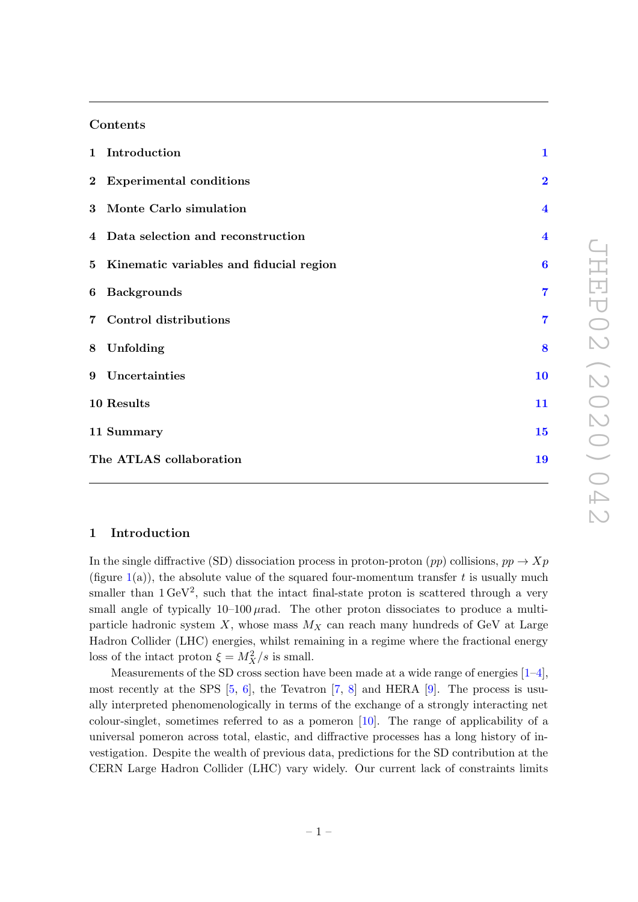### Contents

| 1 Introduction                            | $\mathbf{1}$            |
|-------------------------------------------|-------------------------|
| 2 Experimental conditions                 | $\overline{2}$          |
| 3 Monte Carlo simulation                  | $\overline{\mathbf{4}}$ |
| 4 Data selection and reconstruction       | $\overline{\mathbf{4}}$ |
| 5 Kinematic variables and fiducial region | $\boldsymbol{6}$        |
| 6 Backgrounds                             | $\overline{7}$          |
| 7 Control distributions                   | $\overline{7}$          |
| 8 Unfolding                               | 8                       |
| 9 Uncertainties                           | 10                      |
| 10 Results                                | 11                      |
| 11 Summary                                | 15                      |
| The ATLAS collaboration                   | 19                      |

# <span id="page-1-0"></span>1 Introduction

In the single diffractive (SD) dissociation process in proton-proton  $(pp)$  collisions,  $pp \to Xp$ (figure  $1(a)$  $1(a)$ ), the absolute value of the squared four-momentum transfer t is usually much smaller than  $1 \text{ GeV}^2$ , such that the intact final-state proton is scattered through a very small angle of typically  $10-100 \mu$ rad. The other proton dissociates to produce a multiparticle hadronic system  $X$ , whose mass  $M_X$  can reach many hundreds of GeV at Large Hadron Collider (LHC) energies, whilst remaining in a regime where the fractional energy loss of the intact proton  $\xi = M_X^2/s$  is small.

Measurements of the SD cross section have been made at a wide range of energies  $[1-4]$  $[1-4]$ , most recently at the SPS  $[5, 6]$  $[5, 6]$  $[5, 6]$ , the Tevatron  $[7, 8]$  $[7, 8]$  $[7, 8]$  and HERA  $[9]$ . The process is usually interpreted phenomenologically in terms of the exchange of a strongly interacting net colour-singlet, sometimes referred to as a pomeron [\[10\]](#page-16-7). The range of applicability of a universal pomeron across total, elastic, and diffractive processes has a long history of investigation. Despite the wealth of previous data, predictions for the SD contribution at the CERN Large Hadron Collider (LHC) vary widely. Our current lack of constraints limits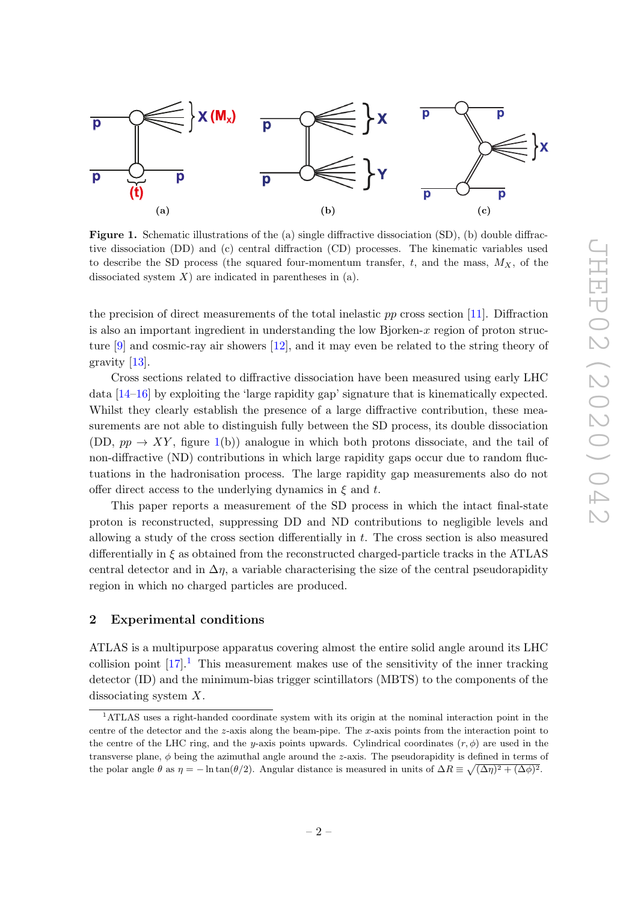<span id="page-2-1"></span>

Figure 1. Schematic illustrations of the (a) single diffractive dissociation (SD), (b) double diffractive dissociation (DD) and (c) central diffraction (CD) processes. The kinematic variables used to describe the SD process (the squared four-momentum transfer,  $t$ , and the mass,  $M_X$ , of the dissociated system  $X$ ) are indicated in parentheses in (a).

the precision of direct measurements of the total inelastic  $pp$  cross section [\[11\]](#page-17-0). Diffraction is also an important ingredient in understanding the low Bjorken- $x$  region of proton structure [\[9\]](#page-16-6) and cosmic-ray air showers [\[12\]](#page-17-1), and it may even be related to the string theory of gravity [\[13\]](#page-17-2).

Cross sections related to diffractive dissociation have been measured using early LHC data [\[14–](#page-17-3)[16\]](#page-17-4) by exploiting the 'large rapidity gap' signature that is kinematically expected. Whilst they clearly establish the presence of a large diffractive contribution, these measurements are not able to distinguish fully between the SD process, its double dissociation (DD,  $pp \rightarrow XY$ , figure [1\(](#page-2-1)b)) analogue in which both protons dissociate, and the tail of non-diffractive (ND) contributions in which large rapidity gaps occur due to random fluctuations in the hadronisation process. The large rapidity gap measurements also do not offer direct access to the underlying dynamics in  $\xi$  and t.

This paper reports a measurement of the SD process in which the intact final-state proton is reconstructed, suppressing DD and ND contributions to negligible levels and allowing a study of the cross section differentially in  $t$ . The cross section is also measured differentially in  $\xi$  as obtained from the reconstructed charged-particle tracks in the ATLAS central detector and in  $\Delta \eta$ , a variable characterising the size of the central pseudorapidity region in which no charged particles are produced.

#### <span id="page-2-0"></span>2 Experimental conditions

ATLAS is a multipurpose apparatus covering almost the entire solid angle around its LHC collision point  $[17]$ .<sup>[1](#page-2-2)</sup> This measurement makes use of the sensitivity of the inner tracking detector (ID) and the minimum-bias trigger scintillators (MBTS) to the components of the dissociating system X.

<span id="page-2-2"></span><sup>1</sup>ATLAS uses a right-handed coordinate system with its origin at the nominal interaction point in the centre of the detector and the z-axis along the beam-pipe. The x-axis points from the interaction point to the centre of the LHC ring, and the y-axis points upwards. Cylindrical coordinates  $(r, \phi)$  are used in the transverse plane,  $\phi$  being the azimuthal angle around the z-axis. The pseudorapidity is defined in terms of the polar angle  $\theta$  as  $\eta = -\ln \tan(\theta/2)$ . Angular distance is measured in units of  $\Delta R \equiv \sqrt{(\Delta \eta)^2 + (\Delta \phi)^2}$ .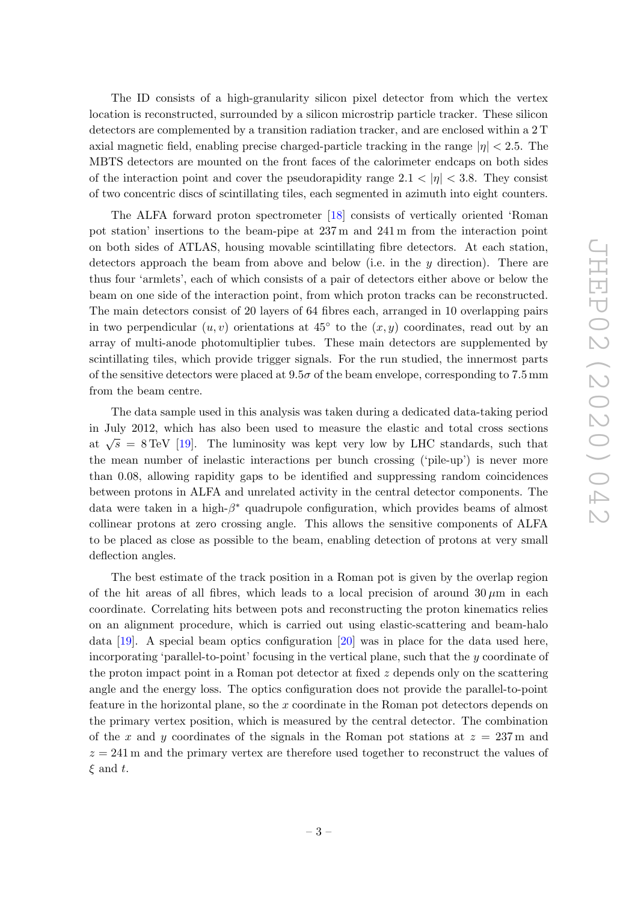The ID consists of a high-granularity silicon pixel detector from which the vertex location is reconstructed, surrounded by a silicon microstrip particle tracker. These silicon detectors are complemented by a transition radiation tracker, and are enclosed within a 2 T axial magnetic field, enabling precise charged-particle tracking in the range  $|\eta| < 2.5$ . The MBTS detectors are mounted on the front faces of the calorimeter endcaps on both sides of the interaction point and cover the pseudorapidity range  $2.1 < |\eta| < 3.8$ . They consist of two concentric discs of scintillating tiles, each segmented in azimuth into eight counters.

The ALFA forward proton spectrometer [\[18\]](#page-17-6) consists of vertically oriented 'Roman pot station' insertions to the beam-pipe at 237 m and 241 m from the interaction point on both sides of ATLAS, housing movable scintillating fibre detectors. At each station, detectors approach the beam from above and below (i.e. in the  $y$  direction). There are thus four 'armlets', each of which consists of a pair of detectors either above or below the beam on one side of the interaction point, from which proton tracks can be reconstructed. The main detectors consist of 20 layers of 64 fibres each, arranged in 10 overlapping pairs in two perpendicular  $(u, v)$  orientations at 45<sup>°</sup> to the  $(x, y)$  coordinates, read out by an array of multi-anode photomultiplier tubes. These main detectors are supplemented by scintillating tiles, which provide trigger signals. For the run studied, the innermost parts of the sensitive detectors were placed at  $9.5\sigma$  of the beam envelope, corresponding to 7.5 mm from the beam centre.

The data sample used in this analysis was taken during a dedicated data-taking period in July 2012, which has also been used to measure the elastic and total cross sections at  $\sqrt{s}$  = 8 TeV [\[19\]](#page-17-7). The luminosity was kept very low by LHC standards, such that the mean number of inelastic interactions per bunch crossing ('pile-up') is never more than 0.08, allowing rapidity gaps to be identified and suppressing random coincidences between protons in ALFA and unrelated activity in the central detector components. The data were taken in a high- $\beta^*$  quadrupole configuration, which provides beams of almost collinear protons at zero crossing angle. This allows the sensitive components of ALFA to be placed as close as possible to the beam, enabling detection of protons at very small deflection angles.

The best estimate of the track position in a Roman pot is given by the overlap region of the hit areas of all fibres, which leads to a local precision of around  $30 \mu m$  in each coordinate. Correlating hits between pots and reconstructing the proton kinematics relies on an alignment procedure, which is carried out using elastic-scattering and beam-halo data  $[19]$ . A special beam optics configuration  $[20]$  was in place for the data used here, incorporating 'parallel-to-point' focusing in the vertical plane, such that the y coordinate of the proton impact point in a Roman pot detector at fixed  $z$  depends only on the scattering angle and the energy loss. The optics configuration does not provide the parallel-to-point feature in the horizontal plane, so the x coordinate in the Roman pot detectors depends on the primary vertex position, which is measured by the central detector. The combination of the x and y coordinates of the signals in the Roman pot stations at  $z = 237$  m and  $z = 241$  m and the primary vertex are therefore used together to reconstruct the values of  $\xi$  and t.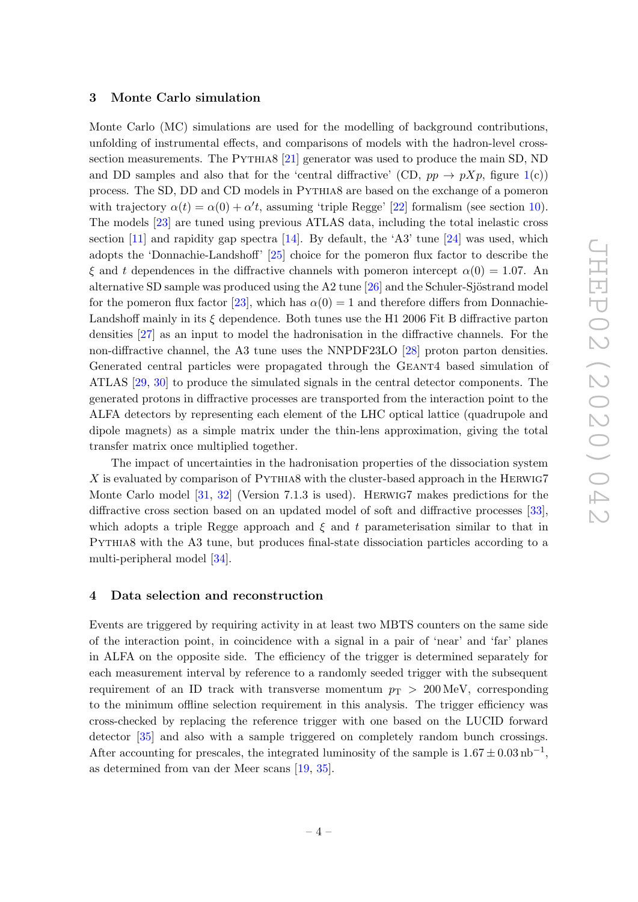#### <span id="page-4-0"></span>3 Monte Carlo simulation

Monte Carlo (MC) simulations are used for the modelling of background contributions, unfolding of instrumental effects, and comparisons of models with the hadron-level cross-section measurements. The PYTHIA8 [\[21\]](#page-17-9) generator was used to produce the main SD, ND and DD samples and also that for the 'central diffractive' (CD,  $pp \rightarrow pXp$ , figure [1\(](#page-2-1)c)) process. The SD, DD and CD models in Pythia8 are based on the exchange of a pomeron with trajectory  $\alpha(t) = \alpha(0) + \alpha' t$ , assuming 'triple Regge' [\[22\]](#page-17-10) formalism (see section [10\)](#page-11-0). The models [\[23\]](#page-17-11) are tuned using previous ATLAS data, including the total inelastic cross section  $[11]$  and rapidity gap spectra  $[14]$ . By default, the 'A3' tune  $[24]$  was used, which adopts the 'Donnachie-Landshoff' [\[25\]](#page-17-13) choice for the pomeron flux factor to describe the  $\xi$  and t dependences in the diffractive channels with pomeron intercept  $\alpha(0) = 1.07$ . An alternative SD sample was produced using the A2 tune  $[26]$  and the Schuler-Sjöstrand model for the pomeron flux factor [\[23\]](#page-17-11), which has  $\alpha(0) = 1$  and therefore differs from Donnachie-Landshoff mainly in its  $\xi$  dependence. Both tunes use the H1 2006 Fit B diffractive parton densities [\[27\]](#page-17-15) as an input to model the hadronisation in the diffractive channels. For the non-diffractive channel, the A3 tune uses the NNPDF23LO [\[28\]](#page-17-16) proton parton densities. Generated central particles were propagated through the GEANT4 based simulation of ATLAS [\[29,](#page-18-0) [30\]](#page-18-1) to produce the simulated signals in the central detector components. The generated protons in diffractive processes are transported from the interaction point to the ALFA detectors by representing each element of the LHC optical lattice (quadrupole and dipole magnets) as a simple matrix under the thin-lens approximation, giving the total transfer matrix once multiplied together.

The impact of uncertainties in the hadronisation properties of the dissociation system  $X$  is evaluated by comparison of PYTHIA8 with the cluster-based approach in the HERWIG7 Monte Carlo model [\[31,](#page-18-2) [32\]](#page-18-3) (Version 7.1.3 is used). Herwig7 makes predictions for the diffractive cross section based on an updated model of soft and diffractive processes [\[33\]](#page-18-4), which adopts a triple Regge approach and  $\xi$  and t parameterisation similar to that in Pythia8 with the A3 tune, but produces final-state dissociation particles according to a multi-peripheral model [\[34\]](#page-18-5).

#### <span id="page-4-1"></span>4 Data selection and reconstruction

Events are triggered by requiring activity in at least two MBTS counters on the same side of the interaction point, in coincidence with a signal in a pair of 'near' and 'far' planes in ALFA on the opposite side. The efficiency of the trigger is determined separately for each measurement interval by reference to a randomly seeded trigger with the subsequent requirement of an ID track with transverse momentum  $p_T > 200 \,\text{MeV}$ , corresponding to the minimum offline selection requirement in this analysis. The trigger efficiency was cross-checked by replacing the reference trigger with one based on the LUCID forward detector [\[35\]](#page-18-6) and also with a sample triggered on completely random bunch crossings. After accounting for prescales, the integrated luminosity of the sample is  $1.67 \pm 0.03 \text{ nb}^{-1}$ , as determined from van der Meer scans [\[19,](#page-17-7) [35\]](#page-18-6).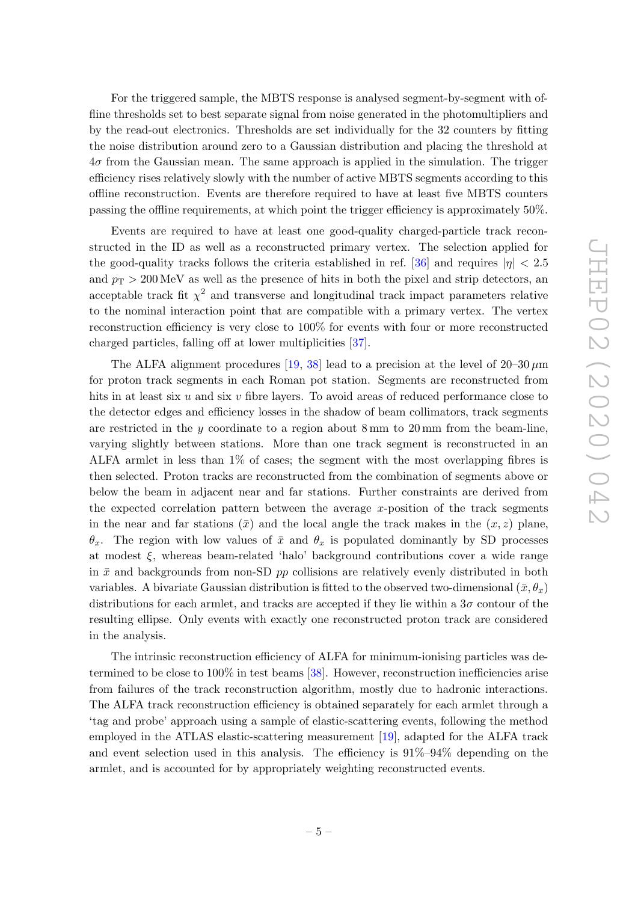For the triggered sample, the MBTS response is analysed segment-by-segment with offline thresholds set to best separate signal from noise generated in the photomultipliers and by the read-out electronics. Thresholds are set individually for the 32 counters by fitting the noise distribution around zero to a Gaussian distribution and placing the threshold at  $4\sigma$  from the Gaussian mean. The same approach is applied in the simulation. The trigger efficiency rises relatively slowly with the number of active MBTS segments according to this offline reconstruction. Events are therefore required to have at least five MBTS counters passing the offline requirements, at which point the trigger efficiency is approximately 50%.

Events are required to have at least one good-quality charged-particle track reconstructed in the ID as well as a reconstructed primary vertex. The selection applied for the good-quality tracks follows the criteria established in ref. [\[36\]](#page-18-7) and requires  $|\eta|$  < 2.5 and  $p_T > 200 \,\text{MeV}$  as well as the presence of hits in both the pixel and strip detectors, an acceptable track fit  $\chi^2$  and transverse and longitudinal track impact parameters relative to the nominal interaction point that are compatible with a primary vertex. The vertex reconstruction efficiency is very close to 100% for events with four or more reconstructed charged particles, falling off at lower multiplicities [\[37\]](#page-18-8).

The ALFA alignment procedures [\[19,](#page-17-7) [38\]](#page-18-9) lead to a precision at the level of  $20-30 \,\mu m$ for proton track segments in each Roman pot station. Segments are reconstructed from hits in at least six  $u$  and six  $v$  fibre layers. To avoid areas of reduced performance close to the detector edges and efficiency losses in the shadow of beam collimators, track segments are restricted in the  $\gamma$  coordinate to a region about 8 mm to 20 mm from the beam-line, varying slightly between stations. More than one track segment is reconstructed in an ALFA armlet in less than 1% of cases; the segment with the most overlapping fibres is then selected. Proton tracks are reconstructed from the combination of segments above or below the beam in adjacent near and far stations. Further constraints are derived from the expected correlation pattern between the average x-position of the track segments in the near and far stations  $(\bar{x})$  and the local angle the track makes in the  $(x, z)$  plane,  $\theta_x$ . The region with low values of  $\bar{x}$  and  $\theta_x$  is populated dominantly by SD processes at modest  $\xi$ , whereas beam-related 'halo' background contributions cover a wide range in  $\bar{x}$  and backgrounds from non-SD pp collisions are relatively evenly distributed in both variables. A bivariate Gaussian distribution is fitted to the observed two-dimensional  $(\bar{x}, \theta_x)$ distributions for each armlet, and tracks are accepted if they lie within a  $3\sigma$  contour of the resulting ellipse. Only events with exactly one reconstructed proton track are considered in the analysis.

The intrinsic reconstruction efficiency of ALFA for minimum-ionising particles was determined to be close to 100% in test beams [\[38\]](#page-18-9). However, reconstruction inefficiencies arise from failures of the track reconstruction algorithm, mostly due to hadronic interactions. The ALFA track reconstruction efficiency is obtained separately for each armlet through a 'tag and probe' approach using a sample of elastic-scattering events, following the method employed in the ATLAS elastic-scattering measurement [\[19\]](#page-17-7), adapted for the ALFA track and event selection used in this analysis. The efficiency is 91%–94% depending on the armlet, and is accounted for by appropriately weighting reconstructed events.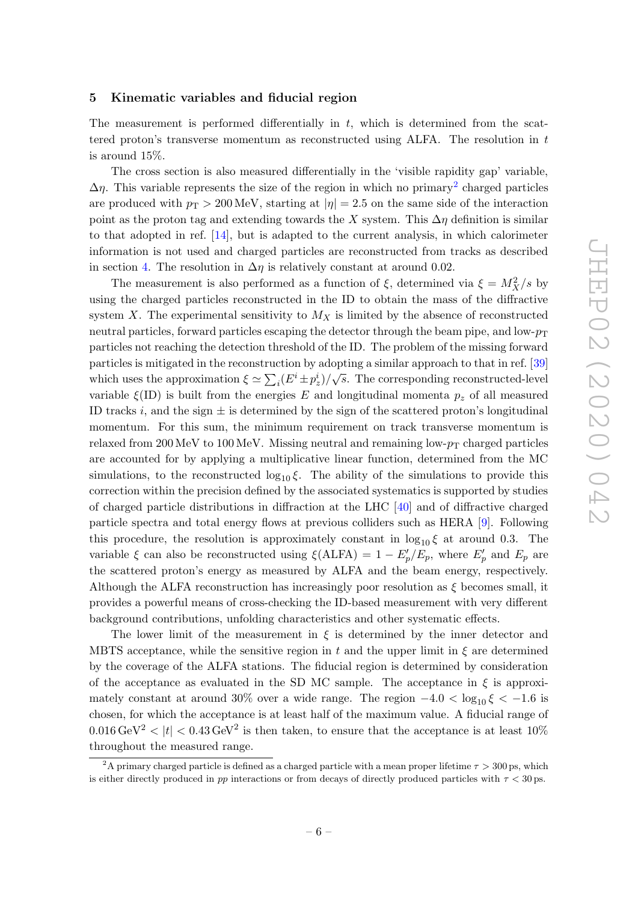#### <span id="page-6-0"></span>5 Kinematic variables and fiducial region

The measurement is performed differentially in  $t$ , which is determined from the scattered proton's transverse momentum as reconstructed using ALFA. The resolution in  $t$ is around 15%.

The cross section is also measured differentially in the 'visible rapidity gap' variable,  $\Delta \eta$ . This variable represents the size of the region in which no primary<sup>[2](#page-6-1)</sup> charged particles are produced with  $p_T > 200 \,\text{MeV}$ , starting at  $|\eta| = 2.5$  on the same side of the interaction point as the proton tag and extending towards the X system. This  $\Delta \eta$  definition is similar to that adopted in ref. [\[14\]](#page-17-3), but is adapted to the current analysis, in which calorimeter information is not used and charged particles are reconstructed from tracks as described in section [4.](#page-4-1) The resolution in  $\Delta \eta$  is relatively constant at around 0.02.

The measurement is also performed as a function of  $\xi$ , determined via  $\xi = M_X^2/s$  by using the charged particles reconstructed in the ID to obtain the mass of the diffractive system X. The experimental sensitivity to  $M_X$  is limited by the absence of reconstructed neutral particles, forward particles escaping the detector through the beam pipe, and low- $p_T$ particles not reaching the detection threshold of the ID. The problem of the missing forward particles is mitigated in the reconstruction by adopting a similar approach to that in ref. [\[39\]](#page-18-10) which uses the approximation  $\xi \simeq \sum_i (E^i \pm p_z^i)/\sqrt{s}$ . The corresponding reconstructed-level variable  $\xi(\text{ID})$  is built from the energies E and longitudinal momenta  $p_z$  of all measured ID tracks i, and the sign  $\pm$  is determined by the sign of the scattered proton's longitudinal momentum. For this sum, the minimum requirement on track transverse momentum is relaxed from 200 MeV to 100 MeV. Missing neutral and remaining low- $p_T$  charged particles are accounted for by applying a multiplicative linear function, determined from the MC simulations, to the reconstructed  $\log_{10} \xi$ . The ability of the simulations to provide this correction within the precision defined by the associated systematics is supported by studies of charged particle distributions in diffraction at the LHC [\[40\]](#page-18-11) and of diffractive charged particle spectra and total energy flows at previous colliders such as HERA [\[9\]](#page-16-6). Following this procedure, the resolution is approximately constant in  $\log_{10} \xi$  at around 0.3. The variable  $\xi$  can also be reconstructed using  $\xi(\text{ALFA}) = 1 - E_p'/E_p$ , where  $E_p'$  and  $E_p$  are the scattered proton's energy as measured by ALFA and the beam energy, respectively. Although the ALFA reconstruction has increasingly poor resolution as  $\xi$  becomes small, it provides a powerful means of cross-checking the ID-based measurement with very different background contributions, unfolding characteristics and other systematic effects.

The lower limit of the measurement in  $\xi$  is determined by the inner detector and MBTS acceptance, while the sensitive region in t and the upper limit in  $\xi$  are determined by the coverage of the ALFA stations. The fiducial region is determined by consideration of the acceptance as evaluated in the SD MC sample. The acceptance in  $\xi$  is approximately constant at around 30% over a wide range. The region  $-4.0 < \log_{10} \xi < -1.6$  is chosen, for which the acceptance is at least half of the maximum value. A fiducial range of  $0.016 \,\text{GeV}^2 < |t| < 0.43 \,\text{GeV}^2$  is then taken, to ensure that the acceptance is at least  $10\%$ throughout the measured range.

<span id="page-6-1"></span><sup>&</sup>lt;sup>2</sup>A primary charged particle is defined as a charged particle with a mean proper lifetime  $\tau > 300$  ps, which is either directly produced in pp interactions or from decays of directly produced particles with  $\tau < 30$  ps.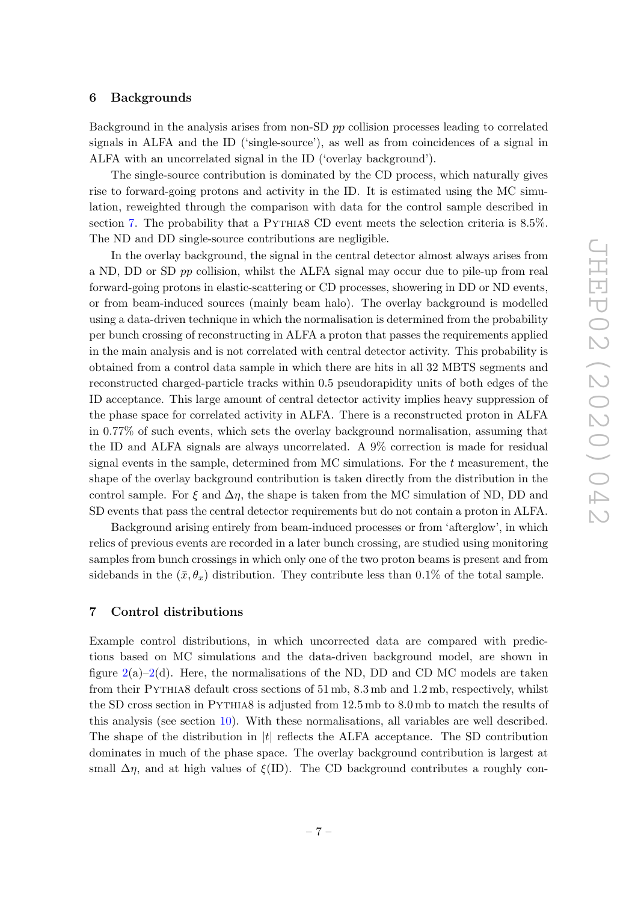#### <span id="page-7-0"></span>6 Backgrounds

Background in the analysis arises from non-SD pp collision processes leading to correlated signals in ALFA and the ID ('single-source'), as well as from coincidences of a signal in ALFA with an uncorrelated signal in the ID ('overlay background').

The single-source contribution is dominated by the CD process, which naturally gives rise to forward-going protons and activity in the ID. It is estimated using the MC simulation, reweighted through the comparison with data for the control sample described in section [7.](#page-7-1) The probability that a PYTHIA8 CD event meets the selection criteria is  $8.5\%$ . The ND and DD single-source contributions are negligible.

In the overlay background, the signal in the central detector almost always arises from a ND, DD or SD pp collision, whilst the ALFA signal may occur due to pile-up from real forward-going protons in elastic-scattering or CD processes, showering in DD or ND events, or from beam-induced sources (mainly beam halo). The overlay background is modelled using a data-driven technique in which the normalisation is determined from the probability per bunch crossing of reconstructing in ALFA a proton that passes the requirements applied in the main analysis and is not correlated with central detector activity. This probability is obtained from a control data sample in which there are hits in all 32 MBTS segments and reconstructed charged-particle tracks within 0.5 pseudorapidity units of both edges of the ID acceptance. This large amount of central detector activity implies heavy suppression of the phase space for correlated activity in ALFA. There is a reconstructed proton in ALFA in 0.77% of such events, which sets the overlay background normalisation, assuming that the ID and ALFA signals are always uncorrelated. A 9% correction is made for residual signal events in the sample, determined from MC simulations. For the  $t$  measurement, the shape of the overlay background contribution is taken directly from the distribution in the control sample. For  $\xi$  and  $\Delta \eta$ , the shape is taken from the MC simulation of ND, DD and SD events that pass the central detector requirements but do not contain a proton in ALFA.

Background arising entirely from beam-induced processes or from 'afterglow', in which relics of previous events are recorded in a later bunch crossing, are studied using monitoring samples from bunch crossings in which only one of the two proton beams is present and from sidebands in the  $(\bar{x}, \theta_x)$  distribution. They contribute less than 0.1% of the total sample.

# <span id="page-7-1"></span>7 Control distributions

Example control distributions, in which uncorrected data are compared with predictions based on MC simulations and the data-driven background model, are shown in figure  $2(a)-2(d)$  $2(a)-2(d)$ . Here, the normalisations of the ND, DD and CD MC models are taken from their Pythia8 default cross sections of 51 mb, 8.3 mb and 1.2 mb, respectively, whilst the SD cross section in Pythia8 is adjusted from 12.5 mb to 8.0 mb to match the results of this analysis (see section [10\)](#page-11-0). With these normalisations, all variables are well described. The shape of the distribution in  $|t|$  reflects the ALFA acceptance. The SD contribution dominates in much of the phase space. The overlay background contribution is largest at small  $\Delta \eta$ , and at high values of  $\xi$ (ID). The CD background contributes a roughly con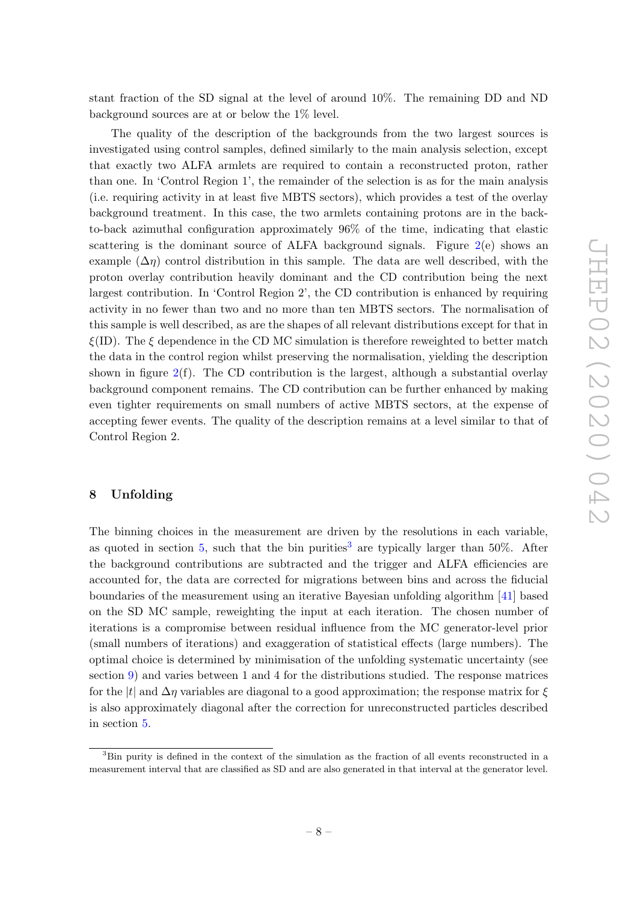stant fraction of the SD signal at the level of around 10%. The remaining DD and ND background sources are at or below the 1% level.

The quality of the description of the backgrounds from the two largest sources is investigated using control samples, defined similarly to the main analysis selection, except that exactly two ALFA armlets are required to contain a reconstructed proton, rather than one. In 'Control Region 1', the remainder of the selection is as for the main analysis (i.e. requiring activity in at least five MBTS sectors), which provides a test of the overlay background treatment. In this case, the two armlets containing protons are in the backto-back azimuthal configuration approximately 96% of the time, indicating that elastic scattering is the dominant source of ALFA background signals. Figure  $2(e)$  $2(e)$  shows an example  $(\Delta \eta)$  control distribution in this sample. The data are well described, with the proton overlay contribution heavily dominant and the CD contribution being the next largest contribution. In 'Control Region 2', the CD contribution is enhanced by requiring activity in no fewer than two and no more than ten MBTS sectors. The normalisation of this sample is well described, as are the shapes of all relevant distributions except for that in  $\xi$ (ID). The  $\xi$  dependence in the CD MC simulation is therefore reweighted to better match the data in the control region whilst preserving the normalisation, yielding the description shown in figure  $2(f)$  $2(f)$ . The CD contribution is the largest, although a substantial overlay background component remains. The CD contribution can be further enhanced by making even tighter requirements on small numbers of active MBTS sectors, at the expense of accepting fewer events. The quality of the description remains at a level similar to that of Control Region 2.

# <span id="page-8-0"></span>8 Unfolding

The binning choices in the measurement are driven by the resolutions in each variable, as quoted in section [5,](#page-6-0) such that the bin purities<sup>[3](#page-8-1)</sup> are typically larger than 50%. After the background contributions are subtracted and the trigger and ALFA efficiencies are accounted for, the data are corrected for migrations between bins and across the fiducial boundaries of the measurement using an iterative Bayesian unfolding algorithm [\[41\]](#page-18-12) based on the SD MC sample, reweighting the input at each iteration. The chosen number of iterations is a compromise between residual influence from the MC generator-level prior (small numbers of iterations) and exaggeration of statistical effects (large numbers). The optimal choice is determined by minimisation of the unfolding systematic uncertainty (see section [9\)](#page-10-0) and varies between 1 and 4 for the distributions studied. The response matrices for the |t| and  $\Delta \eta$  variables are diagonal to a good approximation; the response matrix for  $\xi$ is also approximately diagonal after the correction for unreconstructed particles described in section [5.](#page-6-0)

<span id="page-8-1"></span><sup>3</sup>Bin purity is defined in the context of the simulation as the fraction of all events reconstructed in a measurement interval that are classified as SD and are also generated in that interval at the generator level.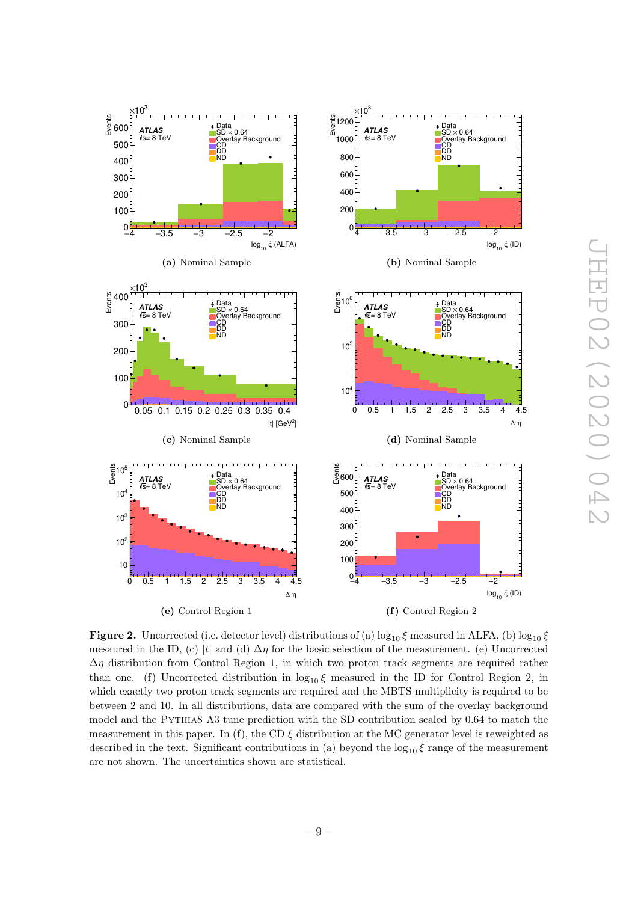<span id="page-9-0"></span>

JHEP02(2020)042 THEP02 (2020) 042

**Figure 2.** Uncorrected (i.e. detector level) distributions of (a)  $\log_{10} \xi$  measured in ALFA, (b)  $\log_{10} \xi$ mesaured in the ID, (c) |t| and (d)  $\Delta \eta$  for the basic selection of the measurement. (e) Uncorrected  $\Delta \eta$  distribution from Control Region 1, in which two proton track segments are required rather than one. (f) Uncorrected distribution in  $\log_{10} \xi$  measured in the ID for Control Region 2, in which exactly two proton track segments are required and the MBTS multiplicity is required to be between 2 and 10. In all distributions, data are compared with the sum of the overlay background model and the Pythia8 A3 tune prediction with the SD contribution scaled by 0.64 to match the measurement in this paper. In (f), the CD  $\xi$  distribution at the MC generator level is reweighted as described in the text. Significant contributions in (a) beyond the  $\log_{10} \xi$  range of the measurement are not shown. The uncertainties shown are statistical.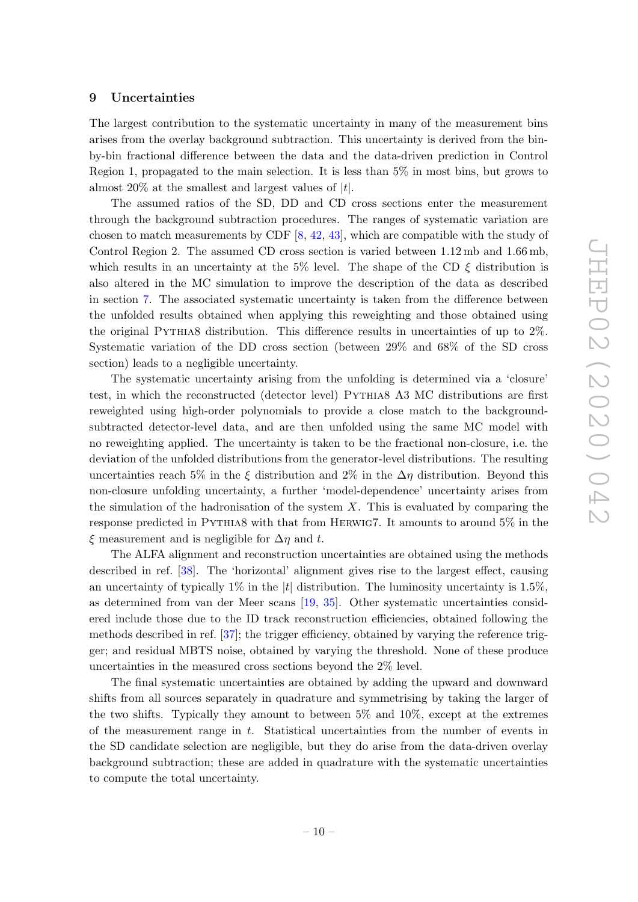#### <span id="page-10-0"></span>9 Uncertainties

The largest contribution to the systematic uncertainty in many of the measurement bins arises from the overlay background subtraction. This uncertainty is derived from the binby-bin fractional difference between the data and the data-driven prediction in Control Region 1, propagated to the main selection. It is less than 5% in most bins, but grows to almost 20% at the smallest and largest values of  $|t|$ .

The assumed ratios of the SD, DD and CD cross sections enter the measurement through the background subtraction procedures. The ranges of systematic variation are chosen to match measurements by CDF [\[8,](#page-16-5) [42,](#page-18-13) [43\]](#page-18-14), which are compatible with the study of Control Region 2. The assumed CD cross section is varied between 1.12 mb and 1.66 mb, which results in an uncertainty at the 5% level. The shape of the CD  $\xi$  distribution is also altered in the MC simulation to improve the description of the data as described in section [7.](#page-7-1) The associated systematic uncertainty is taken from the difference between the unfolded results obtained when applying this reweighting and those obtained using the original Pythia8 distribution. This difference results in uncertainties of up to 2%. Systematic variation of the DD cross section (between 29% and 68% of the SD cross section) leads to a negligible uncertainty.

The systematic uncertainty arising from the unfolding is determined via a 'closure' test, in which the reconstructed (detector level) Pythia8 A3 MC distributions are first reweighted using high-order polynomials to provide a close match to the backgroundsubtracted detector-level data, and are then unfolded using the same MC model with no reweighting applied. The uncertainty is taken to be the fractional non-closure, i.e. the deviation of the unfolded distributions from the generator-level distributions. The resulting uncertainties reach 5% in the  $\xi$  distribution and 2% in the  $\Delta \eta$  distribution. Beyond this non-closure unfolding uncertainty, a further 'model-dependence' uncertainty arises from the simulation of the hadronisation of the system  $X$ . This is evaluated by comparing the response predicted in Pythia8 with that from Herwig7. It amounts to around 5% in the  $\xi$  measurement and is negligible for  $\Delta \eta$  and t.

The ALFA alignment and reconstruction uncertainties are obtained using the methods described in ref. [\[38\]](#page-18-9). The 'horizontal' alignment gives rise to the largest effect, causing an uncertainty of typically 1% in the  $|t|$  distribution. The luminosity uncertainty is 1.5%, as determined from van der Meer scans [\[19,](#page-17-7) [35\]](#page-18-6). Other systematic uncertainties considered include those due to the ID track reconstruction efficiencies, obtained following the methods described in ref. [\[37\]](#page-18-8); the trigger efficiency, obtained by varying the reference trigger; and residual MBTS noise, obtained by varying the threshold. None of these produce uncertainties in the measured cross sections beyond the 2% level.

The final systematic uncertainties are obtained by adding the upward and downward shifts from all sources separately in quadrature and symmetrising by taking the larger of the two shifts. Typically they amount to between 5% and 10%, except at the extremes of the measurement range in  $t$ . Statistical uncertainties from the number of events in the SD candidate selection are negligible, but they do arise from the data-driven overlay background subtraction; these are added in quadrature with the systematic uncertainties to compute the total uncertainty.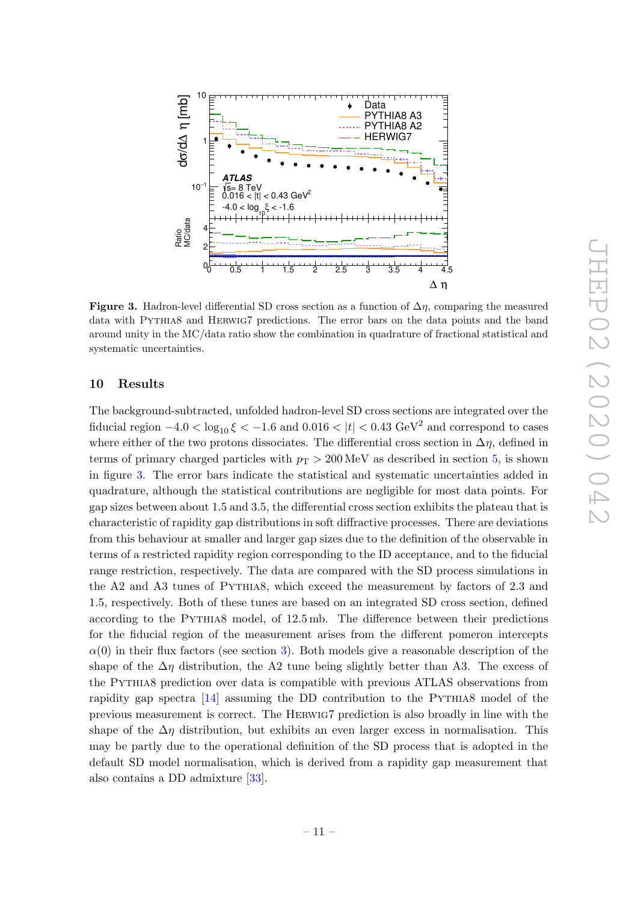<span id="page-11-1"></span>

Figure 3. Hadron-level differential SD cross section as a function of  $\Delta \eta$ , comparing the measured data with Pythia8 and Herwig7 predictions. The error bars on the data points and the band around unity in the MC/data ratio show the combination in quadrature of fractional statistical and systematic uncertainties.

#### <span id="page-11-0"></span>10 Results

The background-subtracted, unfolded hadron-level SD cross sections are integrated over the fiducial region  $-4.0 < \log_{10} \xi < -1.6$  and  $0.016 < |t| < 0.43 \text{ GeV}^2$  and correspond to cases where either of the two protons dissociates. The differential cross section in  $\Delta \eta$ , defined in terms of primary charged particles with  $p_T > 200 \,\text{MeV}$  as described in section [5,](#page-6-0) is shown in figure [3.](#page-11-1) The error bars indicate the statistical and systematic uncertainties added in quadrature, although the statistical contributions are negligible for most data points. For gap sizes between about 1.5 and 3.5, the differential cross section exhibits the plateau that is characteristic of rapidity gap distributions in soft diffractive processes. There are deviations from this behaviour at smaller and larger gap sizes due to the definition of the observable in terms of a restricted rapidity region corresponding to the ID acceptance, and to the fiducial range restriction, respectively. The data are compared with the SD process simulations in the A2 and A3 tunes of PYTHIA8, which exceed the measurement by factors of 2.3 and 1.5, respectively. Both of these tunes are based on an integrated SD cross section, defined according to the Pythia8 model, of 12.5 mb. The difference between their predictions for the fiducial region of the measurement arises from the different pomeron intercepts  $\alpha(0)$  in their flux factors (see section [3\)](#page-4-0). Both models give a reasonable description of the shape of the  $\Delta \eta$  distribution, the A2 tune being slightly better than A3. The excess of the Pythia8 prediction over data is compatible with previous ATLAS observations from rapidity gap spectra [\[14\]](#page-17-3) assuming the DD contribution to the PYTHIA8 model of the previous measurement is correct. The Herwig7 prediction is also broadly in line with the shape of the  $\Delta \eta$  distribution, but exhibits an even larger excess in normalisation. This may be partly due to the operational definition of the SD process that is adopted in the default SD model normalisation, which is derived from a rapidity gap measurement that also contains a DD admixture [\[33\]](#page-18-4).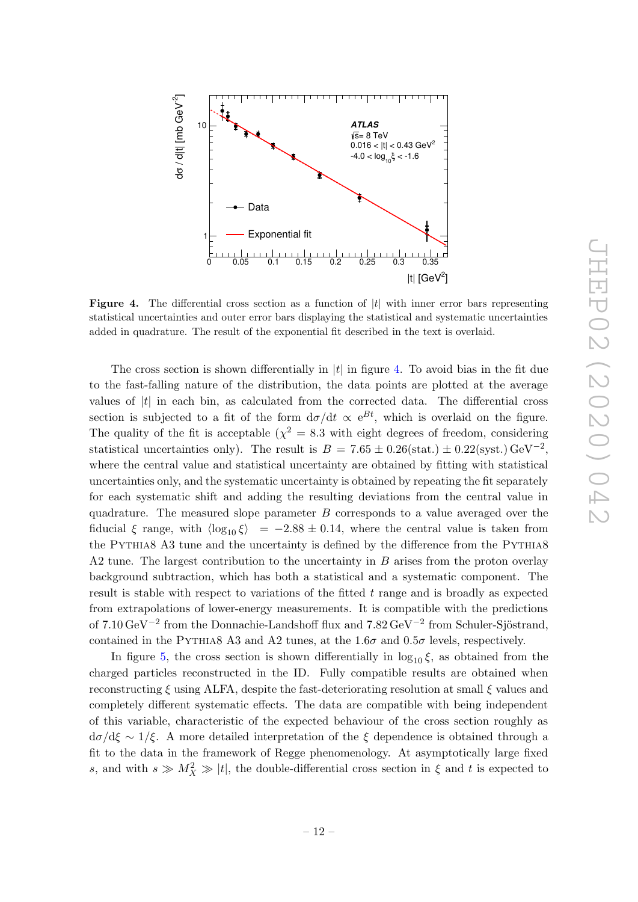<span id="page-12-0"></span>

**Figure 4.** The differential cross section as a function of  $|t|$  with inner error bars representing statistical uncertainties and outer error bars displaying the statistical and systematic uncertainties added in quadrature. The result of the exponential fit described in the text is overlaid.

The cross section is shown differentially in  $|t|$  in figure [4.](#page-12-0) To avoid bias in the fit due to the fast-falling nature of the distribution, the data points are plotted at the average values of  $|t|$  in each bin, as calculated from the corrected data. The differential cross section is subjected to a fit of the form  $d\sigma/dt \propto e^{Bt}$ , which is overlaid on the figure. The quality of the fit is acceptable  $(\chi^2 = 8.3 \text{ with eight degrees of freedom, considering}$ statistical uncertainties only). The result is  $B = 7.65 \pm 0.26$ (stat.)  $\pm 0.22$ (syst.) GeV<sup>-2</sup>, where the central value and statistical uncertainty are obtained by fitting with statistical uncertainties only, and the systematic uncertainty is obtained by repeating the fit separately for each systematic shift and adding the resulting deviations from the central value in quadrature. The measured slope parameter  $B$  corresponds to a value averaged over the fiducial  $\xi$  range, with  $\langle \log_{10} \xi \rangle$  = −2.88 ± 0.14, where the central value is taken from the PYTHIA8 A3 tune and the uncertainty is defined by the difference from the PYTHIA8 A2 tune. The largest contribution to the uncertainty in B arises from the proton overlay background subtraction, which has both a statistical and a systematic component. The result is stable with respect to variations of the fitted  $t$  range and is broadly as expected from extrapolations of lower-energy measurements. It is compatible with the predictions of 7.10 GeV<sup>-2</sup> from the Donnachie-Landshoff flux and 7.82 GeV<sup>-2</sup> from Schuler-Sjöstrand, contained in the PYTHIA8 A3 and A2 tunes, at the 1.6 $\sigma$  and 0.5 $\sigma$  levels, respectively.

In figure [5,](#page-13-0) the cross section is shown differentially in  $log_{10} \xi$ , as obtained from the charged particles reconstructed in the ID. Fully compatible results are obtained when reconstructing  $\xi$  using ALFA, despite the fast-deteriorating resolution at small  $\xi$  values and completely different systematic effects. The data are compatible with being independent of this variable, characteristic of the expected behaviour of the cross section roughly as  $d\sigma/d\xi \sim 1/\xi$ . A more detailed interpretation of the  $\xi$  dependence is obtained through a fit to the data in the framework of Regge phenomenology. At asymptotically large fixed s, and with  $s \gg M_X^2 \gg |t|$ , the double-differential cross section in  $\xi$  and  $t$  is expected to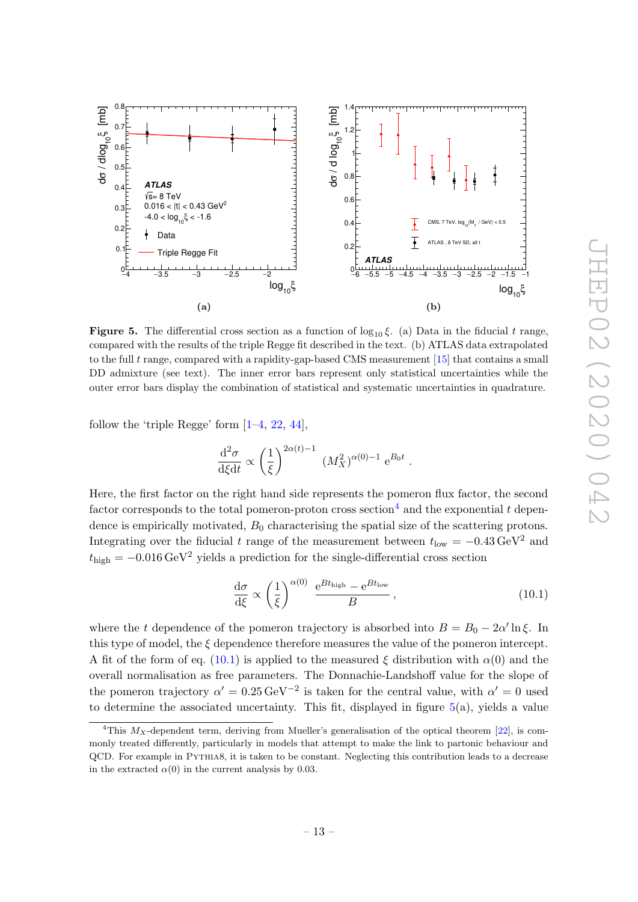<span id="page-13-0"></span>

**Figure 5.** The differential cross section as a function of  $\log_{10} \xi$ . (a) Data in the fiducial t range, compared with the results of the triple Regge fit described in the text. (b) ATLAS data extrapolated to the full t range, compared with a rapidity-gap-based CMS measurement  $[15]$  that contains a small DD admixture (see text). The inner error bars represent only statistical uncertainties while the outer error bars display the combination of statistical and systematic uncertainties in quadrature.

follow the 'triple Regge' form  $[1-4, 22, 44]$  $[1-4, 22, 44]$  $[1-4, 22, 44]$  $[1-4, 22, 44]$  $[1-4, 22, 44]$ ,

$$
\frac{\mathrm{d}^2 \sigma}{\mathrm{d}\xi \mathrm{d}t} \propto \left(\frac{1}{\xi}\right)^{2\alpha(t)-1} (M_X^2)^{\alpha(0)-1} e^{B_0 t} .
$$

Here, the first factor on the right hand side represents the pomeron flux factor, the second factor corresponds to the total pomeron-proton cross section<sup>[4](#page-13-1)</sup> and the exponential t dependence is empirically motivated,  $B_0$  characterising the spatial size of the scattering protons. Integrating over the fiducial t range of the measurement between  $t_{\text{low}} = -0.43 \,\text{GeV}^2$  and  $t_{\text{high}} = -0.016 \,\text{GeV}^2$  yields a prediction for the single-differential cross section

<span id="page-13-2"></span>
$$
\frac{d\sigma}{d\xi} \propto \left(\frac{1}{\xi}\right)^{\alpha(0)} \frac{e^{Bt_{\text{high}}} - e^{Bt_{\text{low}}}}{B},\tag{10.1}
$$

where the t dependence of the pomeron trajectory is absorbed into  $B = B_0 - 2\alpha' \ln \xi$ . In this type of model, the  $\xi$  dependence therefore measures the value of the pomeron intercept. A fit of the form of eq. [\(10.1\)](#page-13-2) is applied to the measured  $\xi$  distribution with  $\alpha(0)$  and the overall normalisation as free parameters. The Donnachie-Landshoff value for the slope of the pomeron trajectory  $\alpha' = 0.25 \,\text{GeV}^{-2}$  is taken for the central value, with  $\alpha' = 0$  used to determine the associated uncertainty. This fit, displayed in figure  $5(a)$  $5(a)$ , yields a value

<span id="page-13-1"></span><sup>&</sup>lt;sup>4</sup>This  $M_X$ -dependent term, deriving from Mueller's generalisation of the optical theorem [\[22\]](#page-17-10), is commonly treated differently, particularly in models that attempt to make the link to partonic behaviour and QCD. For example in Pythia8, it is taken to be constant. Neglecting this contribution leads to a decrease in the extracted  $\alpha(0)$  in the current analysis by 0.03.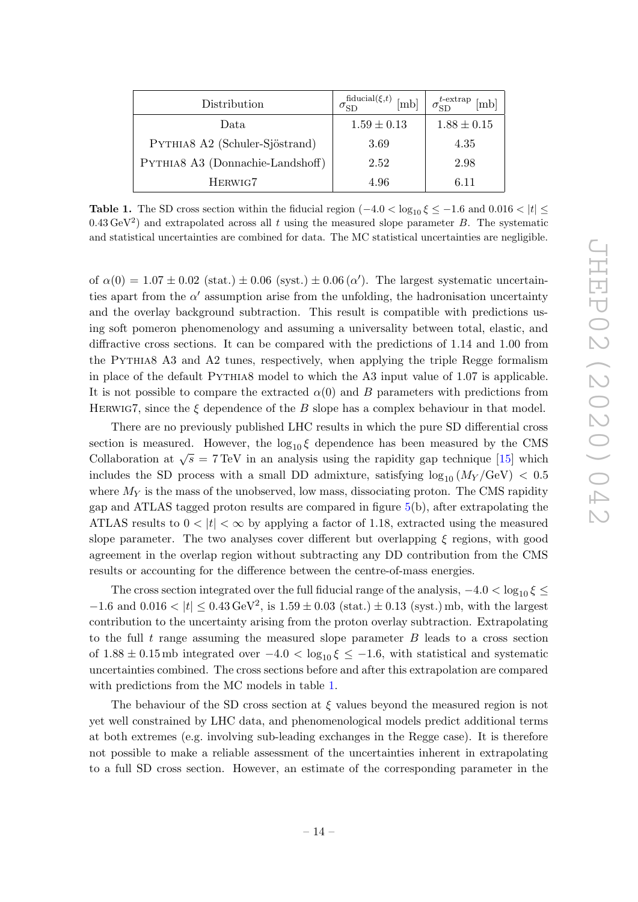<span id="page-14-0"></span>

| Distribution                     | $\sigma_{SD}^{\text{fiducial}(\xi,t)}$ [mb] | $\sigma_{SD}^{t\text{-extrap}}$ [mb] |
|----------------------------------|---------------------------------------------|--------------------------------------|
| Data                             | $1.59 \pm 0.13$                             | $1.88 \pm 0.15$                      |
| PYTHIA8 A2 (Schuler-Sjöstrand)   | 3.69                                        | 4.35                                 |
| PYTHIA8 A3 (Donnachie-Landshoff) | 2.52                                        | 2.98                                 |
| HERWIG7                          | 4.96                                        | 6.11                                 |

**Table 1.** The SD cross section within the fiducial region  $(-4.0 < \log_{10} \xi \leq -1.6$  and  $0.016 < |t| \leq$  $0.43 \,\text{GeV}^2$ ) and extrapolated across all t using the measured slope parameter B. The systematic and statistical uncertainties are combined for data. The MC statistical uncertainties are negligible.

of  $\alpha(0) = 1.07 \pm 0.02$  (stat.)  $\pm 0.06$  (syst.)  $\pm 0.06$  ( $\alpha'$ ). The largest systematic uncertainties apart from the  $\alpha'$  assumption arise from the unfolding, the hadronisation uncertainty and the overlay background subtraction. This result is compatible with predictions using soft pomeron phenomenology and assuming a universality between total, elastic, and diffractive cross sections. It can be compared with the predictions of 1.14 and 1.00 from the Pythia8 A3 and A2 tunes, respectively, when applying the triple Regge formalism in place of the default Pythia8 model to which the A3 input value of 1.07 is applicable. It is not possible to compare the extracted  $\alpha(0)$  and B parameters with predictions from HERWIG7, since the  $\xi$  dependence of the B slope has a complex behaviour in that model.

There are no previously published LHC results in which the pure SD differential cross section is measured. However, the  $log_{10} \xi$  dependence has been measured by the CMS Collaboration at  $\sqrt{s} = 7$  TeV in an analysis using the rapidity gap technique [\[15\]](#page-17-17) which includes the SD process with a small DD admixture, satisfying  $\log_{10} (M_Y / \text{GeV}) < 0.5$ where  $M_Y$  is the mass of the unobserved, low mass, dissociating proton. The CMS rapidity gap and ATLAS tagged proton results are compared in figure [5\(](#page-13-0)b), after extrapolating the ATLAS results to  $0 < |t| < \infty$  by applying a factor of 1.18, extracted using the measured slope parameter. The two analyses cover different but overlapping  $\xi$  regions, with good agreement in the overlap region without subtracting any DD contribution from the CMS results or accounting for the difference between the centre-of-mass energies.

The cross section integrated over the full fiducial range of the analysis,  $-4.0 < \log_{10} \xi \leq$  $-1.6$  and  $0.016 < |t| \le 0.43 \,\text{GeV}^2$ , is  $1.59 \pm 0.03$  (stat.)  $\pm 0.13$  (syst.) mb, with the largest contribution to the uncertainty arising from the proton overlay subtraction. Extrapolating to the full  $t$  range assuming the measured slope parameter  $B$  leads to a cross section of  $1.88 \pm 0.15$  mb integrated over  $-4.0 < \log_{10} \xi \le -1.6$ , with statistical and systematic uncertainties combined. The cross sections before and after this extrapolation are compared with predictions from the MC models in table [1.](#page-14-0)

The behaviour of the SD cross section at  $\xi$  values beyond the measured region is not yet well constrained by LHC data, and phenomenological models predict additional terms at both extremes (e.g. involving sub-leading exchanges in the Regge case). It is therefore not possible to make a reliable assessment of the uncertainties inherent in extrapolating to a full SD cross section. However, an estimate of the corresponding parameter in the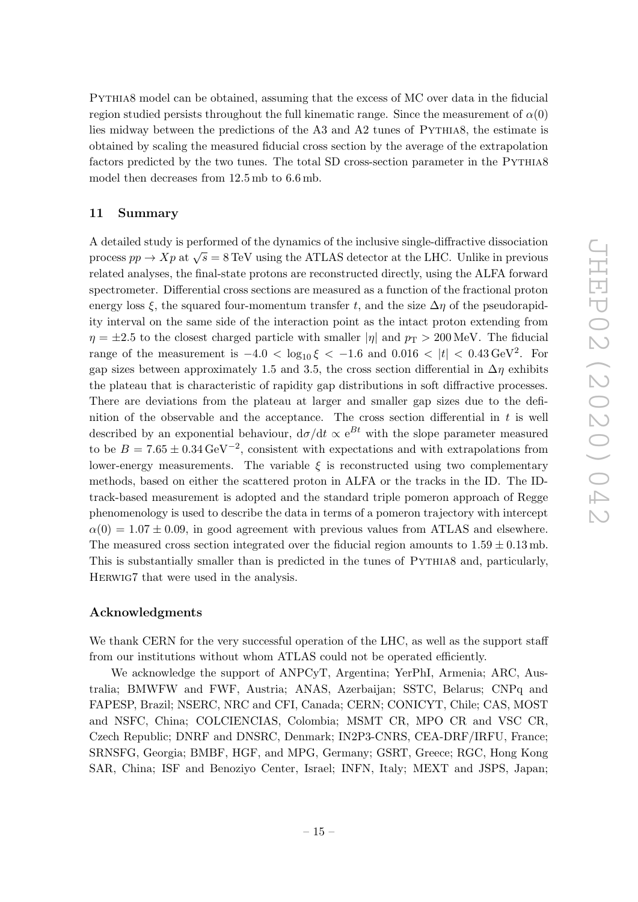Pythia8 model can be obtained, assuming that the excess of MC over data in the fiducial region studied persists throughout the full kinematic range. Since the measurement of  $\alpha(0)$ lies midway between the predictions of the A3 and A2 tunes of Pythia8, the estimate is obtained by scaling the measured fiducial cross section by the average of the extrapolation factors predicted by the two tunes. The total SD cross-section parameter in the PYTHIA8 model then decreases from 12.5 mb to 6.6 mb.

#### <span id="page-15-0"></span>11 Summary

A detailed study is performed of the dynamics of the inclusive single-diffractive dissociation process  $pp \to Xp$  at  $\sqrt{s} = 8$  TeV using the ATLAS detector at the LHC. Unlike in previous related analyses, the final-state protons are reconstructed directly, using the ALFA forward spectrometer. Differential cross sections are measured as a function of the fractional proton energy loss  $\xi$ , the squared four-momentum transfer t, and the size  $\Delta \eta$  of the pseudorapidity interval on the same side of the interaction point as the intact proton extending from  $\eta = \pm 2.5$  to the closest charged particle with smaller  $|\eta|$  and  $p_T > 200$  MeV. The fiducial range of the measurement is  $-4.0 < \log_{10} \xi < -1.6$  and  $0.016 < |t| < 0.43 \,\text{GeV}^2$ . For gap sizes between approximately 1.5 and 3.5, the cross section differential in  $\Delta \eta$  exhibits the plateau that is characteristic of rapidity gap distributions in soft diffractive processes. There are deviations from the plateau at larger and smaller gap sizes due to the definition of the observable and the acceptance. The cross section differential in  $t$  is well described by an exponential behaviour,  $d\sigma/dt \propto e^{Bt}$  with the slope parameter measured to be  $B = 7.65 \pm 0.34 \,\text{GeV}^{-2}$ , consistent with expectations and with extrapolations from lower-energy measurements. The variable  $\xi$  is reconstructed using two complementary methods, based on either the scattered proton in ALFA or the tracks in the ID. The IDtrack-based measurement is adopted and the standard triple pomeron approach of Regge phenomenology is used to describe the data in terms of a pomeron trajectory with intercept  $\alpha(0) = 1.07 \pm 0.09$ , in good agreement with previous values from ATLAS and elsewhere. The measured cross section integrated over the fiducial region amounts to  $1.59 \pm 0.13$  mb. This is substantially smaller than is predicted in the tunes of Pythia8 and, particularly, Herwig7 that were used in the analysis.

#### Acknowledgments

We thank CERN for the very successful operation of the LHC, as well as the support staff from our institutions without whom ATLAS could not be operated efficiently.

We acknowledge the support of ANPCyT, Argentina; YerPhI, Armenia; ARC, Australia; BMWFW and FWF, Austria; ANAS, Azerbaijan; SSTC, Belarus; CNPq and FAPESP, Brazil; NSERC, NRC and CFI, Canada; CERN; CONICYT, Chile; CAS, MOST and NSFC, China; COLCIENCIAS, Colombia; MSMT CR, MPO CR and VSC CR, Czech Republic; DNRF and DNSRC, Denmark; IN2P3-CNRS, CEA-DRF/IRFU, France; SRNSFG, Georgia; BMBF, HGF, and MPG, Germany; GSRT, Greece; RGC, Hong Kong SAR, China; ISF and Benoziyo Center, Israel; INFN, Italy; MEXT and JSPS, Japan;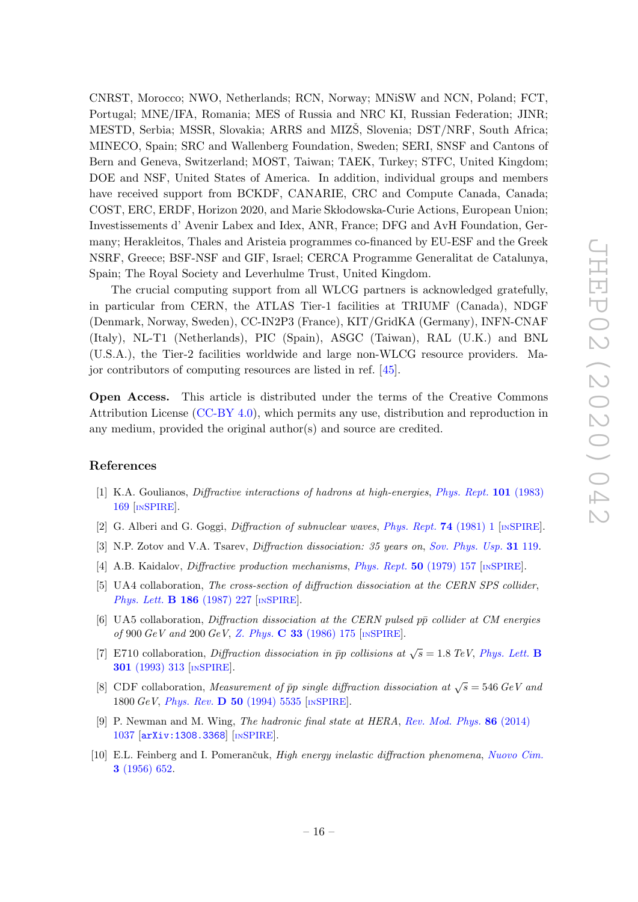CNRST, Morocco; NWO, Netherlands; RCN, Norway; MNiSW and NCN, Poland; FCT, Portugal; MNE/IFA, Romania; MES of Russia and NRC KI, Russian Federation; JINR; MESTD, Serbia; MSSR, Slovakia; ARRS and MIZŠ, Slovenia; DST/NRF, South Africa; MINECO, Spain; SRC and Wallenberg Foundation, Sweden; SERI, SNSF and Cantons of Bern and Geneva, Switzerland; MOST, Taiwan; TAEK, Turkey; STFC, United Kingdom; DOE and NSF, United States of America. In addition, individual groups and members have received support from BCKDF, CANARIE, CRC and Compute Canada, Canada; COST, ERC, ERDF, Horizon 2020, and Marie Sk lodowska-Curie Actions, European Union; Investissements d' Avenir Labex and Idex, ANR, France; DFG and AvH Foundation, Germany; Herakleitos, Thales and Aristeia programmes co-financed by EU-ESF and the Greek NSRF, Greece; BSF-NSF and GIF, Israel; CERCA Programme Generalitat de Catalunya, Spain; The Royal Society and Leverhulme Trust, United Kingdom.

The crucial computing support from all WLCG partners is acknowledged gratefully, in particular from CERN, the ATLAS Tier-1 facilities at TRIUMF (Canada), NDGF (Denmark, Norway, Sweden), CC-IN2P3 (France), KIT/GridKA (Germany), INFN-CNAF (Italy), NL-T1 (Netherlands), PIC (Spain), ASGC (Taiwan), RAL (U.K.) and BNL (U.S.A.), the Tier-2 facilities worldwide and large non-WLCG resource providers. Major contributors of computing resources are listed in ref. [\[45\]](#page-18-16).

Open Access. This article is distributed under the terms of the Creative Commons Attribution License [\(CC-BY 4.0\)](https://creativecommons.org/licenses/by/4.0/), which permits any use, distribution and reproduction in any medium, provided the original author(s) and source are credited.

#### References

- <span id="page-16-0"></span>[1] K.A. Goulianos, Diffractive interactions of hadrons at high-energies, [Phys. Rept.](https://doi.org/10.1016/0370-1573(83)90010-8) 101 (1983) [169](https://doi.org/10.1016/0370-1573(83)90010-8) [IN[SPIRE](https://inspirehep.net/search?p=find+J+%22Phys.Rept.,101,169%22)].
- [2] G. Alberi and G. Goggi, Diffraction of subnuclear waves, [Phys. Rept.](https://doi.org/10.1016/0370-1573(81)90019-3) 74 (1981) 1 [IN[SPIRE](https://inspirehep.net/search?p=find+J+%22Phys.Rept.,74,1%22)].
- [3] N.P. Zotov and V.A. Tsarev, *Diffraction dissociation: 35 years on, [Sov. Phys. Usp.](https://doi.org/10.1070/PU1988v031n02ABEH005697)* **31** 119.
- <span id="page-16-1"></span>[4] A.B. Kaidalov, Diffractive production mechanisms, [Phys. Rept.](https://doi.org/10.1016/0370-1573(79)90043-7) 50 (1979) 157 [IN[SPIRE](https://inspirehep.net/search?p=find+J+%22Phys.Rept.,50,157%22)].
- <span id="page-16-2"></span>[5] UA4 collaboration, The cross-section of diffraction dissociation at the CERN SPS collider, [Phys. Lett.](https://doi.org/10.1016/0370-2693(87)90285-1) B 186 (1987) 227 [IN[SPIRE](https://inspirehep.net/search?p=find+J+%22Phys.Lett.,B186,227%22)].
- <span id="page-16-3"></span>[6] UA5 collaboration, Diffraction dissociation at the CERN pulsed  $p\bar{p}$  collider at CM energies of 900  $GeV$  and 200  $GeV$ , Z. Phys. C 33 [\(1986\) 175](https://doi.org/10.1007/BF01411134) [IN[SPIRE](https://inspirehep.net/search?p=find+J+%22Z.Physik,C33,175%22)].
- <span id="page-16-4"></span>[7] E710 collaboration, Diffraction dissociation in  $\bar{p}p$  collisions at  $\sqrt{s} = 1.8$  TeV, [Phys. Lett.](https://doi.org/10.1016/0370-2693(93)90707-O) **B** 301 [\(1993\) 313](https://doi.org/10.1016/0370-2693(93)90707-O) [IN[SPIRE](https://inspirehep.net/search?p=find+J+%22Phys.Lett.,B301,313%22)].
- <span id="page-16-5"></span>[8] CDF collaboration, *Measurement of*  $\bar{p}p$  *single diffraction dissociation at*  $\sqrt{s} = 546 \text{ GeV}$  and 1800  $GeV$ , *Phys. Rev.* **D 50** [\(1994\) 5535](https://doi.org/10.1103/PhysRevD.50.5535) [IN[SPIRE](https://inspirehep.net/search?p=find+J+%22Phys.Rev.,D50,5535%22)].
- <span id="page-16-6"></span>[9] P. Newman and M. Wing, The hadronic final state at HERA, [Rev. Mod. Phys.](https://doi.org/10.1103/RevModPhys.86.1037) 86 (2014) [1037](https://doi.org/10.1103/RevModPhys.86.1037) [[arXiv:1308.3368](https://arxiv.org/abs/1308.3368)] [IN[SPIRE](https://inspirehep.net/search?p=find+EPRINT+arXiv:1308.3368)].
- <span id="page-16-7"></span>[10] E.L. Feinberg and I. Pomerančuk, *High energy inelastic diffraction phenomena*, [Nuovo Cim.](https://doi.org/10.1007/BF02746068) 3 [\(1956\) 652.](https://doi.org/10.1007/BF02746068)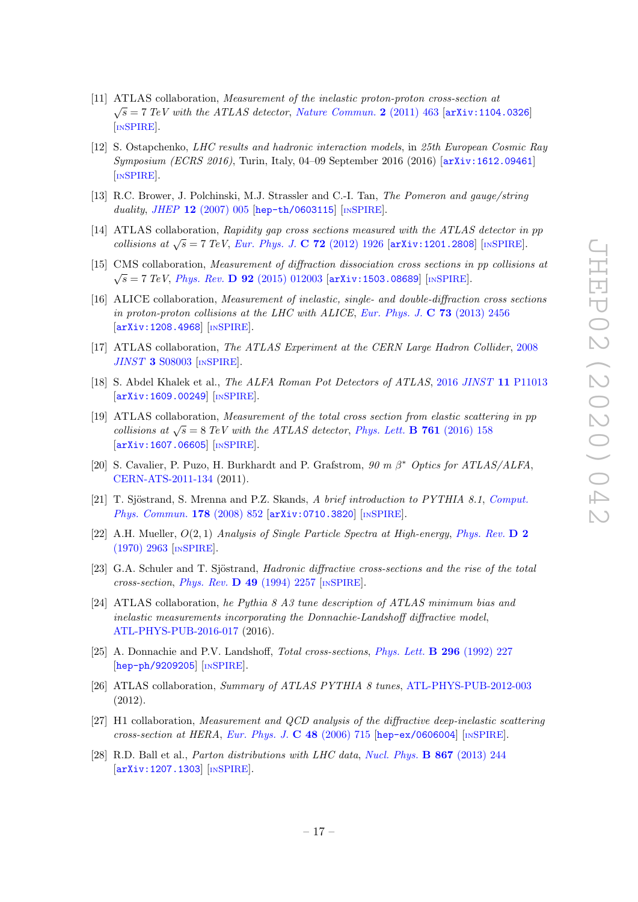- <span id="page-17-0"></span>[11] ATLAS collaboration, Measurement of the inelastic proton-proton cross-section at  $\sqrt{s}$  = 7 TeV with the ATLAS detector, [Nature Commun.](https://doi.org/10.1038/ncomms1472) 2 (2011) 463 [[arXiv:1104.0326](https://arxiv.org/abs/1104.0326)] [IN[SPIRE](https://inspirehep.net/search?p=find+EPRINT+arXiv:1104.0326)].
- <span id="page-17-1"></span>[12] S. Ostapchenko, LHC results and hadronic interaction models, in 25th European Cosmic Ray Symposium (ECRS 2016), Turin, Italy, 04–09 September 2016 (2016) [[arXiv:1612.09461](https://arxiv.org/abs/1612.09461)] [IN[SPIRE](https://inspirehep.net/search?p=find+EPRINT+arXiv:1612.09461)].
- <span id="page-17-2"></span>[13] R.C. Brower, J. Polchinski, M.J. Strassler and C.-I. Tan, The Pomeron and gauge/string duality, JHEP  $12$  [\(2007\) 005](https://doi.org/10.1088/1126-6708/2007/12/005) [[hep-th/0603115](https://arxiv.org/abs/hep-th/0603115)] [IN[SPIRE](https://inspirehep.net/search?p=find+EPRINT+hep-th/0603115)].
- <span id="page-17-3"></span>[14] ATLAS collaboration, Rapidity gap cross sections measured with the ATLAS detector in pp collisions at  $\sqrt{s} = 7$  TeV, [Eur. Phys. J.](https://doi.org/10.1140/epjc/s10052-012-1926-0) C 72 (2012) 1926 [[arXiv:1201.2808](https://arxiv.org/abs/1201.2808)] [IN[SPIRE](https://inspirehep.net/search?p=find+EPRINT+arXiv:1201.2808)].
- <span id="page-17-17"></span>[15] CMS collaboration, Measurement of diffraction dissociation cross sections in pp collisions at  $\sqrt{s}$  = 7 TeV, Phys. Rev. **D** 92 [\(2015\) 012003](https://doi.org/10.1103/PhysRevD.92.012003) [[arXiv:1503.08689](https://arxiv.org/abs/1503.08689)] [IN[SPIRE](https://inspirehep.net/search?p=find+EPRINT+arXiv:1503.08689)].
- <span id="page-17-4"></span>[16] ALICE collaboration, Measurement of inelastic, single- and double-diffraction cross sections in proton-proton collisions at the LHC with ALICE, [Eur. Phys. J.](https://doi.org/10.1140/epjc/s10052-013-2456-0)  $\bf{C}$  73 (2013) 2456 [[arXiv:1208.4968](https://arxiv.org/abs/1208.4968)] [IN[SPIRE](https://inspirehep.net/search?p=find+EPRINT+arXiv:1208.4968)].
- <span id="page-17-5"></span>[17] ATLAS collaboration, The ATLAS Experiment at the CERN Large Hadron Collider, [2008](https://doi.org/10.1088/1748-0221/3/08/S08003) JINST 3 [S08003](https://doi.org/10.1088/1748-0221/3/08/S08003) [IN[SPIRE](https://inspirehep.net/search?p=find+J+%22JINST,3,S08003%22)].
- <span id="page-17-6"></span>[18] S. Abdel Khalek et al., The ALFA Roman Pot Detectors of ATLAS, 2016 JINST 11 [P11013](https://doi.org/10.1088/1748-0221/11/11/P11013) [[arXiv:1609.00249](https://arxiv.org/abs/1609.00249)] [IN[SPIRE](https://inspirehep.net/search?p=find+EPRINT+arXiv:1609.00249)].
- <span id="page-17-7"></span>[19] ATLAS collaboration, Measurement of the total cross section from elastic scattering in pp collisions at  $\sqrt{s} = 8$  TeV with the ATLAS detector, [Phys. Lett.](https://doi.org/10.1016/j.physletb.2016.08.020) **B** 761 (2016) 158 [[arXiv:1607.06605](https://arxiv.org/abs/1607.06605)] [IN[SPIRE](https://inspirehep.net/search?p=find+EPRINT+arXiv:1607.06605)].
- <span id="page-17-8"></span>[20] S. Cavalier, P. Puzo, H. Burkhardt and P. Grafstrom,  $90 \text{ m } \beta^*$  Optics for ATLAS/ALFA, [CERN-ATS-2011-134](http://cds.cern.ch/record/1382028) (2011).
- <span id="page-17-9"></span>[21] T. Sjöstrand, S. Mrenna and P.Z. Skands, A brief introduction to PYTHIA 8.1, [Comput.](https://doi.org/10.1016/j.cpc.2008.01.036) [Phys. Commun.](https://doi.org/10.1016/j.cpc.2008.01.036) 178 (2008) 852 [[arXiv:0710.3820](https://arxiv.org/abs/0710.3820)] [IN[SPIRE](https://inspirehep.net/search?p=find+EPRINT+arXiv:0710.3820)].
- <span id="page-17-10"></span>[22] A.H. Mueller,  $O(2, 1)$  Analysis of Single Particle Spectra at High-energy, [Phys. Rev.](https://doi.org/10.1103/PhysRevD.2.2963)  $\bf{D}$  2 [\(1970\) 2963](https://doi.org/10.1103/PhysRevD.2.2963) [IN[SPIRE](https://inspirehep.net/search?p=find+J+%22Phys.Rev.,D2,2963%22)].
- <span id="page-17-11"></span>[23] G.A. Schuler and T. Sjöstrand, *Hadronic diffractive cross-sections and the rise of the total* cross-section, Phys. Rev. D 49 [\(1994\) 2257](https://doi.org/10.1103/PhysRevD.49.2257) [IN[SPIRE](https://inspirehep.net/search?p=find+J+%22Phys.Rev.,D49,2257%22)].
- <span id="page-17-12"></span>[24] ATLAS collaboration, he Pythia 8 A3 tune description of ATLAS minimum bias and inelastic measurements incorporating the Donnachie-Landshoff diffractive model, [ATL-PHYS-PUB-2016-017](http://cds.cern.ch/record/2206965) (2016).
- <span id="page-17-13"></span>[25] A. Donnachie and P.V. Landshoff, Total cross-sections, [Phys. Lett.](https://doi.org/10.1016/0370-2693(92)90832-O) B 296 (1992) 227 [[hep-ph/9209205](https://arxiv.org/abs/hep-ph/9209205)] [IN[SPIRE](https://inspirehep.net/search?p=find+EPRINT+hep-ph/9209205)].
- <span id="page-17-14"></span>[26] ATLAS collaboration, Summary of ATLAS PYTHIA 8 tunes, [ATL-PHYS-PUB-2012-003](http://cds.cern.ch/record/1474107) (2012).
- <span id="page-17-15"></span>[27] H1 collaboration, Measurement and QCD analysis of the diffractive deep-inelastic scattering  $cross-section at HERA, Eur. Phys. J. C 48 (2006) 715 [hep-ex/0606004] [NSPIRE].$  $cross-section at HERA, Eur. Phys. J. C 48 (2006) 715 [hep-ex/0606004] [NSPIRE].$  $cross-section at HERA, Eur. Phys. J. C 48 (2006) 715 [hep-ex/0606004] [NSPIRE].$  $cross-section at HERA, Eur. Phys. J. C 48 (2006) 715 [hep-ex/0606004] [NSPIRE].$  $cross-section at HERA, Eur. Phys. J. C 48 (2006) 715 [hep-ex/0606004] [NSPIRE].$  $cross-section at HERA, Eur. Phys. J. C 48 (2006) 715 [hep-ex/0606004] [NSPIRE].$  $cross-section at HERA, Eur. Phys. J. C 48 (2006) 715 [hep-ex/0606004] [NSPIRE].$
- <span id="page-17-16"></span>[28] R.D. Ball et al., Parton distributions with LHC data, [Nucl. Phys.](https://doi.org/10.1016/j.nuclphysb.2012.10.003) B 867 (2013) 244 [[arXiv:1207.1303](https://arxiv.org/abs/1207.1303)] [IN[SPIRE](https://inspirehep.net/search?p=find+EPRINT+arXiv:1207.1303)].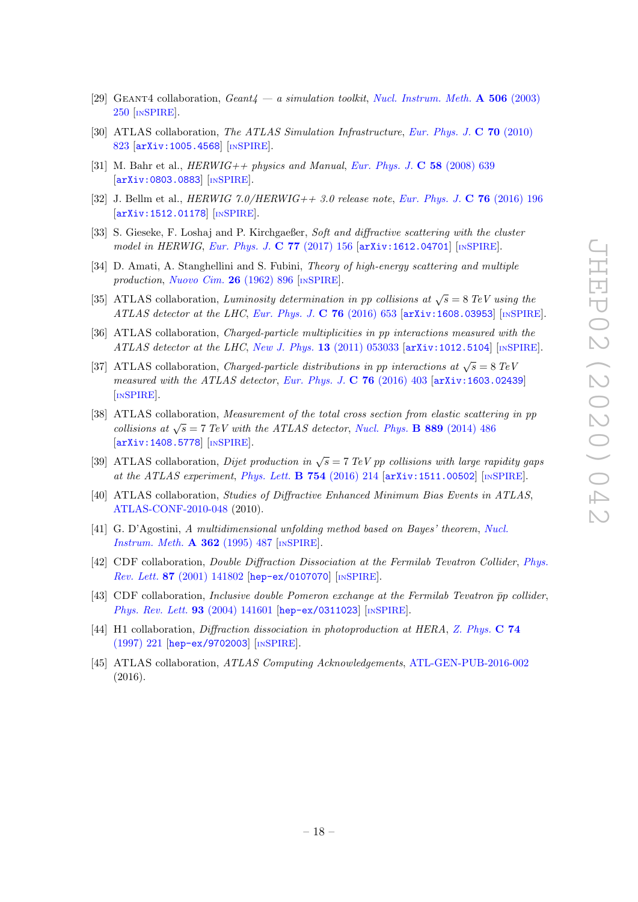- <span id="page-18-0"></span>[29] GEANT4 collaboration,  $Geant_4 - a$  simulation toolkit, [Nucl. Instrum. Meth.](https://doi.org/10.1016/S0168-9002(03)01368-8) A 506 (2003) [250](https://doi.org/10.1016/S0168-9002(03)01368-8) [IN[SPIRE](https://inspirehep.net/search?p=find+J+%22Nucl.Instrum.Meth.,A506,250%22)].
- <span id="page-18-1"></span>[30] ATLAS collaboration, The ATLAS Simulation Infrastructure, [Eur. Phys. J.](https://doi.org/10.1140/epjc/s10052-010-1429-9) C 70 (2010) [823](https://doi.org/10.1140/epjc/s10052-010-1429-9) [[arXiv:1005.4568](https://arxiv.org/abs/1005.4568)] [IN[SPIRE](https://inspirehep.net/search?p=find+EPRINT+arXiv:1005.4568)].
- <span id="page-18-2"></span>[31] M. Bahr et al.,  $HERWIG + \rho$  physics and Manual, [Eur. Phys. J.](https://doi.org/10.1140/epjc/s10052-008-0798-9) C 58 (2008) 639 [[arXiv:0803.0883](https://arxiv.org/abs/0803.0883)] [IN[SPIRE](https://inspirehep.net/search?p=find+EPRINT+arXiv:0803.0883)].
- <span id="page-18-3"></span>[32] J. Bellm et al.,  $HERWIG 7.0/HERWIG++ 3.0$  release note, [Eur. Phys. J.](https://doi.org/10.1140/epjc/s10052-016-4018-8) C 76 (2016) 196 [[arXiv:1512.01178](https://arxiv.org/abs/1512.01178)] [IN[SPIRE](https://inspirehep.net/search?p=find+EPRINT+arXiv:1512.01178)].
- <span id="page-18-4"></span>[33] S. Gieseke, F. Loshaj and P. Kirchgaeßer, Soft and diffractive scattering with the cluster model in HERWIG, [Eur. Phys. J.](https://doi.org/10.1140/epjc/s10052-017-4727-7) C 77 (2017) 156 [[arXiv:1612.04701](https://arxiv.org/abs/1612.04701)] [IN[SPIRE](https://inspirehep.net/search?p=find+EPRINT+arXiv:1612.04701)].
- <span id="page-18-5"></span>[34] D. Amati, A. Stanghellini and S. Fubini, Theory of high-energy scattering and multiple production, [Nuovo Cim.](https://doi.org/10.1007/BF02781901) 26 (1962) 896 [IN[SPIRE](https://inspirehep.net/search?p=find+J+%22NuovoCim.,26,896%22)].
- <span id="page-18-6"></span>[35] ATLAS collaboration, Luminosity determination in pp collisions at  $\sqrt{s} = 8 \text{ TeV}$  using the ATLAS detector at the LHC, [Eur. Phys. J.](https://doi.org/10.1140/epjc/s10052-016-4466-1) C  $76$  (2016) 653 [[arXiv:1608.03953](https://arxiv.org/abs/1608.03953)] [IN[SPIRE](https://inspirehep.net/search?p=find+EPRINT+arXiv:1608.03953)].
- <span id="page-18-7"></span>[36] ATLAS collaboration, Charged-particle multiplicities in pp interactions measured with the ATLAS detector at the LHC, New J. Phys. **13** [\(2011\) 053033](https://doi.org/10.1088/1367-2630/13/5/053033) [[arXiv:1012.5104](https://arxiv.org/abs/1012.5104)] [IN[SPIRE](https://inspirehep.net/search?p=find+EPRINT+arXiv:1012.5104)].
- <span id="page-18-8"></span>[37] ATLAS collaboration, *Charged-particle distributions in pp interactions at*  $\sqrt{s} = 8 \text{ TeV}$ measured with the ATLAS detector, [Eur. Phys. J.](https://doi.org/10.1140/epjc/s10052-016-4203-9) C  $76$  (2016) 403 [[arXiv:1603.02439](https://arxiv.org/abs/1603.02439)] [IN[SPIRE](https://inspirehep.net/search?p=find+EPRINT+arXiv:1603.02439)].
- <span id="page-18-9"></span>[38] ATLAS collaboration, *Measurement of the total cross section from elastic scattering in pp* collisions at  $\sqrt{s} = 7$  TeV with the ATLAS detector, [Nucl. Phys.](https://doi.org/10.1016/j.nuclphysb.2014.10.019) **B** 889 (2014) 486 [[arXiv:1408.5778](https://arxiv.org/abs/1408.5778)] [IN[SPIRE](https://inspirehep.net/search?p=find+EPRINT+arXiv:1408.5778)].
- <span id="page-18-10"></span>[39] ATLAS collaboration, Dijet production in  $\sqrt{s} = 7 \text{ TeV}$  pp collisions with large rapidity gaps at the ATLAS experiment, [Phys. Lett.](https://doi.org/10.1016/j.physletb.2016.01.028)  $\bf{B}$  754 (2016) 214  $\vert$ [arXiv:1511.00502](https://arxiv.org/abs/1511.00502) $\vert$  [IN[SPIRE](https://inspirehep.net/search?p=find+EPRINT+arXiv:1511.00502)].
- <span id="page-18-11"></span>[40] ATLAS collaboration, Studies of Diffractive Enhanced Minimum Bias Events in ATLAS, [ATLAS-CONF-2010-048](http://cds.cern.ch/record/1281302) (2010).
- <span id="page-18-12"></span>[41] G. D'Agostini, A multidimensional unfolding method based on Bayes' theorem, [Nucl.](https://doi.org/10.1016/0168-9002(95)00274-X) [Instrum. Meth.](https://doi.org/10.1016/0168-9002(95)00274-X) A 362 (1995) 487 [IN[SPIRE](https://inspirehep.net/search?p=find+J+%22Nucl.Instrum.Meth.,A362,487%22)].
- <span id="page-18-13"></span>[42] CDF collaboration, Double Diffraction Dissociation at the Fermilab Tevatron Collider, [Phys.](https://doi.org/10.1103/PhysRevLett.87.141802) Rev. Lett. 87 [\(2001\) 141802](https://doi.org/10.1103/PhysRevLett.87.141802) [[hep-ex/0107070](https://arxiv.org/abs/hep-ex/0107070)] [IN[SPIRE](https://inspirehep.net/search?p=find+EPRINT+hep-ex/0107070)].
- <span id="page-18-14"></span>[43] CDF collaboration, *Inclusive double Pomeron exchange at the Fermilab Tevatron*  $\bar{p}p$  *collider,* [Phys. Rev. Lett.](https://doi.org/10.1103/PhysRevLett.93.141601) 93 (2004) 141601 [[hep-ex/0311023](https://arxiv.org/abs/hep-ex/0311023)] [IN[SPIRE](https://inspirehep.net/search?p=find+EPRINT+hep-ex/0311023)].
- <span id="page-18-15"></span>[44] H1 collaboration, Diffraction dissociation in photoproduction at HERA, [Z. Phys.](https://doi.org/10.1007/s002880050385) C 74 [\(1997\) 221](https://doi.org/10.1007/s002880050385) [[hep-ex/9702003](https://arxiv.org/abs/hep-ex/9702003)] [IN[SPIRE](https://inspirehep.net/search?p=find+EPRINT+hep-ex/9702003)].
- <span id="page-18-16"></span>[45] ATLAS collaboration, ATLAS Computing Acknowledgements, [ATL-GEN-PUB-2016-002](http://cds.cern.ch/record/2202407) (2016).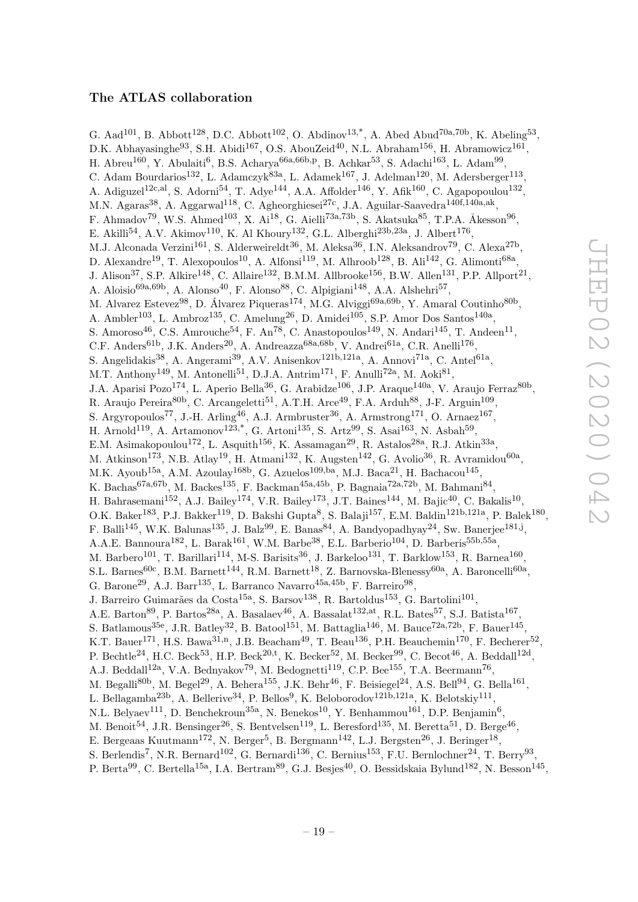# The ATLAS collaboration

<span id="page-19-0"></span>G. Aad<sup>101</sup>, B. Abbott<sup>128</sup>, D.C. Abbott<sup>102</sup>, O. Abdinov<sup>13,\*</sup>, A. Abed Abud<sup>70a,70b</sup>, K. Abeling<sup>53</sup>, D.K. Abhayasinghe<sup>93</sup>, S.H. Abidi<sup>167</sup>, O.S. AbouZeid<sup>40</sup>, N.L. Abraham<sup>156</sup>, H. Abramowicz<sup>161</sup>, H. Abreu<sup>160</sup>, Y. Abulaiti<sup>6</sup>, B.S. Acharya<sup>66a,66b,p</sup>, B. Achkar<sup>53</sup>, S. Adachi<sup>163</sup>, L. Adam<sup>99</sup>, C. Adam Bourdarios<sup>132</sup>, L. Adamczyk<sup>83a</sup>, L. Adamek<sup>167</sup>, J. Adelman<sup>120</sup>, M. Adersberger<sup>113</sup>, A. Adiguzel<sup>12c,al</sup>, S. Adorni<sup>54</sup>, T. Adye<sup>144</sup>, A.A. Affolder<sup>146</sup>, Y. Afik<sup>160</sup>, C. Agapopoulou<sup>132</sup>, M.N. Agaras<sup>38</sup>, A. Aggarwal<sup>118</sup>, C. Agheorghiesei<sup>27c</sup>, J.A. Aguilar-Saavedra<sup>140f,140a,ak</sup>, F. Ahmadov<sup>79</sup>, W.S. Ahmed<sup>103</sup>, X. Ai<sup>18</sup>, G. Aielli<sup>73a,73b</sup>, S. Akatsuka<sup>85</sup>, T.P.A. Åkesson<sup>96</sup>, E. Akilli<sup>54</sup>, A.V. Akimov<sup>110</sup>, K. Al Khoury<sup>132</sup>, G.L. Alberghi<sup>23b,23a</sup>, J. Albert<sup>176</sup>, M.J. Alconada Verzini<sup>161</sup>, S. Alderweireldt<sup>36</sup>, M. Aleksa<sup>36</sup>, I.N. Aleksandrov<sup>79</sup>, C. Alexa<sup>27b</sup>, D. Alexandre<sup>19</sup>, T. Alexopoulos<sup>10</sup>, A. Alfonsi<sup>119</sup>, M. Alhroob<sup>128</sup>, B. Ali<sup>142</sup>, G. Alimonti<sup>68a</sup>, J. Alison<sup>37</sup>, S.P. Alkire<sup>148</sup>, C. Allaire<sup>132</sup>, B.M.M. Allbrooke<sup>156</sup>, B.W. Allen<sup>131</sup>, P.P. Allport<sup>21</sup>, A. Aloisio<sup>69a,69b</sup>, A. Alonso<sup>40</sup>, F. Alonso<sup>88</sup>, C. Alpigiani<sup>148</sup>, A.A. Alshehri<sup>57</sup>, M. Alvarez Estevez<sup>98</sup>, D. Álvarez Piqueras<sup>174</sup>, M.G. Alviggi<sup>69a,69b</sup>, Y. Amaral Coutinho<sup>80b</sup>, A. Ambler<sup>103</sup>, L. Ambroz<sup>135</sup>, C. Amelung<sup>26</sup>, D. Amidei<sup>105</sup>, S.P. Amor Dos Santos<sup>140a</sup>, S. Amoroso<sup>46</sup>, C.S. Amrouche<sup>54</sup>, F. An<sup>78</sup>, C. Anastopoulos<sup>149</sup>, N. Andari<sup>145</sup>, T. Andeen<sup>11</sup>, C.F. Anders<sup>61b</sup>, J.K. Anders<sup>20</sup>, A. Andreazza<sup>68a, 68b</sup>, V. Andrei<sup>61a</sup>, C.R. Anelli<sup>176</sup>, S. Angelidakis<sup>38</sup>, A. Angerami<sup>39</sup>, A.V. Anisenkov<sup>121b,121a</sup>, A. Annovi<sup>71a</sup>, C. Antel<sup>61a</sup>, M.T. Anthony<sup>149</sup>, M. Antonelli<sup>51</sup>, D.J.A. Antrim<sup>171</sup>, F. Anulli<sup>72a</sup>, M. Aoki<sup>81</sup>, J.A. Aparisi Pozo<sup>174</sup>, L. Aperio Bella<sup>36</sup>, G. Arabidze<sup>106</sup>, J.P. Araque<sup>140a</sup>, V. Araujo Ferraz<sup>80b</sup>, R. Araujo Pereira<sup>80b</sup>, C. Arcangeletti<sup>51</sup>, A.T.H. Arce<sup>49</sup>, F.A. Arduh<sup>88</sup>, J-F. Arguin<sup>109</sup>, S. Argyropoulos<sup>77</sup>, J.-H. Arling<sup>46</sup>, A.J. Armbruster<sup>36</sup>, A. Armstrong<sup>171</sup>, O. Arnaez<sup>167</sup>, H. Arnold<sup>119</sup>, A. Artamonov<sup>123,\*</sup>, G. Artoni<sup>135</sup>, S. Artz<sup>99</sup>, S. Asai<sup>163</sup>, N. Asbah<sup>59</sup>, E.M. Asimakopoulou<sup>172</sup>, L. Asquith<sup>156</sup>, K. Assamagan<sup>29</sup>, R. Astalos<sup>28a</sup>, R.J. Atkin<sup>33a</sup>, M. Atkinson<sup>173</sup>, N.B. Atlay<sup>19</sup>, H. Atmani<sup>132</sup>, K. Augsten<sup>142</sup>, G. Avolio<sup>36</sup>, R. Avramidou<sup>60a</sup>, M.K. Ayoub<sup>15a</sup>, A.M. Azoulay<sup>168b</sup>, G. Azuelos<sup>109,ba</sup>, M.J. Baca<sup>21</sup>, H. Bachacou<sup>145</sup>, K. Bachas<sup>67a,67b</sup>, M. Backes<sup>135</sup>, F. Backman<sup>45a,45b</sup>, P. Bagnaia<sup>72a,72b</sup>, M. Bahmani<sup>84</sup>, H. Bahrasemani<sup>152</sup>, A.J. Bailey<sup>174</sup>, V.R. Bailey<sup>173</sup>, J.T. Baines<sup>144</sup>, M. Bajic<sup>40</sup>, C. Bakalis<sup>10</sup>, O.K. Baker<sup>183</sup>, P.J. Bakker<sup>119</sup>, D. Bakshi Gupta<sup>8</sup>, S. Balaji<sup>157</sup>, E.M. Baldin<sup>121b,121a</sup>, P. Balek<sup>180</sup>, F. Balli<sup>145</sup>, W.K. Balunas<sup>135</sup>, J. Balz<sup>99</sup>, E. Banas<sup>84</sup>, A. Bandyopadhyay<sup>24</sup>, Sw. Banerjee<sup>181,j</sup>, A.A.E. Bannoura<sup>182</sup>, L. Barak<sup>161</sup>, W.M. Barbe<sup>38</sup>, E.L. Barberio<sup>104</sup>, D. Barberis<sup>55b,55a</sup>, M. Barbero<sup>101</sup>, T. Barillari<sup>114</sup>, M-S. Barisits<sup>36</sup>, J. Barkeloo<sup>131</sup>, T. Barklow<sup>153</sup>, R. Barnea<sup>160</sup>, S.L. Barnes<sup>60c</sup>, B.M. Barnett<sup>144</sup>, R.M. Barnett<sup>18</sup>, Z. Barnovska-Blenessy<sup>60a</sup>, A. Baroncelli<sup>60a</sup>, G. Barone<sup>29</sup>, A.J. Barr<sup>135</sup>, L. Barranco Navarro<sup>45a,45b</sup>, F. Barreiro<sup>98</sup>, J. Barreiro Guimarães da Costa<sup>15a</sup>, S. Barsov<sup>138</sup>, R. Bartoldus<sup>153</sup>, G. Bartolini<sup>101</sup>, A.E. Barton<sup>89</sup>, P. Bartos<sup>28a</sup>, A. Basalaev<sup>46</sup>, A. Bassalat<sup>132,at</sup>, R.L. Bates<sup>57</sup>, S.J. Batista<sup>167</sup>, S. Batlamous<sup>35e</sup>, J.R. Batley<sup>32</sup>, B. Batool<sup>151</sup>, M. Battaglia<sup>146</sup>, M. Bauce<sup>72a,72b</sup>, F. Bauer<sup>145</sup>, K.T. Bauer<sup>171</sup>, H.S. Bawa<sup>31,n</sup>, J.B. Beacham<sup>49</sup>, T. Beau<sup>136</sup>, P.H. Beauchemin<sup>170</sup>, F. Becherer<sup>52</sup>, P. Bechtle<sup>24</sup>, H.C. Beck<sup>53</sup>, H.P. Beck<sup>20,t</sup>, K. Becker<sup>52</sup>, M. Becker<sup>99</sup>, C. Becot<sup>46</sup>, A. Beddall<sup>12d</sup>, A.J. Beddall<sup>12a</sup>, V.A. Bednyakov<sup>79</sup>, M. Bedognetti<sup>119</sup>, C.P. Bee<sup>155</sup>, T.A. Beermann<sup>76</sup>, M. Begalli<sup>80b</sup>, M. Begel<sup>29</sup>, A. Behera<sup>155</sup>, J.K. Behr<sup>46</sup>, F. Beisiegel<sup>24</sup>, A.S. Bell<sup>94</sup>, G. Bella<sup>161</sup>, L. Bellagamba<sup>23b</sup>, A. Bellerive<sup>34</sup>, P. Bellos<sup>9</sup>, K. Beloborodov<sup>121b,121a</sup>, K. Belotskiy<sup>111</sup>, N.L. Belyaev<sup>111</sup>, D. Benchekroun<sup>35a</sup>, N. Benekos<sup>10</sup>, Y. Benhammou<sup>161</sup>, D.P. Benjamin<sup>6</sup>, M. Benoit<sup>54</sup>, J.R. Bensinger<sup>26</sup>, S. Bentvelsen<sup>119</sup>, L. Beresford<sup>135</sup>, M. Beretta<sup>51</sup>, D. Berge<sup>46</sup>, E. Bergeaas Kuutmann<sup>172</sup>, N. Berger<sup>5</sup>, B. Bergmann<sup>142</sup>, L.J. Bergsten<sup>26</sup>, J. Beringer<sup>18</sup>, S. Berlendis<sup>7</sup>, N.R. Bernard<sup>102</sup>, G. Bernardi<sup>136</sup>, C. Bernius<sup>153</sup>, F.U. Bernlochner<sup>24</sup>, T. Berry<sup>93</sup>, P. Berta<sup>99</sup>, C. Bertella<sup>15a</sup>, I.A. Bertram<sup>89</sup>, G.J. Besjes<sup>40</sup>, O. Bessidskaia Bylund<sup>182</sup>, N. Besson<sup>145</sup>,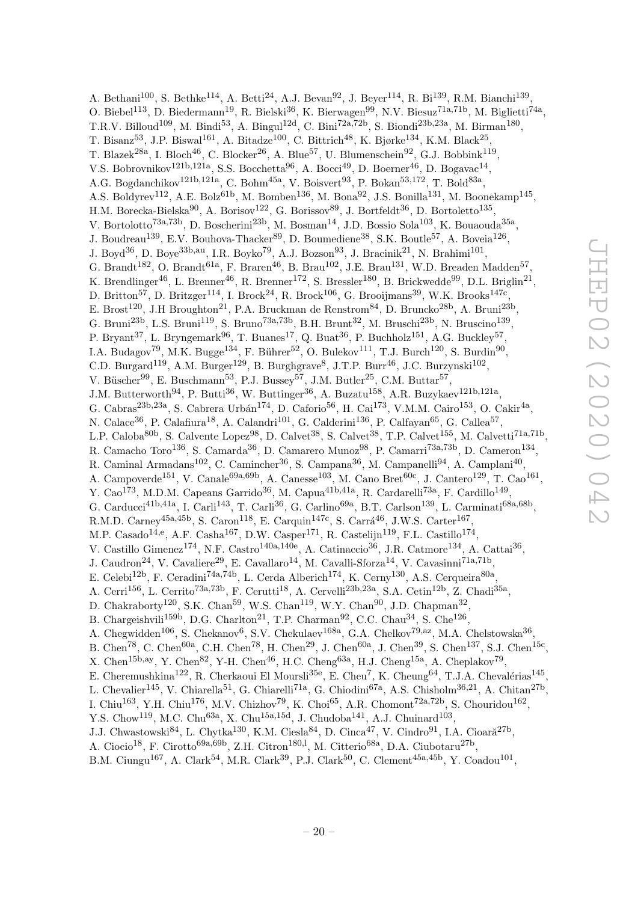A. Bethani<sup>100</sup>, S. Bethke<sup>114</sup>, A. Betti<sup>24</sup>, A.J. Bevan<sup>92</sup>, J. Beyer<sup>114</sup>, R. Bi<sup>139</sup>, R.M. Bianchi<sup>139</sup>, O. Biebel<sup>113</sup>, D. Biedermann<sup>19</sup>, R. Bielski<sup>36</sup>, K. Bierwagen<sup>99</sup>, N.V. Biesuz<sup>71a,71b</sup>, M. Biglietti<sup>74a</sup>, T.R.V. Billoud<sup>109</sup>, M. Bindi<sup>53</sup>, A. Bingul<sup>12d</sup>, C. Bini<sup>72a,72b</sup>, S. Biondi<sup>23b,23a</sup>, M. Birman<sup>180</sup>, T. Bisanz $^{53}$ , J.P. Biswal $^{161}$ , A. Bitadze $^{100}$ , C. Bittrich<sup>48</sup>, K. Bjørke $^{134}$ , K.M. Black $^{25}$ , T. Blazek<sup>28a</sup>, I. Bloch<sup>46</sup>, C. Blocker<sup>26</sup>, A. Blue<sup>57</sup>, U. Blumenschein<sup>92</sup>, G.J. Bobbink<sup>119</sup>, V.S. Bobrovnikov<sup>121b,121a</sup>, S.S. Bocchetta<sup>96</sup>, A. Bocci<sup>49</sup>, D. Boerner<sup>46</sup>, D. Bogavac<sup>14</sup>, A.G. Bogdanchikov<sup>121b,121a</sup>, C. Bohm<sup>45a</sup>, V. Boisvert<sup>93</sup>, P. Bokan<sup>53,172</sup>, T. Bold<sup>83a</sup>, A.S. Boldyrev<sup>112</sup>, A.E. Bolz<sup>61b</sup>, M. Bomben<sup>136</sup>, M. Bona<sup>92</sup>, J.S. Bonilla<sup>131</sup>, M. Boonekamp<sup>145</sup>, H.M. Borecka-Bielska $^{90}$ , A. Borisov<sup>122</sup>, G. Borissov<sup>89</sup>, J. Bortfeldt<sup>36</sup>, D. Bortoletto<sup>135</sup>, V. Bortolotto<sup>73a,73b</sup>, D. Boscherini<sup>23b</sup>, M. Bosman<sup>14</sup>, J.D. Bossio Sola<sup>103</sup>, K. Bouaouda<sup>35a</sup>, J. Boudreau<sup>139</sup>, E.V. Bouhova-Thacker<sup>89</sup>, D. Boumediene<sup>38</sup>, S.K. Boutle<sup>57</sup>, A. Boveia<sup>126</sup>, J. Boyd<sup>36</sup>, D. Boye<sup>33b,au</sup>, I.R. Boyko<sup>79</sup>, A.J. Bozson<sup>93</sup>, J. Bracinik<sup>21</sup>, N. Brahimi<sup>101</sup>, G. Brandt<sup>182</sup>, O. Brandt<sup>61a</sup>, F. Braren<sup>46</sup>, B. Brau<sup>102</sup>, J.E. Brau<sup>131</sup>, W.D. Breaden Madden<sup>57</sup>, K. Brendlinger<sup>46</sup>, L. Brenner<sup>46</sup>, R. Brenner<sup>172</sup>, S. Bressler<sup>180</sup>, B. Brickwedde<sup>99</sup>, D.L. Briglin<sup>21</sup>, D. Britton<sup>57</sup>, D. Britzger<sup>114</sup>, I. Brock<sup>24</sup>, R. Brock<sup>106</sup>, G. Brooijmans<sup>39</sup>, W.K. Brooks<sup>147c</sup>, E. Brost<sup>120</sup>, J.H Broughton<sup>21</sup>, P.A. Bruckman de Renstrom<sup>84</sup>, D. Bruncko<sup>28b</sup>, A. Bruni<sup>23b</sup>, G. Bruni<sup>23b</sup>, L.S. Bruni<sup>119</sup>, S. Bruno<sup>73a,73b</sup>, B.H. Brunt<sup>32</sup>, M. Bruschi<sup>23b</sup>, N. Bruscino<sup>139</sup>, P. Bryant<sup>37</sup>, L. Bryngemark<sup>96</sup>, T. Buanes<sup>17</sup>, Q. Buat<sup>36</sup>, P. Buchholz<sup>151</sup>, A.G. Buckley<sup>57</sup>, I.A. Budagov<sup>79</sup>, M.K. Bugge<sup>134</sup>, F. Bührer<sup>52</sup>, O. Bulekov<sup>111</sup>, T.J. Burch<sup>120</sup>, S. Burdin<sup>90</sup>, C.D. Burgard<sup>119</sup>, A.M. Burger<sup>129</sup>, B. Burghgrave<sup>8</sup>, J.T.P. Burr<sup>46</sup>, J.C. Burzynski<sup>102</sup>, V. Büscher<sup>99</sup>, E. Buschmann<sup>53</sup>, P.J. Bussey<sup>57</sup>, J.M. Butler<sup>25</sup>, C.M. Buttar<sup>57</sup>, J.M. Butterworth<sup>94</sup>, P. Butti<sup>36</sup>, W. Buttinger<sup>36</sup>, A. Buzatu<sup>158</sup>, A.R. Buzykaev<sup>121b,121a</sup>, G. Cabras<sup>23b,23a</sup>, S. Cabrera Urbán<sup>174</sup>, D. Caforio<sup>56</sup>, H. Cai<sup>173</sup>, V.M.M. Cairo<sup>153</sup>, O. Cakir<sup>4a</sup>, N. Calace<sup>36</sup>, P. Calafiura<sup>18</sup>, A. Calandri<sup>101</sup>, G. Calderini<sup>136</sup>, P. Calfayan<sup>65</sup>, G. Callea<sup>57</sup>, L.P. Caloba<sup>80b</sup>, S. Calvente Lopez<sup>98</sup>, D. Calvet<sup>38</sup>, S. Calvet<sup>38</sup>, T.P. Calvet<sup>155</sup>, M. Calvetti<sup>71a,71b</sup>, R. Camacho Toro<sup>136</sup>, S. Camarda<sup>36</sup>, D. Camarero Munoz<sup>98</sup>, P. Camarri<sup>73a,73b</sup>, D. Cameron<sup>134</sup>, R. Caminal Armadans<sup>102</sup>, C. Camincher<sup>36</sup>, S. Campana<sup>36</sup>, M. Campanelli<sup>94</sup>, A. Camplani<sup>40</sup>, A. Campoverde<sup>151</sup>, V. Canale<sup>69a, 69b</sup>, A. Canesse<sup>103</sup>, M. Cano Bret<sup>60c</sup>, J. Cantero<sup>129</sup>, T. Cao<sup>161</sup>, Y. Cao<sup>173</sup>, M.D.M. Capeans Garrido<sup>36</sup>, M. Capua<sup>41b,41a</sup>, R. Cardarelli<sup>73a</sup>, F. Cardillo<sup>149</sup>, G. Carducci<sup>41b,41a</sup>, I. Carli<sup>143</sup>, T. Carli<sup>36</sup>, G. Carlino<sup>69a</sup>, B.T. Carlson<sup>139</sup>, L. Carminati<sup>68a,68b</sup>, R.M.D. Carney<sup>45a,45b</sup>, S. Caron<sup>118</sup>, E. Carquin<sup>147c</sup>, S. Carrá<sup>46</sup>, J.W.S. Carter<sup>167</sup>, M.P. Casado<sup>14,e</sup>, A.F. Casha<sup>167</sup>, D.W. Casper<sup>171</sup>, R. Castelijn<sup>119</sup>, F.L. Castillo<sup>174</sup>, V. Castillo Gimenez<sup>174</sup>, N.F. Castro<sup>140a,140e</sup>, A. Catinaccio<sup>36</sup>, J.R. Catmore<sup>134</sup>, A. Cattai<sup>36</sup>, J. Caudron<sup>24</sup>, V. Cavaliere<sup>29</sup>, E. Cavallaro<sup>14</sup>, M. Cavalli-Sforza<sup>14</sup>, V. Cavasinni<sup>71a,71b</sup>, E. Celebi<sup>12b</sup>, F. Ceradini<sup>74a,74b</sup>, L. Cerda Alberich<sup>174</sup>, K. Cerny<sup>130</sup>, A.S. Cerqueira<sup>80a</sup>, A. Cerri<sup>156</sup>, L. Cerrito<sup>73a,73b</sup>, F. Cerutti<sup>18</sup>, A. Cervelli<sup>23b,23a</sup>, S.A. Cetin<sup>12b</sup>, Z. Chadi<sup>35a</sup>, D. Chakraborty<sup>120</sup>, S.K. Chan<sup>59</sup>, W.S. Chan<sup>119</sup>, W.Y. Chan<sup>90</sup>, J.D. Chapman<sup>32</sup>, B. Chargeishvili<sup>159b</sup>, D.G. Charlton<sup>21</sup>, T.P. Charman<sup>92</sup>, C.C. Chau<sup>34</sup>, S. Che<sup>126</sup>, A. Chegwidden<sup>106</sup>, S. Chekanov<sup>6</sup>, S.V. Chekulaev<sup>168a</sup>, G.A. Chelkov<sup>79,az</sup>, M.A. Chelstowska<sup>36</sup>, B. Chen<sup>78</sup>, C. Chen<sup>60a</sup>, C.H. Chen<sup>78</sup>, H. Chen<sup>29</sup>, J. Chen<sup>60a</sup>, J. Chen<sup>39</sup>, S. Chen<sup>137</sup>, S.J. Chen<sup>15c</sup>, X. Chen<sup>15b,ay</sup>, Y. Chen<sup>82</sup>, Y-H. Chen<sup>46</sup>, H.C. Cheng<sup>63a</sup>, H.J. Cheng<sup>15a</sup>, A. Cheplakov<sup>79</sup>, E. Cheremushkina<sup>122</sup>, R. Cherkaoui El Moursli<sup>35e</sup>, E. Cheu<sup>7</sup>, K. Cheung<sup>64</sup>, T.J.A. Chevalérias<sup>145</sup>, L. Chevalier<sup>145</sup>, V. Chiarella<sup>51</sup>, G. Chiarelli<sup>71a</sup>, G. Chiodini<sup>67a</sup>, A.S. Chisholm<sup>36,21</sup>, A. Chitan<sup>27b</sup>, I. Chiu<sup>163</sup>, Y.H. Chiu<sup>176</sup>, M.V. Chizhov<sup>79</sup>, K. Choi<sup>65</sup>, A.R. Chomont<sup>72a,72b</sup>, S. Chouridou<sup>162</sup>, Y.S. Chow<sup>119</sup>, M.C. Chu<sup>63a</sup>, X. Chu<sup>15a,15d</sup>, J. Chudoba<sup>141</sup>, A.J. Chuinard<sup>103</sup>, J.J. Chwastowski<sup>84</sup>, L. Chytka<sup>130</sup>, K.M. Ciesla<sup>84</sup>, D. Cinca<sup>47</sup>, V. Cindro<sup>91</sup>, I.A. Cioară<sup>27b</sup>,

A. Ciocio<sup>18</sup>, F. Cirotto<sup>69a, 69b</sup>, Z.H. Citron<sup>180, 1</sup>, M. Citterio<sup>68a</sup>, D.A. Ciubotaru<sup>27b</sup>,

B.M. Ciungu<sup>167</sup>, A. Clark<sup>54</sup>, M.R. Clark<sup>39</sup>, P.J. Clark<sup>50</sup>, C. Clement<sup>45a,45b</sup>, Y. Coadou<sup>101</sup>,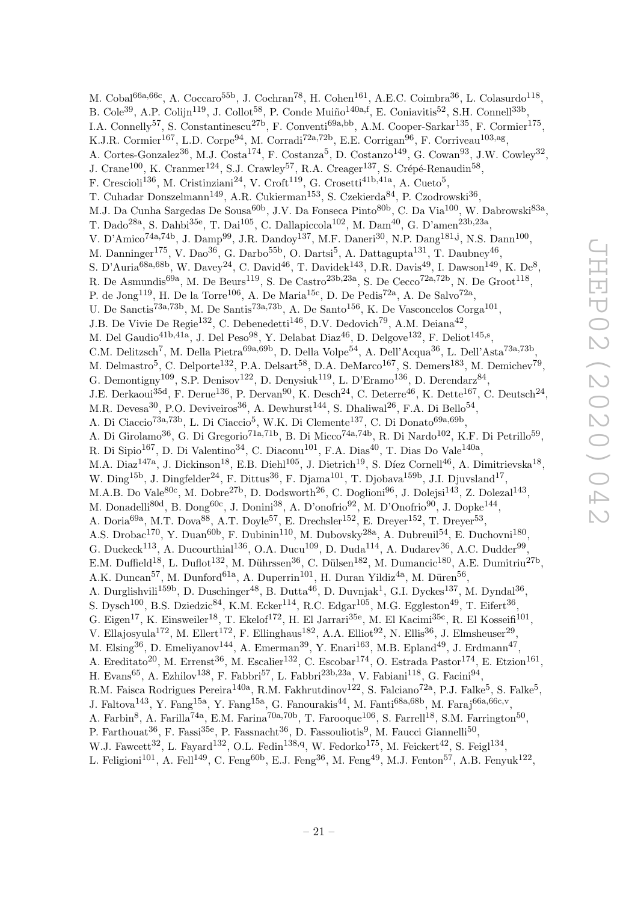M. Cobal<sup>66a,66c</sup>, A. Coccaro<sup>55b</sup>, J. Cochran<sup>78</sup>, H. Cohen<sup>161</sup>, A.E.C. Coimbra<sup>36</sup>, L. Colasurdo<sup>118</sup>, B. Cole<sup>39</sup>, A.P. Colijn<sup>119</sup>, J. Collot<sup>58</sup>, P. Conde Muiño<sup>140a,f</sup>, E. Coniavitis<sup>52</sup>, S.H. Connell<sup>33b</sup>, I.A. Connelly<sup>57</sup>, S. Constantinescu<sup>27b</sup>, F. Conventi<sup>69a,bb</sup>, A.M. Cooper-Sarkar<sup>135</sup>, F. Cormier<sup>175</sup>, K.J.R. Cormier<sup>167</sup>, L.D. Corpe<sup>94</sup>, M. Corradi<sup>72a,72b</sup>, E.E. Corrigan<sup>96</sup>, F. Corriveau<sup>103,ag</sup>, A. Cortes-Gonzalez<sup>36</sup>, M.J. Costa<sup>174</sup>, F. Costanza<sup>5</sup>, D. Costanzo<sup>149</sup>, G. Cowan<sup>93</sup>, J.W. Cowley<sup>32</sup>, J. Crane<sup>100</sup>, K. Cranmer<sup>124</sup>, S.J. Crawley<sup>57</sup>, R.A. Creager<sup>137</sup>, S. Crépé-Renaudin<sup>58</sup>, F. Crescioli<sup>136</sup>, M. Cristinziani<sup>24</sup>, V. Croft<sup>119</sup>, G. Crosetti<sup>41b,41a</sup>, A. Cueto<sup>5</sup>, T. Cuhadar Donszelmann<sup>149</sup>, A.R. Cukierman<sup>153</sup>, S. Czekierda<sup>84</sup>, P. Czodrowski<sup>36</sup>, M.J. Da Cunha Sargedas De Sousa<sup>60b</sup>, J.V. Da Fonseca Pinto<sup>80b</sup>, C. Da Via<sup>100</sup>, W. Dabrowski<sup>83a</sup>, T. Dado<sup>28a</sup>, S. Dahbi<sup>35e</sup>, T. Dai<sup>105</sup>, C. Dallapiccola<sup>102</sup>, M. Dam<sup>40</sup>, G. D'amen<sup>23b,23a</sup>, V. D'Amico<sup>74a,74b</sup>, J. Damp<sup>99</sup>, J.R. Dandoy<sup>137</sup>, M.F. Daneri<sup>30</sup>, N.P. Dang<sup>181,j</sup>, N.S. Dann<sup>100</sup>, M. Danninger<sup>175</sup>, V. Dao<sup>36</sup>, G. Darbo<sup>55b</sup>, O. Dartsi<sup>5</sup>, A. Dattagupta<sup>131</sup>, T. Daubney<sup>46</sup>, S. D'Auria<sup>68a,68b</sup>, W. Davey<sup>24</sup>, C. David<sup>46</sup>, T. Davidek<sup>143</sup>, D.R. Davis<sup>49</sup>, I. Dawson<sup>149</sup>, K. De<sup>8</sup>, R. De Asmundis<sup>69a</sup>, M. De Beurs<sup>119</sup>, S. De Castro<sup>23b,23a</sup>, S. De Cecco<sup>72a,72b</sup>, N. De Groot<sup>118</sup>, P. de Jong<sup>119</sup>, H. De la Torre<sup>106</sup>, A. De Maria<sup>15c</sup>, D. De Pedis<sup>72a</sup>, A. De Salvo<sup>72a</sup>, U. De Sanctis<sup>73a,73b</sup>, M. De Santis<sup>73a,73b</sup>, A. De Santo<sup>156</sup>, K. De Vasconcelos Corga<sup>101</sup>, J.B. De Vivie De Regie<sup>132</sup>, C. Debenedetti<sup>146</sup>, D.V. Dedovich<sup>79</sup>, A.M. Deiana<sup>42</sup>, M. Del Gaudio<sup>41b,41a</sup>, J. Del Peso<sup>98</sup>, Y. Delabat Diaz<sup>46</sup>, D. Delgove<sup>132</sup>, F. Deliot<sup>145,s</sup>, C.M. Delitzsch<sup>7</sup>, M. Della Pietra<sup>69a,69b</sup>, D. Della Volpe<sup>54</sup>, A. Dell'Acqua<sup>36</sup>, L. Dell'Asta<sup>73a,73b</sup>, M. Delmastro<sup>5</sup>, C. Delporte<sup>132</sup>, P.A. Delsart<sup>58</sup>, D.A. DeMarco<sup>167</sup>, S. Demers<sup>183</sup>, M. Demichev<sup>79</sup>, G. Demontigny<sup>109</sup>, S.P. Denisov<sup>122</sup>, D. Denysiuk<sup>119</sup>, L. D'Eramo<sup>136</sup>, D. Derendarz<sup>84</sup>, J.E. Derkaoui<sup>35d</sup>, F. Derue<sup>136</sup>, P. Dervan<sup>90</sup>, K. Desch<sup>24</sup>, C. Deterre<sup>46</sup>, K. Dette<sup>167</sup>, C. Deutsch<sup>24</sup>, M.R. Devesa<sup>30</sup>, P.O. Deviveiros<sup>36</sup>, A. Dewhurst<sup>144</sup>, S. Dhaliwal<sup>26</sup>, F.A. Di Bello<sup>54</sup>, A. Di Ciaccio<sup>73a,73b</sup>, L. Di Ciaccio<sup>5</sup>, W.K. Di Clemente<sup>137</sup>, C. Di Donato<sup>69a,69b</sup>, A. Di Girolamo<sup>36</sup>, G. Di Gregorio<sup>71a,71b</sup>, B. Di Micco<sup>74a,74b</sup>, R. Di Nardo<sup>102</sup>, K.F. Di Petrillo<sup>59</sup>, R. Di Sipio $^{167}$ , D. Di Valentino $^{34}$ , C. Diaconu $^{101}$ , F.A. Dias $^{40}$ , T. Dias Do Vale $^{140a}$ , M.A. Diaz<sup>147a</sup>, J. Dickinson<sup>18</sup>, E.B. Diehl<sup>105</sup>, J. Dietrich<sup>19</sup>, S. Díez Cornell<sup>46</sup>, A. Dimitrievska<sup>18</sup>, W. Ding<sup>15b</sup>, J. Dingfelder<sup>24</sup>, F. Dittus<sup>36</sup>, F. Djama<sup>101</sup>, T. Djobava<sup>159b</sup>, J.I. Djuvsland<sup>17</sup>, M.A.B. Do Vale<sup>80c</sup>, M. Dobre<sup>27b</sup>, D. Dodsworth<sup>26</sup>, C. Doglioni<sup>96</sup>, J. Dolejsi<sup>143</sup>, Z. Dolezal<sup>143</sup>, M. Donadelli<sup>80d</sup>, B. Dong<sup>60c</sup>, J. Donini<sup>38</sup>, A. D'onofrio<sup>92</sup>, M. D'Onofrio<sup>90</sup>, J. Dopke<sup>144</sup>, A. Doria<sup>69a</sup>, M.T. Dova<sup>88</sup>, A.T. Doyle<sup>57</sup>, E. Drechsler<sup>152</sup>, E. Dreyer<sup>152</sup>, T. Dreyer<sup>53</sup>, A.S. Drobac<sup>170</sup>, Y. Duan<sup>60b</sup>, F. Dubinin<sup>110</sup>, M. Dubovsky<sup>28a</sup>, A. Dubreuil<sup>54</sup>, E. Duchovni<sup>180</sup>, G. Duckeck<sup>113</sup>, A. Ducourthial<sup>136</sup>, O.A. Ducu<sup>109</sup>, D. Duda<sup>114</sup>, A. Dudarev<sup>36</sup>, A.C. Dudder<sup>99</sup>, E.M. Duffield<sup>18</sup>, L. Duflot<sup>132</sup>, M. Dührssen<sup>36</sup>, C. Dülsen<sup>182</sup>, M. Dumancic<sup>180</sup>, A.E. Dumitriu<sup>27b</sup>, A.K. Duncan<sup>57</sup>, M. Dunford<sup>61a</sup>, A. Duperrin<sup>101</sup>, H. Duran Yildiz<sup>4a</sup>, M. Düren<sup>56</sup>, A. Durglishvili<sup>159b</sup>, D. Duschinger<sup>48</sup>, B. Dutta<sup>46</sup>, D. Duvnjak<sup>1</sup>, G.I. Dyckes<sup>137</sup>, M. Dyndal<sup>36</sup>, S. Dysch<sup>100</sup>, B.S. Dziedzic<sup>84</sup>, K.M. Ecker<sup>114</sup>, R.C. Edgar<sup>105</sup>, M.G. Eggleston<sup>49</sup>, T. Eifert<sup>36</sup>, G. Eigen<sup>17</sup>, K. Einsweiler<sup>18</sup>, T. Ekelof<sup>172</sup>, H. El Jarrari<sup>35e</sup>, M. El Kacimi<sup>35c</sup>, R. El Kosseifi<sup>101</sup>, V. Ellajosyula<sup>172</sup>, M. Ellert<sup>172</sup>, F. Ellinghaus<sup>182</sup>, A.A. Elliot<sup>92</sup>, N. Ellis<sup>36</sup>, J. Elmsheuser<sup>29</sup>, M. Elsing<sup>36</sup>, D. Emeliyanov<sup>144</sup>, A. Emerman<sup>39</sup>, Y. Enari<sup>163</sup>, M.B. Epland<sup>49</sup>, J. Erdmann<sup>47</sup>, A. Ereditato<sup>20</sup>, M. Errenst<sup>36</sup>, M. Escalier<sup>132</sup>, C. Escobar<sup>174</sup>, O. Estrada Pastor<sup>174</sup>, E. Etzion<sup>161</sup>, H. Evans<sup>65</sup>, A. Ezhilov<sup>138</sup>, F. Fabbri<sup>57</sup>, L. Fabbri<sup>23b,23a</sup>, V. Fabiani<sup>118</sup>, G. Facini<sup>94</sup>, R.M. Faisca Rodrigues Pereira<sup>140a</sup>, R.M. Fakhrutdinov<sup>122</sup>, S. Falciano<sup>72a</sup>, P.J. Falke<sup>5</sup>, S. Falke<sup>5</sup>, J. Faltova<sup>143</sup>, Y. Fang<sup>15a</sup>, Y. Fang<sup>15a</sup>, G. Fanourakis<sup>44</sup>, M. Fanti<sup>68a,68b</sup>, M. Faraj<sup>66a,66c,v</sup>, A. Farbin<sup>8</sup>, A. Farilla<sup>74a</sup>, E.M. Farina<sup>70a,70b</sup>, T. Farooque<sup>106</sup>, S. Farrell<sup>18</sup>, S.M. Farrington<sup>50</sup>, P. Farthouat<sup>36</sup>, F. Fassi<sup>35e</sup>, P. Fassnacht<sup>36</sup>, D. Fassouliotis<sup>9</sup>, M. Faucci Giannelli<sup>50</sup>, W.J. Fawcett<sup>32</sup>, L. Fayard<sup>132</sup>, O.L. Fedin<sup>138,q</sup>, W. Fedorko<sup>175</sup>, M. Feickert<sup>42</sup>, S. Feigl<sup>134</sup>,

L. Feligioni<sup>101</sup>, A. Fell<sup>149</sup>, C. Feng<sup>60b</sup>, E.J. Feng<sup>36</sup>, M. Feng<sup>49</sup>, M.J. Fenton<sup>57</sup>, A.B. Fenyuk<sup>122</sup>,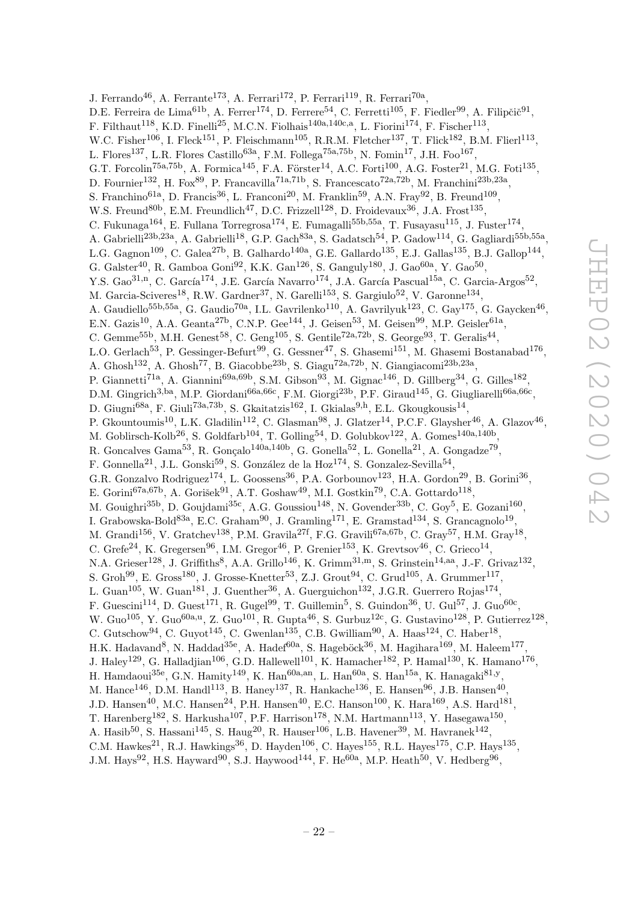J. Ferrando<sup>46</sup>, A. Ferrante<sup>173</sup>, A. Ferrari<sup>172</sup>, P. Ferrari<sup>119</sup>, R. Ferrari<sup>70a</sup>, D.E. Ferreira de Lima<sup>61b</sup>, A. Ferrer<sup>174</sup>, D. Ferrere<sup>54</sup>, C. Ferretti<sup>105</sup>, F. Fiedler<sup>99</sup>, A. Filipčič<sup>91</sup>, F. Filthaut<sup>118</sup>, K.D. Finelli<sup>25</sup>, M.C.N. Fiolhais<sup>140a,140c,a</sup>, L. Fiorini<sup>174</sup>, F. Fischer<sup>113</sup>, W.C. Fisher<sup>106</sup>, I. Fleck<sup>151</sup>, P. Fleischmann<sup>105</sup>, R.R.M. Fletcher<sup>137</sup>, T. Flick<sup>182</sup>, B.M. Flierl<sup>113</sup>, L. Flores<sup>137</sup>, L.R. Flores Castillo<sup>63a</sup>, F.M. Follega<sup>75a,75b</sup>, N. Fomin<sup>17</sup>, J.H. Foo<sup>167</sup>, G.T. Forcolin<sup>75a,75b</sup>, A. Formica<sup>145</sup>, F.A. Förster<sup>14</sup>, A.C. Forti<sup>100</sup>, A.G. Foster<sup>21</sup>, M.G. Foti<sup>135</sup>, D. Fournier<sup>132</sup>, H. Fox<sup>89</sup>, P. Francavilla<sup>71a,71b</sup>, S. Francescato<sup>72a,72b</sup>, M. Franchini<sup>23b,23a</sup>, S. Franchino<sup>61a</sup>, D. Francis<sup>36</sup>, L. Franconi<sup>20</sup>, M. Franklin<sup>59</sup>, A.N. Fray<sup>92</sup>, B. Freund<sup>109</sup>, W.S. Freund<sup>80b</sup>, E.M. Freundlich<sup>47</sup>, D.C. Frizzell<sup>128</sup>, D. Froidevaux<sup>36</sup>, J.A. Frost<sup>135</sup>, C. Fukunaga<sup>164</sup>, E. Fullana Torregrosa<sup>174</sup>, E. Fumagalli<sup>55b,55a</sup>, T. Fusayasu<sup>115</sup>, J. Fuster<sup>174</sup>, A. Gabrielli<sup>23b,23a</sup>, A. Gabrielli<sup>18</sup>, G.P. Gach<sup>83a</sup>, S. Gadatsch<sup>54</sup>, P. Gadow<sup>114</sup>, G. Gagliardi<sup>55b,55a</sup>, L.G. Gagnon<sup>109</sup>, C. Galea<sup>27b</sup>, B. Galhardo<sup>140a</sup>, G.E. Gallardo<sup>135</sup>, E.J. Gallas<sup>135</sup>, B.J. Gallop<sup>144</sup>, G. Galster<sup>40</sup>, R. Gamboa Goni<sup>92</sup>, K.K. Gan<sup>126</sup>, S. Ganguly<sup>180</sup>, J. Gao<sup>60a</sup>, Y. Gao<sup>50</sup>, Y.S. Gao<sup>31,n</sup>, C. García<sup>174</sup>, J.E. García Navarro<sup>174</sup>, J.A. García Pascual<sup>15a</sup>, C. Garcia-Argos<sup>52</sup>, M. Garcia-Sciveres<sup>18</sup>, R.W. Gardner<sup>37</sup>, N. Garelli<sup>153</sup>, S. Gargiulo<sup>52</sup>, V. Garonne<sup>134</sup>, A. Gaudiello<sup>55b,55a</sup>, G. Gaudio<sup>70a</sup>, I.L. Gavrilenko<sup>110</sup>, A. Gavrilyuk<sup>123</sup>, C. Gay<sup>175</sup>, G. Gaycken<sup>46</sup>, E.N. Gazis<sup>10</sup>, A.A. Geanta<sup>27b</sup>, C.N.P. Gee<sup>144</sup>, J. Geisen<sup>53</sup>, M. Geisen<sup>99</sup>, M.P. Geisler<sup>61a</sup>, C. Gemme<sup>55b</sup>, M.H. Genest<sup>58</sup>, C. Geng<sup>105</sup>, S. Gentile<sup>72a,72b</sup>, S. George<sup>93</sup>, T. Geralis<sup>44</sup>, L.O. Gerlach<sup>53</sup>, P. Gessinger-Befurt<sup>99</sup>, G. Gessner<sup>47</sup>, S. Ghasemi<sup>151</sup>, M. Ghasemi Bostanabad<sup>176</sup>, A. Ghosh<sup>132</sup>, A. Ghosh<sup>77</sup>, B. Giacobbe<sup>23b</sup>, S. Giagu<sup>72a,72b</sup>, N. Giangiacomi<sup>23b,23a</sup>, P. Giannetti<sup>71a</sup>, A. Giannini<sup>69a,69b</sup>, S.M. Gibson<sup>93</sup>, M. Gignac<sup>146</sup>, D. Gillberg<sup>34</sup>, G. Gilles<sup>182</sup>, D.M. Gingrich<sup>3,ba</sup>, M.P. Giordani<sup>66a,66c</sup>, F.M. Giorgi<sup>23b</sup>, P.F. Giraud<sup>145</sup>, G. Giugliarelli<sup>66a,66c</sup>, D. Giugni<sup>68a</sup>, F. Giuli<sup>73a,73b</sup>, S. Gkaitatzis<sup>162</sup>, I. Gkialas<sup>9,h</sup>, E.L. Gkougkousis<sup>14</sup>, P. Gkountoumis<sup>10</sup>, L.K. Gladilin<sup>112</sup>, C. Glasman<sup>98</sup>, J. Glatzer<sup>14</sup>, P.C.F. Glaysher<sup>46</sup>, A. Glazov<sup>46</sup>, M. Goblirsch-Kolb<sup>26</sup>, S. Goldfarb<sup>104</sup>, T. Golling<sup>54</sup>, D. Golubkov<sup>122</sup>, A. Gomes<sup>140a,140b</sup>, R. Goncalves Gama<sup>53</sup>, R. Gonçalo<sup>140a,140b</sup>, G. Gonella<sup>52</sup>, L. Gonella<sup>21</sup>, A. Gongadze<sup>79</sup>, F. Gonnella<sup>21</sup>, J.L. Gonski<sup>59</sup>, S. González de la Hoz<sup>174</sup>, S. Gonzalez-Sevilla<sup>54</sup>, G.R. Gonzalvo Rodriguez<sup>174</sup>, L. Goossens<sup>36</sup>, P.A. Gorbounov<sup>123</sup>, H.A. Gordon<sup>29</sup>, B. Gorini<sup>36</sup>, E. Gorini<sup>67a,67b</sup>, A. Gorišek<sup>91</sup>, A.T. Goshaw<sup>49</sup>, M.I. Gostkin<sup>79</sup>, C.A. Gottardo<sup>118</sup>, M. Gouighri<sup>35b</sup>, D. Goujdami<sup>35c</sup>, A.G. Goussiou<sup>148</sup>, N. Govender<sup>33b</sup>, C. Goy<sup>5</sup>, E. Gozani<sup>160</sup>, I. Grabowska-Bold<sup>83a</sup>, E.C. Graham<sup>90</sup>, J. Gramling<sup>171</sup>, E. Gramstad<sup>134</sup>, S. Grancagnolo<sup>19</sup>, M. Grandi<sup>156</sup>, V. Gratchev<sup>138</sup>, P.M. Gravila<sup>27f</sup>, F.G. Gravili<sup>67a,67b</sup>, C. Gray<sup>57</sup>, H.M. Gray<sup>18</sup>, C. Grefe<sup>24</sup>, K. Gregersen<sup>96</sup>, I.M. Gregor<sup>46</sup>, P. Grenier<sup>153</sup>, K. Grevtsov<sup>46</sup>, C. Grieco<sup>14</sup>, N.A. Grieser<sup>128</sup>, J. Griffiths<sup>8</sup>, A.A. Grillo<sup>146</sup>, K. Grimm<sup>31,m</sup>, S. Grinstein<sup>14,aa</sup>, J.-F. Grivaz<sup>132</sup>, S. Groh<sup>99</sup>, E. Gross<sup>180</sup>, J. Grosse-Knetter<sup>53</sup>, Z.J. Grout<sup>94</sup>, C. Grud<sup>105</sup>, A. Grummer<sup>117</sup>, L. Guan<sup>105</sup>, W. Guan<sup>181</sup>, J. Guenther<sup>36</sup>, A. Guerguichon<sup>132</sup>, J.G.R. Guerrero Rojas<sup>174</sup>, F. Guescini<sup>114</sup>, D. Guest<sup>171</sup>, R. Gugel<sup>99</sup>, T. Guillemin<sup>5</sup>, S. Guindon<sup>36</sup>, U. Gul<sup>57</sup>, J. Guo<sup>60c</sup>, W. Guo<sup>105</sup>, Y. Guo<sup>60a,u</sup>, Z. Guo<sup>101</sup>, R. Gupta<sup>46</sup>, S. Gurbuz<sup>12c</sup>, G. Gustavino<sup>128</sup>, P. Gutierrez<sup>128</sup>, C. Gutschow<sup>94</sup>, C. Guyot<sup>145</sup>, C. Gwenlan<sup>135</sup>, C.B. Gwilliam<sup>90</sup>, A. Haas<sup>124</sup>, C. Haber<sup>18</sup>, H.K. Hadavand<sup>8</sup>, N. Haddad<sup>35e</sup>, A. Hadef<sup>60a</sup>, S. Hageböck<sup>36</sup>, M. Hagihara<sup>169</sup>, M. Haleem<sup>177</sup>, J. Haley<sup>129</sup>, G. Halladjian<sup>106</sup>, G.D. Hallewell<sup>101</sup>, K. Hamacher<sup>182</sup>, P. Hamal<sup>130</sup>, K. Hamano<sup>176</sup>, H. Hamdaoui<sup>35e</sup>, G.N. Hamity<sup>149</sup>, K. Han<sup>60a, an</sup>, L. Han<sup>60a</sup>, S. Han<sup>15a</sup>, K. Hanagaki<sup>81,y</sup>, M. Hance<sup>146</sup>, D.M. Handl<sup>113</sup>, B. Haney<sup>137</sup>, R. Hankache<sup>136</sup>, E. Hansen<sup>96</sup>, J.B. Hansen<sup>40</sup>, J.D. Hansen<sup>40</sup>, M.C. Hansen<sup>24</sup>, P.H. Hansen<sup>40</sup>, E.C. Hanson<sup>100</sup>, K. Hara<sup>169</sup>, A.S. Hard<sup>181</sup>, T. Harenberg<sup>182</sup>, S. Harkusha<sup>107</sup>, P.F. Harrison<sup>178</sup>, N.M. Hartmann<sup>113</sup>, Y. Hasegawa<sup>150</sup>, A. Hasib<sup>50</sup>, S. Hassani<sup>145</sup>, S. Haug<sup>20</sup>, R. Hauser<sup>106</sup>, L.B. Havener<sup>39</sup>, M. Havranek<sup>142</sup>, C.M. Hawkes<sup>21</sup>, R.J. Hawkings<sup>36</sup>, D. Hayden<sup>106</sup>, C. Hayes<sup>155</sup>, R.L. Hayes<sup>175</sup>, C.P. Hays<sup>135</sup>,

J.M. Hays<sup>92</sup>, H.S. Hayward<sup>90</sup>, S.J. Haywood<sup>144</sup>, F. He<sup>60a</sup>, M.P. Heath<sup>50</sup>, V. Hedberg<sup>96</sup>,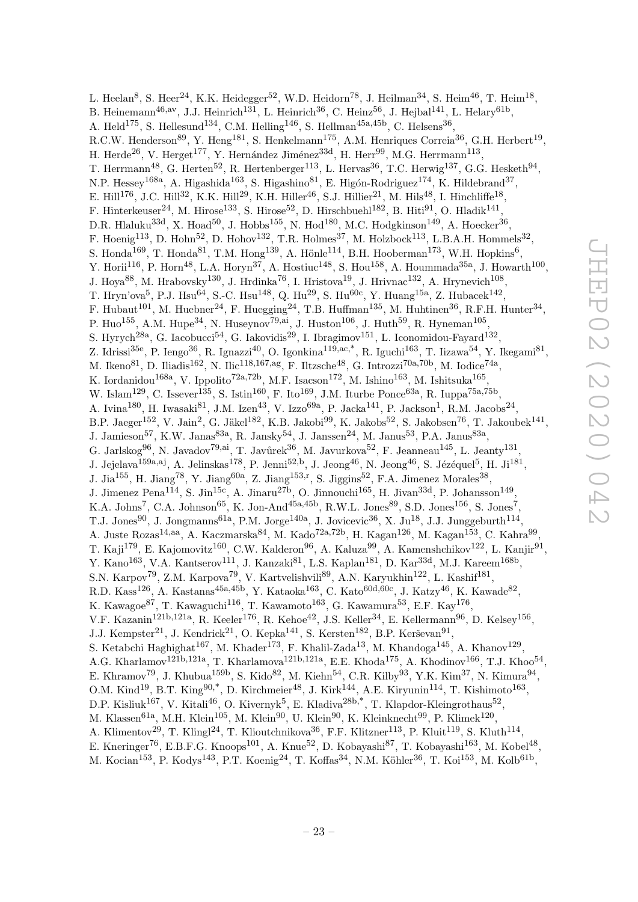L. Heelan<sup>8</sup>, S. Heer<sup>24</sup>, K.K. Heidegger<sup>52</sup>, W.D. Heidorn<sup>78</sup>, J. Heilman<sup>34</sup>, S. Heim<sup>46</sup>, T. Heim<sup>18</sup>, B. Heinemann<sup>46,av</sup>, J.J. Heinrich<sup>131</sup>, L. Heinrich<sup>36</sup>, C. Heinz<sup>56</sup>, J. Hejbal<sup>141</sup>, L. Helary<sup>61b</sup>, A. Held<sup>175</sup>, S. Hellesund<sup>134</sup>, C.M. Helling<sup>146</sup>, S. Hellman<sup>45a,45b</sup>, C. Helsens<sup>36</sup>, R.C.W. Henderson<sup>89</sup>, Y. Heng<sup>181</sup>, S. Henkelmann<sup>175</sup>, A.M. Henriques Correia<sup>36</sup>, G.H. Herbert<sup>19</sup>, H. Herde<sup>26</sup>, V. Herget<sup>177</sup>, Y. Hernández Jiménez<sup>33d</sup>, H. Herr<sup>99</sup>, M.G. Herrmann<sup>113</sup>, T. Herrmann<sup>48</sup>, G. Herten<sup>52</sup>, R. Hertenberger<sup>113</sup>, L. Hervas<sup>36</sup>, T.C. Herwig<sup>137</sup>, G.G. Hesketh<sup>94</sup>, N.P. Hessey<sup>168a</sup>, A. Higashida<sup>163</sup>, S. Higashino<sup>81</sup>, E. Higón-Rodriguez<sup>174</sup>, K. Hildebrand<sup>37</sup>, E. Hill<sup>176</sup>, J.C. Hill<sup>32</sup>, K.K. Hill<sup>29</sup>, K.H. Hiller<sup>46</sup>, S.J. Hillier<sup>21</sup>, M. Hils<sup>48</sup>, I. Hinchliffe<sup>18</sup>, F. Hinterkeuser<sup>24</sup>, M. Hirose<sup>133</sup>, S. Hirose<sup>52</sup>, D. Hirschbuehl<sup>182</sup>, B. Hiti<sup>91</sup>, O. Hladik<sup>141</sup>, D.R. Hlaluku<sup>33d</sup>, X. Hoad<sup>50</sup>, J. Hobbs<sup>155</sup>, N. Hod<sup>180</sup>, M.C. Hodgkinson<sup>149</sup>, A. Hoecker<sup>36</sup>, F. Hoenig<sup>113</sup>, D. Hohn<sup>52</sup>, D. Hohov<sup>132</sup>, T.R. Holmes<sup>37</sup>, M. Holzbock<sup>113</sup>, L.B.A.H. Hommels<sup>32</sup>, S. Honda<sup>169</sup>, T. Honda<sup>81</sup>, T.M. Hong<sup>139</sup>, A. Hönle<sup>114</sup>, B.H. Hooberman<sup>173</sup>, W.H. Hopkins<sup>6</sup>, Y. Horii<sup>116</sup>, P. Horn<sup>48</sup>, L.A. Horyn<sup>37</sup>, A. Hostiuc<sup>148</sup>, S. Hou<sup>158</sup>, A. Hoummada<sup>35a</sup>, J. Howarth<sup>100</sup>, J. Hoya<sup>88</sup>, M. Hrabovsky<sup>130</sup>, J. Hrdinka<sup>76</sup>, I. Hristova<sup>19</sup>, J. Hrivnac<sup>132</sup>, A. Hrynevich<sup>108</sup>, T. Hryn'ova<sup>5</sup>, P.J. Hsu<sup>64</sup>, S.-C. Hsu<sup>148</sup>, Q. Hu<sup>29</sup>, S. Hu<sup>60c</sup>, Y. Huang<sup>15a</sup>, Z. Hubacek<sup>142</sup>, F. Hubaut<sup>101</sup>, M. Huebner<sup>24</sup>, F. Huegging<sup>24</sup>, T.B. Huffman<sup>135</sup>, M. Huhtinen<sup>36</sup>, R.F.H. Hunter<sup>34</sup>, P. Huo<sup>155</sup>, A.M. Hupe<sup>34</sup>, N. Huseynov<sup>79,ai</sup>, J. Huston<sup>106</sup>, J. Huth<sup>59</sup>, R. Hyneman<sup>105</sup>, S. Hyrych<sup>28a</sup>, G. Iacobucci<sup>54</sup>, G. Iakovidis<sup>29</sup>, I. Ibragimov<sup>151</sup>, L. Iconomidou-Fayard<sup>132</sup>, Z. Idrissi<sup>35e</sup>, P. Iengo<sup>36</sup>, R. Ignazzi<sup>40</sup>, O. Igonkina<sup>119,ac,\*</sup>, R. Iguchi<sup>163</sup>, T. Iizawa<sup>54</sup>, Y. Ikegami<sup>81</sup>, M. Ikeno<sup>81</sup>, D. Iliadis<sup>162</sup>, N. Ilic<sup>118,167,ag</sup>, F. Iltzsche<sup>48</sup>, G. Introzzi<sup>70a,70b</sup>, M. Iodice<sup>74a</sup>, K. Iordanidou<sup>168a</sup>, V. Ippolito<sup>72a,72b</sup>, M.F. Isacson<sup>172</sup>, M. Ishino<sup>163</sup>, M. Ishitsuka<sup>165</sup>, W. Islam<sup>129</sup>, C. Issever<sup>135</sup>, S. Istin<sup>160</sup>, F. Ito<sup>169</sup>, J.M. Iturbe Ponce<sup>63a</sup>, R. Iuppa<sup>75a,75b</sup>, A. Ivina<sup>180</sup>, H. Iwasaki<sup>81</sup>, J.M. Izen<sup>43</sup>, V. Izzo<sup>69a</sup>, P. Jacka<sup>141</sup>, P. Jackson<sup>1</sup>, R.M. Jacobs<sup>24</sup>, B.P. Jaeger<sup>152</sup>, V. Jain<sup>2</sup>, G. Jäkel<sup>182</sup>, K.B. Jakobi<sup>99</sup>, K. Jakobs<sup>52</sup>, S. Jakobsen<sup>76</sup>, T. Jakoubek<sup>141</sup>, J. Jamieson<sup>57</sup>, K.W. Janas<sup>83a</sup>, R. Jansky<sup>54</sup>, J. Janssen<sup>24</sup>, M. Janus<sup>53</sup>, P.A. Janus<sup>83a</sup>, G. Jarlskog<sup>96</sup>, N. Javadov<sup>79,ai</sup>, T. Javůrek<sup>36</sup>, M. Javurkova<sup>52</sup>, F. Jeanneau<sup>145</sup>, L. Jeanty<sup>131</sup>, J. Jejelava<sup>159a,aj</sup>, A. Jelinskas<sup>178</sup>, P. Jenni<sup>52,b</sup>, J. Jeong<sup>46</sup>, N. Jeong<sup>46</sup>, S. Jézéquel<sup>5</sup>, H. Ji<sup>181</sup>, J. Jia<sup>155</sup>, H. Jiang<sup>78</sup>, Y. Jiang<sup>60a</sup>, Z. Jiang<sup>153,r</sup>, S. Jiggins<sup>52</sup>, F.A. Jimenez Morales<sup>38</sup>, J. Jimenez Pena<sup>114</sup>, S. Jin<sup>15c</sup>, A. Jinaru<sup>27b</sup>, O. Jinnouchi<sup>165</sup>, H. Jivan<sup>33d</sup>, P. Johansson<sup>149</sup>, K.A. Johns<sup>7</sup>, C.A. Johnson<sup>65</sup>, K. Jon-And<sup>45a,45b</sup>, R.W.L. Jones<sup>89</sup>, S.D. Jones<sup>156</sup>, S. Jones<sup>7</sup>, T.J. Jones<sup>90</sup>, J. Jongmanns<sup>61a</sup>, P.M. Jorge<sup>140a</sup>, J. Jovicevic<sup>36</sup>, X. Ju<sup>18</sup>, J.J. Junggeburth<sup>114</sup>, A. Juste Rozas<sup>14,aa</sup>, A. Kaczmarska<sup>84</sup>, M. Kado<sup>72a,72b</sup>, H. Kagan<sup>126</sup>, M. Kagan<sup>153</sup>, C. Kahra<sup>99</sup>, T. Kaji $^{179}$ , E. Kajomovitz<sup>160</sup>, C.W. Kalderon<sup>96</sup>, A. Kaluza<sup>99</sup>, A. Kamenshchikov<sup>122</sup>, L. Kanjir<sup>91</sup>, Y. Kano<sup>163</sup>, V.A. Kantserov<sup>111</sup>, J. Kanzaki<sup>81</sup>, L.S. Kaplan<sup>181</sup>, D. Kar<sup>33d</sup>, M.J. Kareem<sup>168b</sup>, S.N. Karpov<sup>79</sup>, Z.M. Karpova<sup>79</sup>, V. Kartvelishvili<sup>89</sup>, A.N. Karyukhin<sup>122</sup>, L. Kashif<sup>181</sup>, R.D. Kass<sup>126</sup>, A. Kastanas<sup>45a,45b</sup>, Y. Kataoka<sup>163</sup>, C. Kato<sup>60d,60c</sup>, J. Katzy<sup>46</sup>, K. Kawade<sup>82</sup>, K. Kawagoe $^{87}$ , T. Kawaguchi $^{116}$ , T. Kawamoto $^{163}$ , G. Kawamura $^{53}$ , E.F. Kay $^{176}$ , V.F. Kazanin<sup>121b,121a</sup>, R. Keeler<sup>176</sup>, R. Kehoe<sup>42</sup>, J.S. Keller<sup>34</sup>, E. Kellermann<sup>96</sup>, D. Kelsey<sup>156</sup>, J.J. Kempster<sup>21</sup>, J. Kendrick<sup>21</sup>, O. Kepka<sup>141</sup>, S. Kersten<sup>182</sup>, B.P. Kerševan<sup>91</sup>, S. Ketabchi Haghighat<sup>167</sup>, M. Khader<sup>173</sup>, F. Khalil-Zada<sup>13</sup>, M. Khandoga<sup>145</sup>, A. Khanov<sup>129</sup>, A.G. Kharlamov<sup>121b,121a</sup>, T. Kharlamova<sup>121b,121a</sup>, E.E. Khoda<sup>175</sup>, A. Khodinov<sup>166</sup>, T.J. Khoo<sup>54</sup>, E. Khramov<sup>79</sup>, J. Khubua<sup>159b</sup>, S. Kido<sup>82</sup>, M. Kiehn<sup>54</sup>, C.R. Kilby<sup>93</sup>, Y.K. Kim<sup>37</sup>, N. Kimura<sup>94</sup>, O.M. Kind<sup>19</sup>, B.T. King<sup>90,\*</sup>, D. Kirchmeier<sup>48</sup>, J. Kirk<sup>144</sup>, A.E. Kiryunin<sup>114</sup>, T. Kishimoto<sup>163</sup>, D.P. Kisliuk<sup>167</sup>, V. Kitali<sup>46</sup>, O. Kivernyk<sup>5</sup>, E. Kladiva<sup>28b,\*</sup>, T. Klapdor-Kleingrothaus<sup>52</sup>, M. Klassen<sup>61a</sup>, M.H. Klein<sup>105</sup>, M. Klein<sup>90</sup>, U. Klein<sup>90</sup>, K. Kleinknecht<sup>99</sup>, P. Klimek<sup>120</sup>, A. Klimentov<sup>29</sup>, T. Klingl<sup>24</sup>, T. Klioutchnikova<sup>36</sup>, F.F. Klitzner<sup>113</sup>, P. Kluit<sup>119</sup>, S. Kluth<sup>114</sup>, E. Kneringer<sup>76</sup>, E.B.F.G. Knoops<sup>101</sup>, A. Knue<sup>52</sup>, D. Kobayashi<sup>87</sup>, T. Kobayashi<sup>163</sup>, M. Kobel<sup>48</sup>,

M. Kocian<sup>153</sup>, P. Kodys<sup>143</sup>, P.T. Koenig<sup>24</sup>, T. Koffas<sup>34</sup>, N.M. Köhler<sup>36</sup>, T. Koi<sup>153</sup>, M. Kolb<sup>61b</sup>,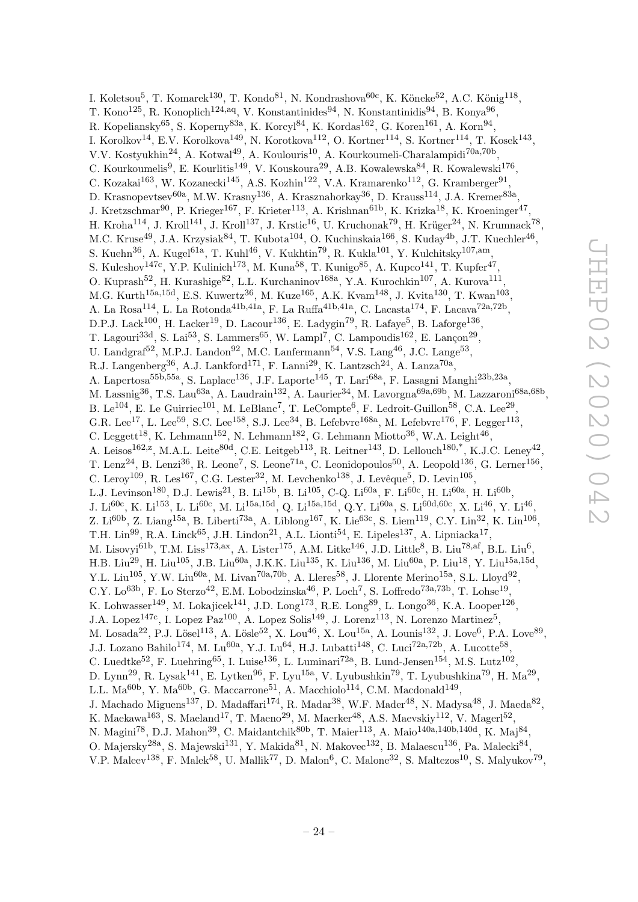I. Koletsou<sup>5</sup>, T. Komarek<sup>130</sup>, T. Kondo<sup>81</sup>, N. Kondrashova<sup>60c</sup>, K. Köneke<sup>52</sup>, A.C. König<sup>118</sup>, T. Kono $^{125}$ , R. Konoplich<sup>124,aq</sup>, V. Konstantinides<sup>94</sup>, N. Konstantinidis<sup>94</sup>, B. Konya<sup>96</sup>, R. Kopeliansky $^{65}$ , S. Koperny $^{83a}$ , K. Korcyl $^{84}$ , K. Kordas $^{162}$ , G. Koren $^{161}$ , A. Korn $^{94}$ , I. Korolkov $^{14}$ , E.V. Korolkova $^{149}$ , N. Korotkova $^{112}$ , O. Kortner $^{114}$ , S. Kortner $^{114}$ , T. Kosek $^{143}$ , V.V. Kostyukhin<sup>24</sup>, A. Kotwal<sup>49</sup>, A. Koulouris<sup>10</sup>, A. Kourkoumeli-Charalampidi<sup>70a,70b</sup>, C. Kourkoumelis<sup>9</sup>, E. Kourlitis<sup>149</sup>, V. Kouskoura<sup>29</sup>, A.B. Kowalewska<sup>84</sup>, R. Kowalewski<sup>176</sup>, C. Kozakai<sup>163</sup>, W. Kozanecki<sup>145</sup>, A.S. Kozhin<sup>122</sup>, V.A. Kramarenko<sup>112</sup>, G. Kramberger<sup>91</sup>, D. Krasnopevtsev $^{60a}$ , M.W. Krasny $^{136}$ , A. Krasznahorkay $^{36}$ , D. Krauss $^{114}$ , J.A. Kremer $^{83a}$ , J. Kretzschmar<sup>90</sup>, P. Krieger<sup>167</sup>, F. Krieter<sup>113</sup>, A. Krishnan<sup>61b</sup>, K. Krizka<sup>18</sup>, K. Kroeninger<sup>47</sup>, H. Kroha $^{114}$ , J. Kroll $^{141}$ , J. Kroll $^{137}$ , J. Krstic $^{16}$ , U. Kruchonak $^{79}$ , H. Krüger $^{24}$ , N. Krumnack $^{78}$ , M.C. Kruse<sup>49</sup>, J.A. Krzysiak<sup>84</sup>, T. Kubota<sup>104</sup>, O. Kuchinskaia<sup>166</sup>, S. Kuday<sup>4b</sup>, J.T. Kuechler<sup>46</sup>, S. Kuehn<sup>36</sup>, A. Kugel<sup>61a</sup>, T. Kuhl<sup>46</sup>, V. Kukhtin<sup>79</sup>, R. Kukla<sup>101</sup>, Y. Kulchitsky<sup>107,am</sup>, S. Kuleshov<sup>147c</sup>, Y.P. Kulinich<sup>173</sup>, M. Kuna<sup>58</sup>, T. Kunigo<sup>85</sup>, A. Kupco<sup>141</sup>, T. Kupfer<sup>47</sup>, O. Kuprash<sup>52</sup>, H. Kurashige<sup>82</sup>, L.L. Kurchaninov<sup>168a</sup>, Y.A. Kurochkin<sup>107</sup>, A. Kurova<sup>111</sup>, M.G. Kurth<sup>15a,15d</sup>, E.S. Kuwertz<sup>36</sup>, M. Kuze<sup>165</sup>, A.K. Kvam<sup>148</sup>, J. Kvita<sup>130</sup>, T. Kwan<sup>103</sup>, A. La Rosa<sup>114</sup>, L. La Rotonda<sup>41b,41a</sup>, F. La Ruffa<sup>41b,41a</sup>, C. Lacasta<sup>174</sup>, F. Lacava<sup>72a,72b</sup>, D.P.J. Lack<sup>100</sup>, H. Lacker<sup>19</sup>, D. Lacour<sup>136</sup>, E. Ladygin<sup>79</sup>, R. Lafaye<sup>5</sup>, B. Laforge<sup>136</sup>, T. Lagouri<sup>33d</sup>, S. Lai<sup>53</sup>, S. Lammers<sup>65</sup>, W. Lampl<sup>7</sup>, C. Lampoudis<sup>162</sup>, E. Lançon<sup>29</sup>, U. Landgraf<sup>52</sup>, M.P.J. Landon<sup>92</sup>, M.C. Lanfermann<sup>54</sup>, V.S. Lang<sup>46</sup>, J.C. Lange<sup>53</sup>, R.J. Langenberg<sup>36</sup>, A.J. Lankford<sup>171</sup>, F. Lanni<sup>29</sup>, K. Lantzsch<sup>24</sup>, A. Lanza<sup>70a</sup>, A. Lapertosa<sup>55b,55a</sup>, S. Laplace<sup>136</sup>, J.F. Laporte<sup>145</sup>, T. Lari<sup>68a</sup>, F. Lasagni Manghi<sup>23b,23a</sup>, M. Lassnig<sup>36</sup>, T.S. Lau<sup>63a</sup>, A. Laudrain<sup>132</sup>, A. Laurier<sup>34</sup>, M. Lavorgna<sup>69a,69b</sup>, M. Lazzaroni<sup>68a,68b</sup>, B. Le<sup>104</sup>, E. Le Guirriec<sup>101</sup>, M. LeBlanc<sup>7</sup>, T. LeCompte<sup>6</sup>, F. Ledroit-Guillon<sup>58</sup>, C.A. Lee<sup>29</sup>, G.R. Lee<sup>17</sup>, L. Lee<sup>59</sup>, S.C. Lee<sup>158</sup>, S.J. Lee<sup>34</sup>, B. Lefebvre<sup>168a</sup>, M. Lefebvre<sup>176</sup>, F. Legger<sup>113</sup>, C. Leggett<sup>18</sup>, K. Lehmann<sup>152</sup>, N. Lehmann<sup>182</sup>, G. Lehmann Miotto<sup>36</sup>, W.A. Leight<sup>46</sup>, A. Leisos<sup>162,z</sup>, M.A.L. Leite<sup>80d</sup>, C.E. Leitgeb<sup>113</sup>, R. Leitner<sup>143</sup>, D. Lellouch<sup>180,\*</sup>, K.J.C. Leney<sup>42</sup>, T. Lenz<sup>24</sup>, B. Lenzi<sup>36</sup>, R. Leone<sup>7</sup>, S. Leone<sup>71a</sup>, C. Leonidopoulos<sup>50</sup>, A. Leopold<sup>136</sup>, G. Lerner<sup>156</sup>, C. Leroy<sup>109</sup>, R. Les<sup>167</sup>, C.G. Lester<sup>32</sup>, M. Levchenko<sup>138</sup>, J. Levêque<sup>5</sup>, D. Levin<sup>105</sup>, L.J. Levinson<sup>180</sup>, D.J. Lewis<sup>21</sup>, B. Li<sup>15b</sup>, B. Li<sup>105</sup>, C-Q. Li<sup>60a</sup>, F. Li<sup>60c</sup>, H. Li<sup>60a</sup>, H. Li<sup>60b</sup>, J. Li $^{60c}$ , K. Li $^{153}$ , L. Li $^{60c}$ , M. Li $^{15a,15d}$ , Q. Li $^{15a,15d}$ , Q.Y. Li $^{60a}$ , S. Li $^{60d,60c}$ , X. Li $^{46}$ , Y. Li $^{46}$ , Z. Li<sup>60b</sup>, Z. Liang<sup>15a</sup>, B. Liberti<sup>73a</sup>, A. Liblong<sup>167</sup>, K. Lie<sup>63c</sup>, S. Liem<sup>119</sup>, C.Y. Lin<sup>32</sup>, K. Lin<sup>106</sup>, T.H. Lin<sup>99</sup>, R.A. Linck<sup>65</sup>, J.H. Lindon<sup>21</sup>, A.L. Lionti<sup>54</sup>, E. Lipeles<sup>137</sup>, A. Lipniacka<sup>17</sup>, M. Lisovyi $^{61b}$ , T.M. Liss $^{173,ax}$ , A. Lister $^{175}$ , A.M. Litke $^{146}$ , J.D. Little $^8$ , B. Liu $^{78,af}$ , B.L. Liu $^6$ , H.B. Liu<sup>29</sup>, H. Liu<sup>105</sup>, J.B. Liu<sup>60a</sup>, J.K.K. Liu<sup>135</sup>, K. Liu<sup>136</sup>, M. Liu<sup>60a</sup>, P. Liu<sup>18</sup>, Y. Liu<sup>15a,15d</sup>, Y.L. Liu<sup>105</sup>, Y.W. Liu<sup>60a</sup>, M. Livan<sup>70a,70b</sup>, A. Lleres<sup>58</sup>, J. Llorente Merino<sup>15a</sup>, S.L. Lloyd<sup>92</sup>, C.Y. Lo<sup>63b</sup>, F. Lo Sterzo<sup>42</sup>, E.M. Lobodzinska<sup>46</sup>, P. Loch<sup>7</sup>, S. Loffredo<sup>73a,73b</sup>, T. Lohse<sup>19</sup>, K. Lohwasser<sup>149</sup>, M. Lokajicek<sup>141</sup>, J.D. Long<sup>173</sup>, R.E. Long<sup>89</sup>, L. Longo<sup>36</sup>, K.A. Looper<sup>126</sup>, J.A. Lopez<sup>147c</sup>, I. Lopez Paz<sup>100</sup>, A. Lopez Solis<sup>149</sup>, J. Lorenz<sup>113</sup>, N. Lorenzo Martinez<sup>5</sup>, M. Losada<sup>22</sup>, P.J. Lösel<sup>113</sup>, A. Lösle<sup>52</sup>, X. Lou<sup>46</sup>, X. Lou<sup>15a</sup>, A. Lounis<sup>132</sup>, J. Love<sup>6</sup>, P.A. Love<sup>89</sup>, J.J. Lozano Bahilo<sup>174</sup>, M. Lu<sup>60a</sup>, Y.J. Lu<sup>64</sup>, H.J. Lubatti<sup>148</sup>, C. Luci<sup>72a,72b</sup>, A. Lucotte<sup>58</sup>, C. Luedtke<sup>52</sup>, F. Luehring<sup>65</sup>, I. Luise<sup>136</sup>, L. Luminari<sup>72a</sup>, B. Lund-Jensen<sup>154</sup>, M.S. Lutz<sup>102</sup>, D. Lynn<sup>29</sup>, R. Lysak<sup>141</sup>, E. Lytken<sup>96</sup>, F. Lyu<sup>15a</sup>, V. Lyubushkin<sup>79</sup>, T. Lyubushkina<sup>79</sup>, H. Ma<sup>29</sup>, L.L. Ma $^{60b}$ , Y. Ma $^{60b}$ , G. Maccarrone<sup>51</sup>, A. Macchiolo<sup>114</sup>, C.M. Macdonald<sup>149</sup>, J. Machado Miguens<sup>137</sup>, D. Madaffari<sup>174</sup>, R. Madar<sup>38</sup>, W.F. Mader<sup>48</sup>, N. Madysa<sup>48</sup>, J. Maeda<sup>82</sup>, K. Maekawa<sup>163</sup>, S. Maeland<sup>17</sup>, T. Maeno<sup>29</sup>, M. Maerker<sup>48</sup>, A.S. Maevskiy<sup>112</sup>, V. Magerl<sup>52</sup>, N. Magini<sup>78</sup>, D.J. Mahon<sup>39</sup>, C. Maidantchik<sup>80b</sup>, T. Maier<sup>113</sup>, A. Maio<sup>140a,140b,140d</sup>, K. Maj<sup>84</sup>, O. Majersky<sup>28a</sup>, S. Majewski<sup>131</sup>, Y. Makida<sup>81</sup>, N. Makovec<sup>132</sup>, B. Malaescu<sup>136</sup>, Pa. Malecki<sup>84</sup>,

V.P. Maleev<sup>138</sup>, F. Malek<sup>58</sup>, U. Mallik<sup>77</sup>, D. Malon<sup>6</sup>, C. Malone<sup>32</sup>, S. Maltezos<sup>10</sup>, S. Malyukov<sup>79</sup>,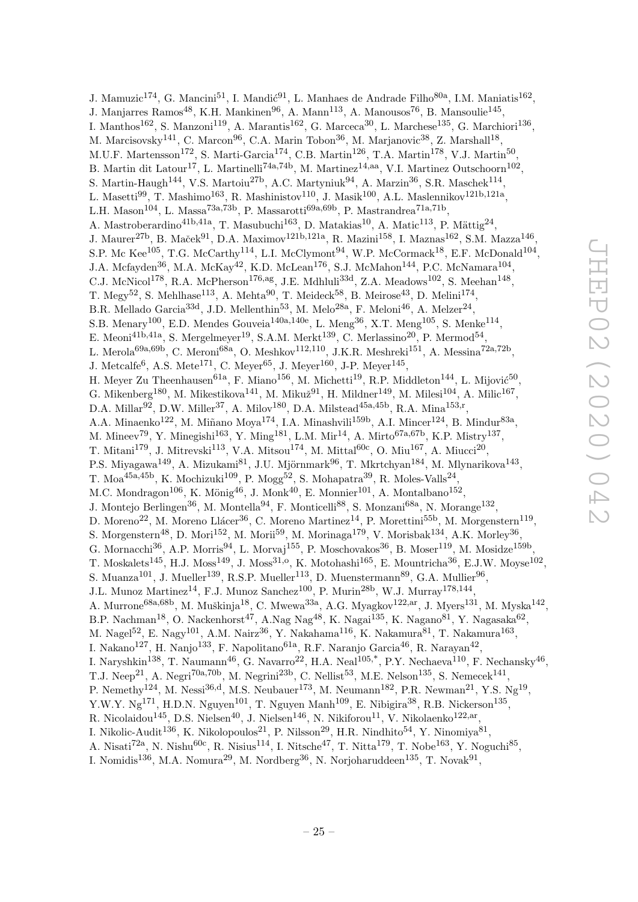J. Mamuzic<sup>174</sup>, G. Mancini<sup>51</sup>, I. Mandić<sup>91</sup>, L. Manhaes de Andrade Filho<sup>80a</sup>, I.M. Maniatis<sup>162</sup>, J. Manjarres Ramos<sup>48</sup>, K.H. Mankinen<sup>96</sup>, A. Mann<sup>113</sup>, A. Manousos<sup>76</sup>, B. Mansoulie<sup>145</sup>, I. Manthos<sup>162</sup>, S. Manzoni<sup>119</sup>, A. Marantis<sup>162</sup>, G. Marceca<sup>30</sup>, L. Marchese<sup>135</sup>, G. Marchiori<sup>136</sup>, M. Marcisovsky<sup>141</sup>, C. Marcon<sup>96</sup>, C.A. Marin Tobon<sup>36</sup>, M. Marjanovic<sup>38</sup>, Z. Marshall<sup>18</sup>, M.U.F. Martensson<sup>172</sup>, S. Marti-Garcia<sup>174</sup>, C.B. Martin<sup>126</sup>, T.A. Martin<sup>178</sup>, V.J. Martin<sup>50</sup>, B. Martin dit Latour<sup>17</sup>, L. Martinelli<sup>74a,74b</sup>, M. Martinez<sup>14,aa</sup>, V.I. Martinez Outschoorn<sup>102</sup>, S. Martin-Haugh<sup>144</sup>, V.S. Martoiu<sup>27b</sup>, A.C. Martyniuk<sup>94</sup>, A. Marzin<sup>36</sup>, S.R. Maschek<sup>114</sup>, L. Masetti $^{99}$ , T. Mashimo<sup>163</sup>, R. Mashinistov<sup>110</sup>, J. Masik<sup>100</sup>, A.L. Maslennikov<sup>121b,121a</sup>, L.H. Mason<sup>104</sup>, L. Massa<sup>73a,73b</sup>, P. Massarotti<sup>69a,69b</sup>, P. Mastrandrea<sup>71a,71b</sup>, A. Mastroberardino<sup>41b,41a</sup>, T. Masubuchi<sup>163</sup>, D. Matakias<sup>10</sup>, A. Matic<sup>113</sup>, P. Mättig<sup>24</sup>, J. Maurer<sup>27b</sup>, B. Maček $^{91}$ , D.A. Maximov $^{121b,121a}$ , R. Mazini $^{158}$ , I. Maznas $^{162}$ , S.M. Mazza $^{146}$ , S.P. Mc Kee<sup>105</sup>, T.G. McCarthy<sup>114</sup>, L.I. McClymont<sup>94</sup>, W.P. McCormack<sup>18</sup>, E.F. McDonald<sup>104</sup>, J.A. Mcfayden<sup>36</sup>, M.A. McKay<sup>42</sup>, K.D. McLean<sup>176</sup>, S.J. McMahon<sup>144</sup>, P.C. McNamara<sup>104</sup>, C.J. McNicol<sup>178</sup>, R.A. McPherson<sup>176,ag</sup>, J.E. Mdhluli<sup>33d</sup>, Z.A. Meadows<sup>102</sup>, S. Meehan<sup>148</sup>, T. Megy<sup>52</sup>, S. Mehlhase<sup>113</sup>, A. Mehta<sup>90</sup>, T. Meideck<sup>58</sup>, B. Meirose<sup>43</sup>, D. Melini<sup>174</sup>, B.R. Mellado Garcia<sup>33d</sup>, J.D. Mellenthin<sup>53</sup>, M. Melo<sup>28a</sup>, F. Meloni<sup>46</sup>, A. Melzer<sup>24</sup>, S.B. Menary<sup>100</sup>, E.D. Mendes Gouveia<sup>140a,140e</sup>, L. Meng<sup>36</sup>, X.T. Meng<sup>105</sup>, S. Menke<sup>114</sup>, E. Meoni<sup>41b,41a</sup>, S. Mergelmeyer<sup>19</sup>, S.A.M. Merkt<sup>139</sup>, C. Merlassino<sup>20</sup>, P. Mermod<sup>54</sup>, L. Merola<sup>69a,69b</sup>, C. Meroni<sup>68a</sup>, O. Meshkov<sup>112,110</sup>, J.K.R. Meshreki<sup>151</sup>, A. Messina<sup>72a,72b</sup>, J. Metcalfe<sup>6</sup>, A.S. Mete<sup>171</sup>, C. Meyer<sup>65</sup>, J. Meyer<sup>160</sup>, J-P. Meyer<sup>145</sup>, H. Meyer Zu Theenhausen<sup>61a</sup>, F. Miano<sup>156</sup>, M. Michetti<sup>19</sup>, R.P. Middleton<sup>144</sup>, L. Mijović<sup>50</sup>, G. Mikenberg<sup>180</sup>, M. Mikestikova<sup>141</sup>, M. Mikuž<sup>91</sup>, H. Mildner<sup>149</sup>, M. Milesi<sup>104</sup>, A. Milic<sup>167</sup>, D.A. Millar<sup>92</sup>, D.W. Miller<sup>37</sup>, A. Milov<sup>180</sup>, D.A. Milstead<sup>45a,45b</sup>, R.A. Mina<sup>153,r</sup>, A.A. Minaenko<sup>122</sup>, M. Miñano Moya<sup>174</sup>, I.A. Minashvili<sup>159b</sup>, A.I. Mincer<sup>124</sup>, B. Mindur<sup>83a</sup>, M. Mineev<sup>79</sup>, Y. Minegishi<sup>163</sup>, Y. Ming<sup>181</sup>, L.M. Mir<sup>14</sup>, A. Mirto<sup>67a,67b</sup>, K.P. Mistry<sup>137</sup>, T. Mitani<sup>179</sup>, J. Mitrevski<sup>113</sup>, V.A. Mitsou<sup>174</sup>, M. Mittal<sup>60c</sup>, O. Miu<sup>167</sup>, A. Miucci<sup>20</sup>, P.S. Miyagawa<sup>149</sup>, A. Mizukami<sup>81</sup>, J.U. Mjörnmark<sup>96</sup>, T. Mkrtchyan<sup>184</sup>, M. Mlynarikova<sup>143</sup>, T. Moa $^{45a,45b}$ , K. Mochizuki $^{109}$ , P. Mogg<sup>52</sup>, S. Mohapatra<sup>39</sup>, R. Moles-Valls<sup>24</sup>, M.C. Mondragon<sup>106</sup>, K. Mönig<sup>46</sup>, J. Monk<sup>40</sup>, E. Monnier<sup>101</sup>, A. Montalbano<sup>152</sup>, J. Montejo Berlingen<sup>36</sup>, M. Montella<sup>94</sup>, F. Monticelli<sup>88</sup>, S. Monzani<sup>68a</sup>, N. Morange<sup>132</sup>, D. Moreno<sup>22</sup>, M. Moreno Llácer<sup>36</sup>, C. Moreno Martinez<sup>14</sup>, P. Morettini<sup>55b</sup>, M. Morgenstern<sup>119</sup>, S. Morgenstern<sup>48</sup>, D. Mori<sup>152</sup>, M. Morii<sup>59</sup>, M. Morinaga<sup>179</sup>, V. Morisbak<sup>134</sup>, A.K. Morley<sup>36</sup>, G. Mornacchi<sup>36</sup>, A.P. Morris<sup>94</sup>, L. Morvaj<sup>155</sup>, P. Moschovakos<sup>36</sup>, B. Moser<sup>119</sup>, M. Mosidze<sup>159b</sup>, T. Moskalets<sup>145</sup>, H.J. Moss<sup>149</sup>, J. Moss<sup>31,o</sup>, K. Motohashi<sup>165</sup>, E. Mountricha<sup>36</sup>, E.J.W. Moyse<sup>102</sup>, S. Muanza<sup>101</sup>, J. Mueller<sup>139</sup>, R.S.P. Mueller<sup>113</sup>, D. Muenstermann<sup>89</sup>, G.A. Mullier<sup>96</sup>, J.L. Munoz Martinez<sup>14</sup>, F.J. Munoz Sanchez<sup>100</sup>, P. Murin<sup>28b</sup>, W.J. Murray<sup>178,144</sup>, A. Murrone<sup>68a,68b</sup>, M. Muškinja<sup>18</sup>, C. Mwewa<sup>33a</sup>, A.G. Myagkov<sup>122,ar</sup>, J. Myers<sup>131</sup>, M. Myska<sup>142</sup>, B.P. Nachman<sup>18</sup>, O. Nackenhorst<sup>47</sup>, A.Nag Nag<sup>48</sup>, K. Nagai<sup>135</sup>, K. Nagano<sup>81</sup>, Y. Nagasaka<sup>62</sup>, M. Nagel $^{52}$ , E. Nagy $^{101}$ , A.M. Nairz $^{36}$ , Y. Nakahama $^{116}$ , K. Nakamura $^{81}$ , T. Nakamura $^{163}$ , I. Nakano $^{127}$ , H. Nanjo $^{133}$ , F. Napolitano $^{61a}$ , R.F. Naranjo Garcia $^{46}$ , R. Narayan $^{42}$ , I. Naryshkin<sup>138</sup>, T. Naumann<sup>46</sup>, G. Navarro<sup>22</sup>, H.A. Neal<sup>105,\*</sup>, P.Y. Nechaeva<sup>110</sup>, F. Nechansky<sup>46</sup>, T.J. Neep<sup>21</sup>, A. Negri<sup>70a,70b</sup>, M. Negrini<sup>23b</sup>, C. Nellist<sup>53</sup>, M.E. Nelson<sup>135</sup>, S. Nemecek<sup>141</sup>, P. Nemethy<sup>124</sup>, M. Nessi<sup>36,d</sup>, M.S. Neubauer<sup>173</sup>, M. Neumann<sup>182</sup>, P.R. Newman<sup>21</sup>, Y.S. Ng<sup>19</sup>, Y.W.Y. Ng<sup>171</sup>, H.D.N. Nguyen<sup>101</sup>, T. Nguyen Manh<sup>109</sup>, E. Nibigira<sup>38</sup>, R.B. Nickerson<sup>135</sup>, R. Nicolaidou $^{145}$ , D.S. Nielsen $^{40}$ , J. Nielsen $^{146}$ , N. Nikiforou $^{11}$ , V. Nikolaenko $^{122,ar}$ , I. Nikolic-Audit<sup>136</sup>, K. Nikolopoulos<sup>21</sup>, P. Nilsson<sup>29</sup>, H.R. Nindhito<sup>54</sup>, Y. Ninomiya<sup>81</sup>, A. Nisati<sup>72a</sup>, N. Nishu<sup>60c</sup>, R. Nisius<sup>114</sup>, I. Nitsche<sup>47</sup>, T. Nitta<sup>179</sup>, T. Nobe<sup>163</sup>, Y. Noguchi<sup>85</sup>,

I. Nomidis<sup>136</sup>, M.A. Nomura<sup>29</sup>, M. Nordberg<sup>36</sup>, N. Norjoharuddeen<sup>135</sup>, T. Novak<sup>91</sup>,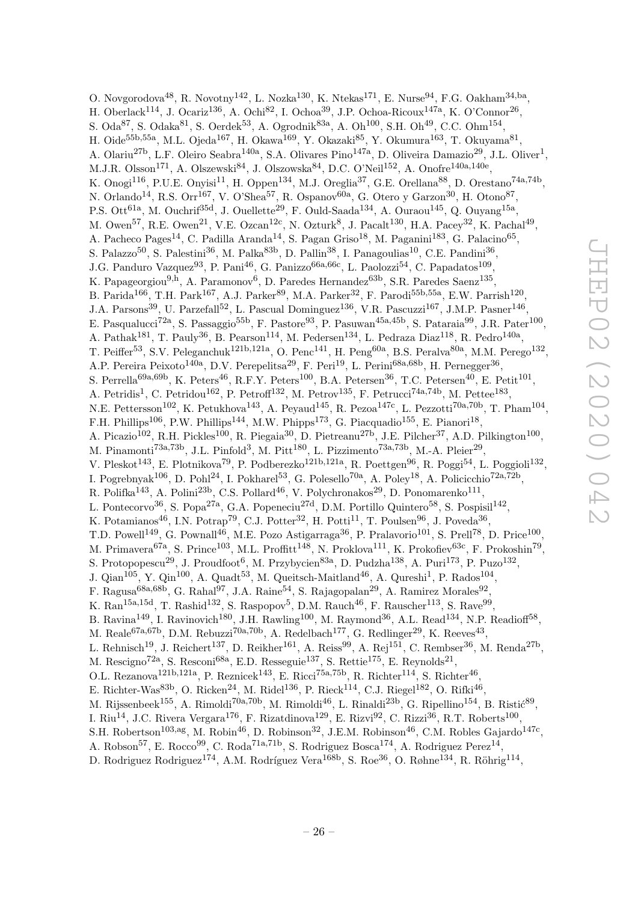O. Novgorodova<sup>48</sup>, R. Novotny<sup>142</sup>, L. Nozka<sup>130</sup>, K. Ntekas<sup>171</sup>, E. Nurse<sup>94</sup>, F.G. Oakham<sup>34,ba</sup>, H. Oberlack<sup>114</sup>, J. Ocariz<sup>136</sup>, A. Ochi<sup>82</sup>, I. Ochoa<sup>39</sup>, J.P. Ochoa-Ricoux<sup>147a</sup>, K. O'Connor<sup>26</sup>, S. Oda ${}^{87}$ , S. Odaka ${}^{81}$ , S. Oerdek ${}^{53}$ , A. Ogrodnik ${}^{83a}$ , A. Oh ${}^{100}$ , S.H. Oh ${}^{49}$ , C.C. Ohm ${}^{154}$ , H. Oide<sup>55b,55a</sup>, M.L. Ojeda<sup>167</sup>, H. Okawa<sup>169</sup>, Y. Okazaki<sup>85</sup>, Y. Okumura<sup>163</sup>, T. Okuyama<sup>81</sup>, A. Olariu<sup>27b</sup>, L.F. Oleiro Seabra<sup>140a</sup>, S.A. Olivares Pino<sup>147a</sup>, D. Oliveira Damazio<sup>29</sup>, J.L. Oliver<sup>1</sup>, M.J.R. Olsson<sup>171</sup>, A. Olszewski<sup>84</sup>, J. Olszowska<sup>84</sup>, D.C. O'Neil<sup>152</sup>, A. Onofre<sup>140a,140e</sup>, K. Onogi<sup>116</sup>, P.U.E. Onyisi<sup>11</sup>, H. Oppen<sup>134</sup>, M.J. Oreglia<sup>37</sup>, G.E. Orellana<sup>88</sup>, D. Orestano<sup>74a,74b</sup>, N. Orlando<sup>14</sup>, R.S. Orr<sup>167</sup>, V. O'Shea<sup>57</sup>, R. Ospanov<sup>60a</sup>, G. Otero y Garzon<sup>30</sup>, H. Otono<sup>87</sup>, P.S. Ott<sup>61a</sup>, M. Ouchrif<sup>35d</sup>, J. Ouellette<sup>29</sup>, F. Ould-Saada<sup>134</sup>, A. Ouraou<sup>145</sup>, Q. Ouyang<sup>15a</sup>, M. Owen<sup>57</sup>, R.E. Owen<sup>21</sup>, V.E. Ozcan<sup>12c</sup>, N. Ozturk<sup>8</sup>, J. Pacalt<sup>130</sup>, H.A. Pacey<sup>32</sup>, K. Pachal<sup>49</sup>, A. Pacheco Pages<sup>14</sup>, C. Padilla Aranda<sup>14</sup>, S. Pagan Griso<sup>18</sup>, M. Paganini<sup>183</sup>, G. Palacino<sup>65</sup>, S. Palazzo<sup>50</sup>, S. Palestini<sup>36</sup>, M. Palka<sup>83b</sup>, D. Pallin<sup>38</sup>, I. Panagoulias<sup>10</sup>, C.E. Pandini<sup>36</sup>, J.G. Panduro Vazquez<sup>93</sup>, P. Pani<sup>46</sup>, G. Panizzo<sup>66a, 66c</sup>, L. Paolozzi<sup>54</sup>, C. Papadatos<sup>109</sup>, K. Papageorgiou<sup>9,h</sup>, A. Paramonov<sup>6</sup>, D. Paredes Hernandez<sup>63b</sup>, S.R. Paredes Saenz<sup>135</sup>, B. Parida<sup>166</sup>, T.H. Park<sup>167</sup>, A.J. Parker<sup>89</sup>, M.A. Parker<sup>32</sup>, F. Parodi<sup>55b,55a</sup>, E.W. Parrish<sup>120</sup>, J.A. Parsons<sup>39</sup>, U. Parzefall<sup>52</sup>, L. Pascual Dominguez<sup>136</sup>, V.R. Pascuzzi<sup>167</sup>, J.M.P. Pasner<sup>146</sup>, E. Pasqualucci<sup>72a</sup>, S. Passaggio<sup>55b</sup>, F. Pastore<sup>93</sup>, P. Pasuwan<sup>45a,45b</sup>, S. Pataraia<sup>99</sup>, J.R. Pater<sup>100</sup>, A. Pathak<sup>181</sup>, T. Pauly<sup>36</sup>, B. Pearson<sup>114</sup>, M. Pedersen<sup>134</sup>, L. Pedraza Diaz<sup>118</sup>, R. Pedro<sup>140a</sup>, T. Peiffer<sup>53</sup>, S.V. Peleganchuk<sup>121b,121a</sup>, O. Penc<sup>141</sup>, H. Peng<sup>60a</sup>, B.S. Peralva<sup>80a</sup>, M.M. Perego<sup>132</sup>, A.P. Pereira Peixoto<sup>140a</sup>, D.V. Perepelitsa<sup>29</sup>, F. Peri<sup>19</sup>, L. Perini<sup>68a,68b</sup>, H. Pernegger<sup>36</sup>, S. Perrella<sup>69a,69b</sup>, K. Peters<sup>46</sup>, R.F.Y. Peters<sup>100</sup>, B.A. Petersen<sup>36</sup>, T.C. Petersen<sup>40</sup>, E. Petit<sup>101</sup>, A. Petridis<sup>1</sup>, C. Petridou<sup>162</sup>, P. Petroff<sup>132</sup>, M. Petrov<sup>135</sup>, F. Petrucci<sup>74a,74b</sup>, M. Pettee<sup>183</sup>, N.E. Pettersson<sup>102</sup>, K. Petukhova<sup>143</sup>, A. Peyaud<sup>145</sup>, R. Pezoa<sup>147c</sup>, L. Pezzotti<sup>70a,70b</sup>, T. Pham<sup>104</sup>, F.H. Phillips<sup>106</sup>, P.W. Phillips<sup>144</sup>, M.W. Phipps<sup>173</sup>, G. Piacquadio<sup>155</sup>, E. Pianori<sup>18</sup>, A. Picazio<sup>102</sup>, R.H. Pickles<sup>100</sup>, R. Piegaia<sup>30</sup>, D. Pietreanu<sup>27b</sup>, J.E. Pilcher<sup>37</sup>, A.D. Pilkington<sup>100</sup>, M. Pinamonti<sup>73a,73b</sup>, J.L. Pinfold<sup>3</sup>, M. Pitt<sup>180</sup>, L. Pizzimento<sup>73a,73b</sup>, M.-A. Pleier<sup>29</sup>, V. Pleskot<sup>143</sup>, E. Plotnikova<sup>79</sup>, P. Podberezko<sup>121b,121a</sup>, R. Poettgen<sup>96</sup>, R. Poggi<sup>54</sup>, L. Poggioli<sup>132</sup>, I. Pogrebnyak<sup>106</sup>, D. Pohl<sup>24</sup>, I. Pokharel<sup>53</sup>, G. Polesello<sup>70a</sup>, A. Poley<sup>18</sup>, A. Policicchio<sup>72a,72b</sup>, R. Polifka<sup>143</sup>, A. Polini<sup>23b</sup>, C.S. Pollard<sup>46</sup>, V. Polychronakos<sup>29</sup>, D. Ponomarenko<sup>111</sup>, L. Pontecorvo<sup>36</sup>, S. Popa<sup>27a</sup>, G.A. Popeneciu<sup>27d</sup>, D.M. Portillo Quintero<sup>58</sup>, S. Pospisil<sup>142</sup>, K. Potamianos<sup>46</sup>, I.N. Potrap<sup>79</sup>, C.J. Potter<sup>32</sup>, H. Potti<sup>11</sup>, T. Poulsen<sup>96</sup>, J. Poveda<sup>36</sup>, T.D. Powell<sup>149</sup>, G. Pownall<sup>46</sup>, M.E. Pozo Astigarraga<sup>36</sup>, P. Pralavorio<sup>101</sup>, S. Prell<sup>78</sup>, D. Price<sup>100</sup>, M. Primavera<sup>67a</sup>, S. Prince<sup>103</sup>, M.L. Proffitt<sup>148</sup>, N. Proklova<sup>111</sup>, K. Prokofiev<sup>63c</sup>, F. Prokoshin<sup>79</sup>, S. Protopopescu<sup>29</sup>, J. Proudfoot<sup>6</sup>, M. Przybycien<sup>83a</sup>, D. Pudzha<sup>138</sup>, A. Puri<sup>173</sup>, P. Puzo<sup>132</sup>, J. Qian<sup>105</sup>, Y. Qin<sup>100</sup>, A. Quadt<sup>53</sup>, M. Queitsch-Maitland<sup>46</sup>, A. Qureshi<sup>1</sup>, P. Rados<sup>104</sup>, F. Ragusa<sup>68a,68b</sup>, G. Rahal<sup>97</sup>, J.A. Raine<sup>54</sup>, S. Rajagopalan<sup>29</sup>, A. Ramirez Morales<sup>92</sup>, K. Ran<sup>15a,15d</sup>, T. Rashid<sup>132</sup>, S. Raspopov<sup>5</sup>, D.M. Rauch<sup>46</sup>, F. Rauscher<sup>113</sup>, S. Rave<sup>99</sup>, B. Ravina<sup>149</sup>, I. Ravinovich<sup>180</sup>, J.H. Rawling<sup>100</sup>, M. Raymond<sup>36</sup>, A.L. Read<sup>134</sup>, N.P. Readioff<sup>58</sup>, M. Reale<sup>67a,67b</sup>, D.M. Rebuzzi<sup>70a,70b</sup>, A. Redelbach<sup>177</sup>, G. Redlinger<sup>29</sup>, K. Reeves<sup>43</sup>, L. Rehnisch<sup>19</sup>, J. Reichert<sup>137</sup>, D. Reikher<sup>161</sup>, A. Reiss<sup>99</sup>, A. Rej<sup>151</sup>, C. Rembser<sup>36</sup>, M. Renda<sup>27b</sup>, M. Rescigno<sup>72a</sup>, S. Resconi<sup>68a</sup>, E.D. Resseguie<sup>137</sup>, S. Rettie<sup>175</sup>, E. Reynolds<sup>21</sup>, O.L. Rezanova<sup>121b,121a</sup>, P. Reznicek<sup>143</sup>, E. Ricci<sup>75a,75b</sup>, R. Richter<sup>114</sup>, S. Richter<sup>46</sup>, E. Richter-Was $^{83b}$ , O. Ricken $^{24}$ , M. Ridel $^{136}$ , P. Rieck $^{114}$ , C.J. Riegel $^{182}$ , O. Rifki $^{46}$ , M. Rijssenbeek $^{155}$ , A. Rimoldi<sup>70a,70b</sup>, M. Rimoldi<sup>46</sup>, L. Rinaldi<sup>23b</sup>, G. Ripellino<sup>154</sup>, B. Ristić<sup>89</sup>, I. Riu<sup>14</sup>, J.C. Rivera Vergara<sup>176</sup>, F. Rizatdinova<sup>129</sup>, E. Rizvi<sup>92</sup>, C. Rizzi<sup>36</sup>, R.T. Roberts<sup>100</sup>, S.H. Robertson<sup>103,ag</sup>, M. Robin<sup>46</sup>, D. Robinson<sup>32</sup>, J.E.M. Robinson<sup>46</sup>, C.M. Robles Gajardo<sup>147c</sup>, A. Robson<sup>57</sup>, E. Rocco<sup>99</sup>, C. Roda<sup>71a,71b</sup>, S. Rodriguez Bosca<sup>174</sup>, A. Rodriguez Perez<sup>14</sup>,

D. Rodriguez Rodriguez<sup>174</sup>, A.M. Rodríguez Vera<sup>168b</sup>, S. Roe<sup>36</sup>, O. Røhne<sup>134</sup>, R. Röhrig<sup>114</sup>,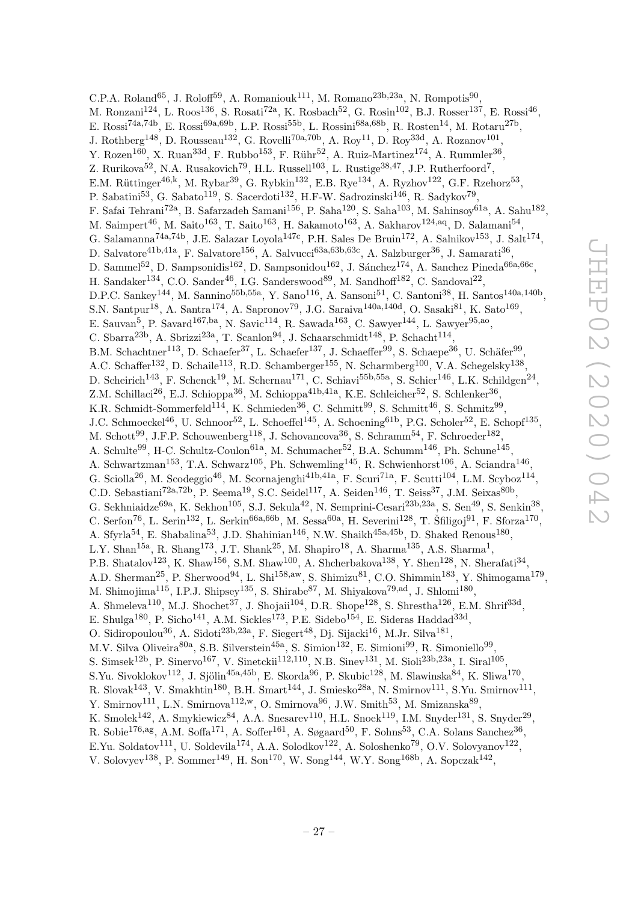C.P.A. Roland<sup>65</sup>, J. Roloff<sup>59</sup>, A. Romaniouk<sup>111</sup>, M. Romano<sup>23b,23a</sup>, N. Rompotis<sup>90</sup>, M. Ronzani<sup>124</sup>, L. Roos<sup>136</sup>, S. Rosati<sup>72a</sup>, K. Rosbach<sup>52</sup>, G. Rosin<sup>102</sup>, B.J. Rosser<sup>137</sup>, E. Rossi<sup>46</sup>, E. Rossi<sup>74a,74b</sup>, E. Rossi<sup>69a,69b</sup>, L.P. Rossi<sup>55b</sup>, L. Rossini<sup>68a,68b</sup>, R. Rosten<sup>14</sup>, M. Rotaru<sup>27b</sup>, J. Rothberg<sup>148</sup>, D. Rousseau<sup>132</sup>, G. Rovelli<sup>70a,70b</sup>, A. Roy<sup>11</sup>, D. Roy<sup>33d</sup>, A. Rozanov<sup>101</sup>, Y. Rozen<sup>160</sup>, X. Ruan<sup>33d</sup>, F. Rubbo<sup>153</sup>, F. Rühr<sup>52</sup>, A. Ruiz-Martinez<sup>174</sup>, A. Rummler<sup>36</sup>, Z. Rurikova<sup>52</sup>, N.A. Rusakovich<sup>79</sup>, H.L. Russell<sup>103</sup>, L. Rustige<sup>38,47</sup>, J.P. Rutherfoord<sup>7</sup>, E.M. Rüttinger<sup>46,k</sup>, M. Rybar<sup>39</sup>, G. Rybkin<sup>132</sup>, E.B. Rye<sup>134</sup>, A. Ryzhov<sup>122</sup>, G.F. Rzehorz<sup>53</sup>, P. Sabatini<sup>53</sup>, G. Sabato<sup>119</sup>, S. Sacerdoti<sup>132</sup>, H.F-W. Sadrozinski<sup>146</sup>, R. Sadykov<sup>79</sup>, F. Safai Tehrani<sup>72a</sup>, B. Safarzadeh Samani<sup>156</sup>, P. Saha<sup>120</sup>, S. Saha<sup>103</sup>, M. Sahinsoy<sup>61a</sup>, A. Sahu<sup>182</sup>, M. Saimpert<sup>46</sup>, M. Saito<sup>163</sup>, T. Saito<sup>163</sup>, H. Sakamoto<sup>163</sup>, A. Sakharov<sup>124,aq</sup>, D. Salamani<sup>54</sup>, G. Salamanna<sup>74a,74b</sup>, J.E. Salazar Loyola<sup>147c</sup>, P.H. Sales De Bruin<sup>172</sup>, A. Salnikov<sup>153</sup>, J. Salt<sup>174</sup>, D. Salvatore<sup>41b,41a</sup>, F. Salvatore<sup>156</sup>, A. Salvucci<sup>63a,63b,63c</sup>, A. Salzburger<sup>36</sup>, J. Samarati<sup>36</sup>, D. Sammel<sup>52</sup>, D. Sampsonidis<sup>162</sup>, D. Sampsonidou<sup>162</sup>, J. Sánchez<sup>174</sup>, A. Sanchez Pineda<sup>66a,66c</sup>, H. Sandaker<sup>134</sup>, C.O. Sander<sup>46</sup>, I.G. Sanderswood<sup>89</sup>, M. Sandhoff<sup>182</sup>, C. Sandoval<sup>22</sup>, D.P.C. Sankey<sup>144</sup>, M. Sannino<sup>55b,55a</sup>, Y. Sano<sup>116</sup>, A. Sansoni<sup>51</sup>, C. Santoni<sup>38</sup>, H. Santos<sup>140a,140b</sup>, S.N. Santpur<sup>18</sup>, A. Santra<sup>174</sup>, A. Sapronov<sup>79</sup>, J.G. Saraiva<sup>140a,140d</sup>, O. Sasaki<sup>81</sup>, K. Sato<sup>169</sup>, E. Sauvan<sup>5</sup>, P. Savard<sup>167,ba</sup>, N. Savic<sup>114</sup>, R. Sawada<sup>163</sup>, C. Sawyer<sup>144</sup>, L. Sawyer<sup>95,ao</sup>, C. Sbarra<sup>23b</sup>, A. Sbrizzi<sup>23a</sup>, T. Scanlon<sup>94</sup>, J. Schaarschmidt<sup>148</sup>, P. Schacht<sup>114</sup>, B.M. Schachtner<sup>113</sup>, D. Schaefer<sup>37</sup>, L. Schaefer<sup>137</sup>, J. Schaeffer<sup>99</sup>, S. Schaepe<sup>36</sup>, U. Schäfer<sup>99</sup>, A.C. Schaffer<sup>132</sup>, D. Schaile<sup>113</sup>, R.D. Schamberger<sup>155</sup>, N. Scharmberg<sup>100</sup>, V.A. Schegelsky<sup>138</sup>, D. Scheirich<sup>143</sup>, F. Schenck<sup>19</sup>, M. Schernau<sup>171</sup>, C. Schiavi<sup>55b,55a</sup>, S. Schier<sup>146</sup>, L.K. Schildgen<sup>24</sup>, Z.M. Schillaci<sup>26</sup>, E.J. Schioppa<sup>36</sup>, M. Schioppa<sup>41b,41a</sup>, K.E. Schleicher<sup>52</sup>, S. Schlenker<sup>36</sup>, K.R. Schmidt-Sommerfeld<sup>114</sup>, K. Schmieden<sup>36</sup>, C. Schmitt<sup>99</sup>, S. Schmitt<sup>46</sup>, S. Schmitz<sup>99</sup>, J.C. Schmoeckel<sup>46</sup>, U. Schnoor<sup>52</sup>, L. Schoeffel<sup>145</sup>, A. Schoening<sup>61b</sup>, P.G. Scholer<sup>52</sup>, E. Schopf<sup>135</sup>, M. Schott<sup>99</sup>, J.F.P. Schouwenberg<sup>118</sup>, J. Schovancova<sup>36</sup>, S. Schramm<sup>54</sup>, F. Schroeder<sup>182</sup>, A. Schulte<sup>99</sup>, H-C. Schultz-Coulon<sup>61a</sup>, M. Schumacher<sup>52</sup>, B.A. Schumm<sup>146</sup>, Ph. Schune<sup>145</sup>, A. Schwartzman<sup>153</sup>, T.A. Schwarz<sup>105</sup>, Ph. Schwemling<sup>145</sup>, R. Schwienhorst<sup>106</sup>, A. Sciandra<sup>146</sup>, G. Sciolla<sup>26</sup>, M. Scodeggio<sup>46</sup>, M. Scornajenghi<sup>41b,41a</sup>, F. Scuri<sup>71a</sup>, F. Scutti<sup>104</sup>, L.M. Scyboz<sup>114</sup>, C.D. Sebastiani<sup>72a,72b</sup>, P. Seema<sup>19</sup>, S.C. Seidel<sup>117</sup>, A. Seiden<sup>146</sup>, T. Seiss<sup>37</sup>, J.M. Seixas<sup>80b</sup>, G. Sekhniaidze<sup>69a</sup>, K. Sekhon<sup>105</sup>, S.J. Sekula<sup>42</sup>, N. Semprini-Cesari<sup>23b,23a</sup>, S. Sen<sup>49</sup>, S. Senkin<sup>38</sup>, C. Serfon<sup>76</sup>, L. Serin<sup>132</sup>, L. Serkin<sup>66a,66b</sup>, M. Sessa<sup>60a</sup>, H. Severini<sup>128</sup>, T. Šfiligoj<sup>91</sup>, F. Sforza<sup>170</sup>, A. Sfyrla<sup>54</sup>, E. Shabalina<sup>53</sup>, J.D. Shahinian<sup>146</sup>, N.W. Shaikh<sup>45a,45b</sup>, D. Shaked Renous<sup>180</sup>, L.Y. Shan<sup>15a</sup>, R. Shang<sup>173</sup>, J.T. Shank<sup>25</sup>, M. Shapiro<sup>18</sup>, A. Sharma<sup>135</sup>, A.S. Sharma<sup>1</sup>, P.B. Shatalov<sup>123</sup>, K. Shaw<sup>156</sup>, S.M. Shaw<sup>100</sup>, A. Shcherbakova<sup>138</sup>, Y. Shen<sup>128</sup>, N. Sherafati<sup>34</sup>, A.D. Sherman<sup>25</sup>, P. Sherwood<sup>94</sup>, L. Shi<sup>158,aw</sup>, S. Shimizu<sup>81</sup>, C.O. Shimmin<sup>183</sup>, Y. Shimogama<sup>179</sup>, M. Shimojima<sup>115</sup>, I.P.J. Shipsey<sup>135</sup>, S. Shirabe<sup>87</sup>, M. Shiyakova<sup>79,ad</sup>, J. Shlomi<sup>180</sup>, A. Shmeleva<sup>110</sup>, M.J. Shochet<sup>37</sup>, J. Shojaii<sup>104</sup>, D.R. Shope<sup>128</sup>, S. Shrestha<sup>126</sup>, E.M. Shrif<sup>33d</sup>, E. Shulga<sup>180</sup>, P. Sicho<sup>141</sup>, A.M. Sickles<sup>173</sup>, P.E. Sidebo<sup>154</sup>, E. Sideras Haddad<sup>33d</sup>, O. Sidiropoulou<sup>36</sup>, A. Sidoti<sup>23b,23a</sup>, F. Siegert<sup>48</sup>, Dj. Sijacki<sup>16</sup>, M.Jr. Silva<sup>181</sup>, M.V. Silva Oliveira<sup>80a</sup>, S.B. Silverstein<sup>45a</sup>, S. Simion<sup>132</sup>, E. Simioni<sup>99</sup>, R. Simoniello<sup>99</sup>, S. Simsek<sup>12b</sup>, P. Sinervo<sup>167</sup>, V. Sinetckii<sup>112,110</sup>, N.B. Sinev<sup>131</sup>, M. Sioli<sup>23b,23a</sup>, I. Siral<sup>105</sup>, S.Yu. Sivoklokov<sup>112</sup>, J. Sjölin<sup>45a,45b</sup>, E. Skorda<sup>96</sup>, P. Skubic<sup>128</sup>, M. Slawinska<sup>84</sup>, K. Sliwa<sup>170</sup>, R. Slovak<sup>143</sup>, V. Smakhtin<sup>180</sup>, B.H. Smart<sup>144</sup>, J. Smiesko<sup>28a</sup>, N. Smirnov<sup>111</sup>, S.Yu. Smirnov<sup>111</sup>, Y. Smirnov<sup>111</sup>, L.N. Smirnova<sup>112,w</sup>, O. Smirnova<sup>96</sup>, J.W. Smith<sup>53</sup>, M. Smizanska<sup>89</sup>, K. Smolek<sup>142</sup>, A. Smykiewicz<sup>84</sup>, A.A. Snesarev<sup>110</sup>, H.L. Snoek<sup>119</sup>, I.M. Snyder<sup>131</sup>, S. Snyder<sup>29</sup>, R. Sobie<sup>176,ag</sup>, A.M. Soffa<sup>171</sup>, A. Soffer<sup>161</sup>, A. Søgaard<sup>50</sup>, F. Sohns<sup>53</sup>, C.A. Solans Sanchez<sup>36</sup>, E.Yu. Soldatov<sup>111</sup>, U. Soldevila<sup>174</sup>, A.A. Solodkov<sup>122</sup>, A. Soloshenko<sup>79</sup>, O.V. Solovyanov<sup>122</sup>,

V. Solovyev<sup>138</sup>, P. Sommer<sup>149</sup>, H. Son<sup>170</sup>, W. Song<sup>144</sup>, W.Y. Song<sup>168b</sup>, A. Sopczak<sup>142</sup>,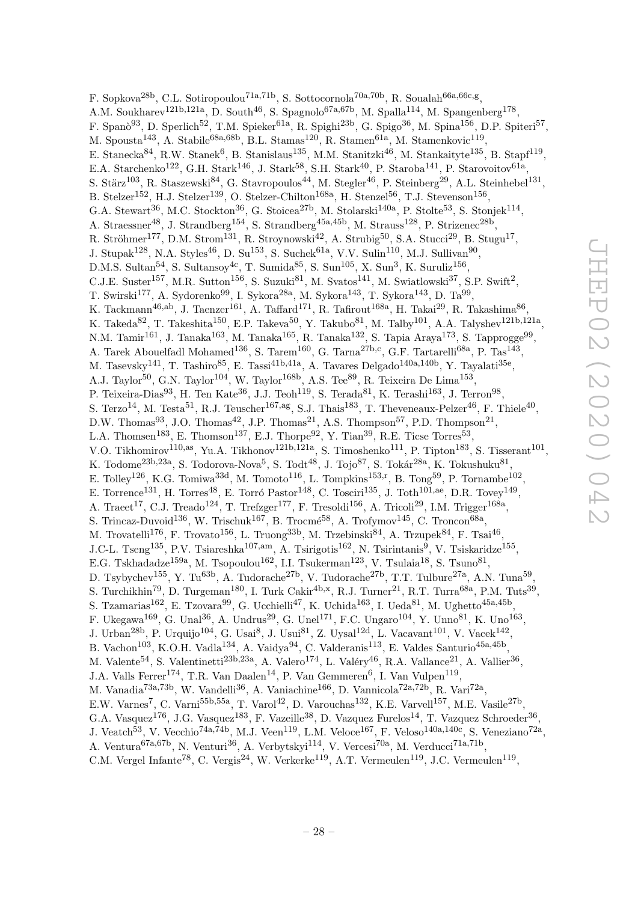F. Sopkova<sup>28b</sup>, C.L. Sotiropoulou<sup>71a,71b</sup>, S. Sottocornola<sup>70a,70b</sup>, R. Soualah<sup>66a,66c,g</sup>, A.M. Soukharev<sup>121b,121a</sup>, D. South<sup>46</sup>, S. Spagnolo<sup>67a,67b</sup>, M. Spalla<sup>114</sup>, M. Spangenberg<sup>178</sup>, F. Spanò<sup>93</sup>, D. Sperlich<sup>52</sup>, T.M. Spieker<sup>61a</sup>, R. Spighi<sup>23b</sup>, G. Spigo<sup>36</sup>, M. Spina<sup>156</sup>, D.P. Spiteri<sup>57</sup>, M. Spousta<sup>143</sup>, A. Stabile<sup>68a,68b</sup>, B.L. Stamas<sup>120</sup>, R. Stamen<sup>61a</sup>, M. Stamenkovic<sup>119</sup>, E. Stanecka<sup>84</sup>, R.W. Stanek<sup>6</sup>, B. Stanislaus<sup>135</sup>, M.M. Stanitzki<sup>46</sup>, M. Stankaityte<sup>135</sup>, B. Stapf<sup>119</sup>, E.A. Starchenko<sup>122</sup>, G.H. Stark<sup>146</sup>, J. Stark<sup>58</sup>, S.H. Stark<sup>40</sup>, P. Staroba<sup>141</sup>, P. Starovoitov<sup>61a</sup>, S. Stärz<sup>103</sup>, R. Staszewski<sup>84</sup>, G. Stavropoulos<sup>44</sup>, M. Stegler<sup>46</sup>, P. Steinberg<sup>29</sup>, A.L. Steinhebel<sup>131</sup>, B. Stelzer<sup>152</sup>, H.J. Stelzer<sup>139</sup>, O. Stelzer-Chilton<sup>168a</sup>, H. Stenzel<sup>56</sup>, T.J. Stevenson<sup>156</sup>, G.A. Stewart<sup>36</sup>, M.C. Stockton<sup>36</sup>, G. Stoicea<sup>27b</sup>, M. Stolarski<sup>140a</sup>, P. Stolte<sup>53</sup>, S. Stonjek<sup>114</sup>, A. Straessner<sup>48</sup>, J. Strandberg<sup>154</sup>, S. Strandberg<sup>45a,45b</sup>, M. Strauss<sup>128</sup>, P. Strizenec<sup>28b</sup>, R. Ströhmer<sup>177</sup>, D.M. Strom<sup>131</sup>, R. Stroynowski<sup>42</sup>, A. Strubig<sup>50</sup>, S.A. Stucci<sup>29</sup>, B. Stugu<sup>17</sup>, J. Stupak<sup>128</sup>, N.A. Styles<sup>46</sup>, D. Su<sup>153</sup>, S. Suchek<sup>61a</sup>, V.V. Sulin<sup>110</sup>, M.J. Sullivan<sup>90</sup>, D.M.S. Sultan<sup>54</sup>, S. Sultansoy<sup>4c</sup>, T. Sumida<sup>85</sup>, S. Sun<sup>105</sup>, X. Sun<sup>3</sup>, K. Suruliz<sup>156</sup>, C.J.E. Suster<sup>157</sup>, M.R. Sutton<sup>156</sup>, S. Suzuki<sup>81</sup>, M. Svatos<sup>141</sup>, M. Swiatlowski<sup>37</sup>, S.P. Swift<sup>2</sup>, T. Swirski $^{177}$ , A. Sydorenko $^{99}$ , I. Sykora $^{28a}$ , M. Sykora $^{143}$ , T. Sykora $^{143}$ , D. Ta $^{99}$ , K. Tackmann<sup>46,ab</sup>, J. Taenzer<sup>161</sup>, A. Taffard<sup>171</sup>, R. Tafirout<sup>168a</sup>, H. Takai<sup>29</sup>, R. Takashima<sup>86</sup>, K. Takeda<sup>82</sup>, T. Takeshita<sup>150</sup>, E.P. Takeva<sup>50</sup>, Y. Takubo<sup>81</sup>, M. Talby<sup>101</sup>, A.A. Talyshev<sup>121b,121a</sup>, N.M. Tamir<sup>161</sup>, J. Tanaka<sup>163</sup>, M. Tanaka<sup>165</sup>, R. Tanaka<sup>132</sup>, S. Tapia Araya<sup>173</sup>, S. Tapprogge<sup>99</sup>, A. Tarek Abouelfadl Mohamed<sup>136</sup>, S. Tarem<sup>160</sup>, G. Tarna<sup>27b,c</sup>, G.F. Tartarelli<sup>68a</sup>, P. Tas<sup>143</sup>, M. Tasevsky<sup>141</sup>, T. Tashiro<sup>85</sup>, E. Tassi<sup>41b,41a</sup>, A. Tavares Delgado<sup>140a,140b</sup>, Y. Tayalati<sup>35e</sup>, A.J. Taylor<sup>50</sup>, G.N. Taylor<sup>104</sup>, W. Taylor<sup>168b</sup>, A.S. Tee<sup>89</sup>, R. Teixeira De Lima<sup>153</sup>, P. Teixeira-Dias<sup>93</sup>, H. Ten Kate<sup>36</sup>, J.J. Teoh<sup>119</sup>, S. Terada<sup>81</sup>, K. Terashi<sup>163</sup>, J. Terron<sup>98</sup>, S. Terzo<sup>14</sup>, M. Testa<sup>51</sup>, R.J. Teuscher<sup>167,ag</sup>, S.J. Thais<sup>183</sup>, T. Theveneaux-Pelzer<sup>46</sup>, F. Thiele<sup>40</sup>, D.W. Thomas<sup>93</sup>, J.O. Thomas<sup>42</sup>, J.P. Thomas<sup>21</sup>, A.S. Thompson<sup>57</sup>, P.D. Thompson<sup>21</sup>, L.A. Thomsen<sup>183</sup>, E. Thomson<sup>137</sup>, E.J. Thorpe<sup>92</sup>, Y. Tian<sup>39</sup>, R.E. Ticse Torres<sup>53</sup>, V.O. Tikhomirov<sup>110,as</sup>, Yu.A. Tikhonov<sup>121b,121a</sup>, S. Timoshenko<sup>111</sup>, P. Tipton<sup>183</sup>, S. Tisserant<sup>101</sup>, K. Todome<sup>23b,23a</sup>, S. Todorova-Nova<sup>5</sup>, S. Tod $t^{48}$ , J. Tojo<sup>87</sup>, S. Tokár<sup>28a</sup>, K. Tokushuku<sup>81</sup>, E. Tolley<sup>126</sup>, K.G. Tomiwa<sup>33d</sup>, M. Tomoto<sup>116</sup>, L. Tompkins<sup>153,r</sup>, B. Tong<sup>59</sup>, P. Tornambe<sup>102</sup>, E. Torrence<sup>131</sup>, H. Torres<sup>48</sup>, E. Torró Pastor<sup>148</sup>, C. Tosciri<sup>135</sup>, J. Toth<sup>101,ae</sup>, D.R. Tovey<sup>149</sup>, A. Traeet<sup>17</sup>, C.J. Treado<sup>124</sup>, T. Trefzger<sup>177</sup>, F. Tresoldi<sup>156</sup>, A. Tricoli<sup>29</sup>, I.M. Trigger<sup>168a</sup>, S. Trincaz-Duvoid<sup>136</sup>, W. Trischuk<sup>167</sup>, B. Trocmé<sup>58</sup>, A. Trofymov<sup>145</sup>, C. Troncon<sup>68a</sup>, M. Trovatelli<sup>176</sup>, F. Trovato<sup>156</sup>, L. Truong<sup>33b</sup>, M. Trzebinski<sup>84</sup>, A. Trzupek<sup>84</sup>, F. Tsai<sup>46</sup>, J.C-L. Tseng<sup>135</sup>, P.V. Tsiareshka<sup>107,am</sup>, A. Tsirigotis<sup>162</sup>, N. Tsirintanis<sup>9</sup>, V. Tsiskaridze<sup>155</sup>, E.G. Tskhadadze<sup>159a</sup>, M. Tsopoulou<sup>162</sup>, I.I. Tsukerman<sup>123</sup>, V. Tsulaia<sup>18</sup>, S. Tsuno<sup>81</sup>, D. Tsybychev<sup>155</sup>, Y. Tu<sup>63b</sup>, A. Tudorache<sup>27b</sup>, V. Tudorache<sup>27b</sup>, T.T. Tulbure<sup>27a</sup>, A.N. Tuna<sup>59</sup>, S. Turchikhin<sup>79</sup>, D. Turgeman<sup>180</sup>, I. Turk Cakir<sup>4b,x</sup>, R.J. Turner<sup>21</sup>, R.T. Turra<sup>68a</sup>, P.M. Tuts<sup>39</sup>, S. Tzamarias<sup>162</sup>, E. Tzovara<sup>99</sup>, G. Ucchielli<sup>47</sup>, K. Uchida<sup>163</sup>, I. Ueda<sup>81</sup>, M. Ughetto<sup>45a,45b</sup>, F. Ukegawa<sup>169</sup>, G. Unal<sup>36</sup>, A. Undrus<sup>29</sup>, G. Unel<sup>171</sup>, F.C. Ungaro<sup>104</sup>, Y. Unno<sup>81</sup>, K. Uno<sup>163</sup>, J. Urban<sup>28b</sup>, P. Urquijo<sup>104</sup>, G. Usai<sup>8</sup>, J. Usui<sup>81</sup>, Z. Uysal<sup>12d</sup>, L. Vacavant<sup>101</sup>, V. Vacek<sup>142</sup>, B. Vachon<sup>103</sup>, K.O.H. Vadla<sup>134</sup>, A. Vaidya<sup>94</sup>, C. Valderanis<sup>113</sup>, E. Valdes Santurio<sup>45a,45b</sup>, M. Valente<sup>54</sup>, S. Valentinetti<sup>23b,23a</sup>, A. Valero<sup>174</sup>, L. Valéry<sup>46</sup>, R.A. Vallance<sup>21</sup>, A. Vallier<sup>36</sup>, J.A. Valls Ferrer<sup>174</sup>, T.R. Van Daalen<sup>14</sup>, P. Van Gemmeren<sup>6</sup>, I. Van Vulpen<sup>119</sup>, M. Vanadia<sup>73a,73b</sup>, W. Vandelli<sup>36</sup>, A. Vaniachine<sup>166</sup>, D. Vannicola<sup>72a,72b</sup>, R. Vari<sup>72a</sup>, E.W. Varnes<sup>7</sup>, C. Varni<sup>55b,55a</sup>, T. Varol<sup>42</sup>, D. Varouchas<sup>132</sup>, K.E. Varvell<sup>157</sup>, M.E. Vasile<sup>27b</sup>, G.A. Vasquez<sup>176</sup>, J.G. Vasquez<sup>183</sup>, F. Vazeille<sup>38</sup>, D. Vazquez Furelos<sup>14</sup>, T. Vazquez Schroeder<sup>36</sup>, J. Veatch<sup>53</sup>, V. Vecchio<sup>74a,74b</sup>, M.J. Veen<sup>119</sup>, L.M. Veloce<sup>167</sup>, F. Veloso<sup>140a,140c</sup>, S. Veneziano<sup>72a</sup>, A. Ventura<sup>67a,67b</sup>, N. Venturi<sup>36</sup>, A. Verbytskyi<sup>114</sup>, V. Vercesi<sup>70a</sup>, M. Verducci<sup>71a,71b</sup>,

C.M. Vergel Infante<sup>78</sup>, C. Vergis<sup>24</sup>, W. Verkerke<sup>119</sup>, A.T. Vermeulen<sup>119</sup>, J.C. Vermeulen<sup>119</sup>,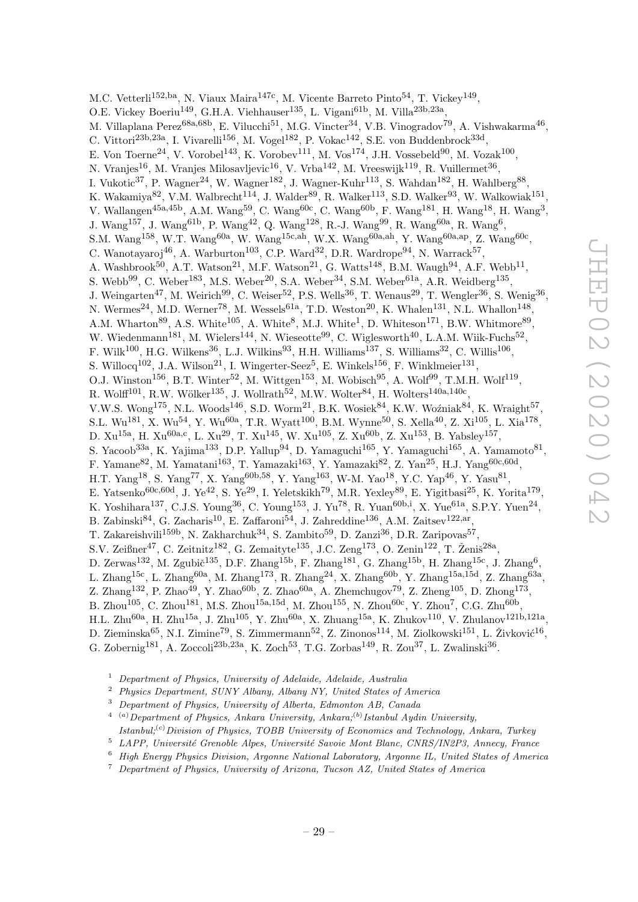M.C. Vetterli<sup>152,ba</sup>, N. Viaux Maira<sup>147c</sup>, M. Vicente Barreto Pinto<sup>54</sup>, T. Vickey<sup>149</sup>, O.E. Vickey Boeriu<sup>149</sup>, G.H.A. Viehhauser<sup>135</sup>, L. Vigani<sup>61b</sup>, M. Villa<sup>23b,23a</sup>, M. Villaplana Perez<sup>68a,68b</sup>, E. Vilucchi<sup>51</sup>, M.G. Vincter<sup>34</sup>, V.B. Vinogradov<sup>79</sup>, A. Vishwakarma<sup>46</sup>, C. Vittori<sup>23b,23a</sup>, I. Vivarelli<sup>156</sup>, M. Vogel<sup>182</sup>, P. Vokac<sup>142</sup>, S.E. von Buddenbrock<sup>33d</sup>, E. Von Toerne<sup>24</sup>, V. Vorobel<sup>143</sup>, K. Vorobev<sup>111</sup>, M. Vos<sup>174</sup>, J.H. Vossebeld<sup>90</sup>, M. Vozak<sup>100</sup>, N. Vranjes $^{16}$ , M. Vranjes Milosavljevic $^{16}$ , V. Vrba $^{142}$ , M. Vreeswijk $^{119}$ , R. Vuillermet $^{36}$ , I. Vukotic<sup>37</sup>, P. Wagner<sup>24</sup>, W. Wagner<sup>182</sup>, J. Wagner-Kuhr<sup>113</sup>, S. Wahdan<sup>182</sup>, H. Wahlberg<sup>88</sup>, K. Wakamiya<sup>82</sup>, V.M. Walbrecht<sup>114</sup>, J. Walder<sup>89</sup>, R. Walker<sup>113</sup>, S.D. Walker<sup>93</sup>, W. Walkowiak<sup>151</sup>, V. Wallangen<sup>45a,45b</sup>, A.M. Wang<sup>59</sup>, C. Wang<sup>60c</sup>, C. Wang<sup>60b</sup>, F. Wang<sup>181</sup>, H. Wang<sup>18</sup>, H. Wang<sup>3</sup>, J. Wang<sup>157</sup>, J. Wang<sup>61b</sup>, P. Wang<sup>42</sup>, Q. Wang<sup>128</sup>, R.-J. Wang<sup>99</sup>, R. Wang<sup>60a</sup>, R. Wang<sup>6</sup>, S.M. Wang<sup>158</sup>, W.T. Wang<sup>60a</sup>, W. Wang<sup>15c,ah</sup>, W.X. Wang<sup>60a,ah</sup>, Y. Wang<sup>60a,ap</sup>, Z. Wang<sup>60c</sup>, C. Wanotayaroj<sup>46</sup>, A. Warburton<sup>103</sup>, C.P. Ward<sup>32</sup>, D.R. Wardrope<sup>94</sup>, N. Warrack<sup>57</sup>, A. Washbrook<sup>50</sup>, A.T. Watson<sup>21</sup>, M.F. Watson<sup>21</sup>, G. Watts<sup>148</sup>, B.M. Waugh<sup>94</sup>, A.F. Webb<sup>11</sup>, S. Webb<sup>99</sup>, C. Weber<sup>183</sup>, M.S. Weber<sup>20</sup>, S.A. Weber<sup>34</sup>, S.M. Weber<sup>61a</sup>, A.R. Weidberg<sup>135</sup>, J. Weingarten<sup>47</sup>, M. Weirich<sup>99</sup>, C. Weiser<sup>52</sup>, P.S. Wells<sup>36</sup>, T. Wenaus<sup>29</sup>, T. Wengler<sup>36</sup>, S. Wenig<sup>36</sup>, N. Wermes<sup>24</sup>, M.D. Werner<sup>78</sup>, M. Wessels<sup>61a</sup>, T.D. Weston<sup>20</sup>, K. Whalen<sup>131</sup>, N.L. Whallon<sup>148</sup>, A.M. Wharton<sup>89</sup>, A.S. White<sup>105</sup>, A. White<sup>8</sup>, M.J. White<sup>1</sup>, D. Whiteson<sup>171</sup>, B.W. Whitmore<sup>89</sup>, W. Wiedenmann<sup>181</sup>, M. Wielers<sup>144</sup>, N. Wieseotte<sup>99</sup>, C. Wiglesworth<sup>40</sup>, L.A.M. Wiik-Fuchs<sup>52</sup>, F. Wilk<sup>100</sup>, H.G. Wilkens<sup>36</sup>, L.J. Wilkins<sup>93</sup>, H.H. Williams<sup>137</sup>, S. Williams<sup>32</sup>, C. Willis<sup>106</sup>, S. Willocq<sup>102</sup>, J.A. Wilson<sup>21</sup>, I. Wingerter-Seez<sup>5</sup>, E. Winkels<sup>156</sup>, F. Winklmeier<sup>131</sup>, O.J. Winston<sup>156</sup>, B.T. Winter<sup>52</sup>, M. Wittgen<sup>153</sup>, M. Wobisch<sup>95</sup>, A. Wolf<sup>99</sup>, T.M.H. Wolf<sup>119</sup>, R. Wolff $^{101}$ , R.W. Wölker $^{135}$ , J. Wollrath $^{52}$ , M.W. Wolter $^{84}$ , H. Wolters $^{140a,140c}$ , V.W.S. Wong<sup>175</sup>, N.L. Woods<sup>146</sup>, S.D. Worm<sup>21</sup>, B.K. Wosiek<sup>84</sup>, K.W. Woźniak<sup>84</sup>, K. Wraight<sup>57</sup>, S.L. Wu<sup>181</sup>, X. Wu<sup>54</sup>, Y. Wu<sup>60a</sup>, T.R. Wyatt<sup>100</sup>, B.M. Wynne<sup>50</sup>, S. Xella<sup>40</sup>, Z. Xi<sup>105</sup>, L. Xia<sup>178</sup>, D.  $Xu^{15a}$ , H.  $Xu^{60a,c}$ , L.  $Xu^{29}$ , T.  $Xu^{145}$ , W.  $Xu^{105}$ , Z.  $Xu^{60b}$ , Z.  $Xu^{153}$ , B. Yabsley<sup>157</sup>, S. Yacoob<sup>33a</sup>, K. Yajima<sup>133</sup>, D.P. Yallup<sup>94</sup>, D. Yamaguchi<sup>165</sup>, Y. Yamaguchi<sup>165</sup>, A. Yamamoto<sup>81</sup>, F. Yamane<sup>82</sup>, M. Yamatani<sup>163</sup>, T. Yamazaki<sup>163</sup>, Y. Yamazaki<sup>82</sup>, Z. Yan<sup>25</sup>, H.J. Yang<sup>60c,60d</sup>, H.T. Yang<sup>18</sup>, S. Yang<sup>77</sup>, X. Yang<sup>60b,58</sup>, Y. Yang<sup>163</sup>, W-M. Yao<sup>18</sup>, Y.C. Yap<sup>46</sup>, Y. Yasu<sup>81</sup>, E. Yatsenko<sup>60c,60d</sup>, J. Ye<sup>42</sup>, S. Ye<sup>29</sup>, I. Yeletskikh<sup>79</sup>, M.R. Yexley<sup>89</sup>, E. Yigitbasi<sup>25</sup>, K. Yorita<sup>179</sup>, K. Yoshihara<sup>137</sup>, C.J.S. Young<sup>36</sup>, C. Young<sup>153</sup>, J. Yu<sup>78</sup>, R. Yuan<sup>60b,i</sup>, X. Yue<sup>61a</sup>, S.P.Y. Yuen<sup>24</sup>, B. Zabinski $^{84}$ , G. Zacharis<sup>10</sup>, E. Zaffaroni<sup>54</sup>, J. Zahreddine<sup>136</sup>, A.M. Zaitsev<sup>122,ar</sup>, T. Zakareishvili<sup>159b</sup>, N. Zakharchuk<sup>34</sup>, S. Zambito<sup>59</sup>, D. Zanzi<sup>36</sup>, D.R. Zaripovas<sup>57</sup>, S.V. Zeißner<sup>47</sup>, C. Zeitnitz<sup>182</sup>, G. Zemaityte<sup>135</sup>, J.C. Zeng<sup>173</sup>, O. Zenin<sup>122</sup>, T. Ženiš<sup>28a</sup>, D. Zerwas<sup>132</sup>, M. Zgubič<sup>135</sup>, D.F. Zhang<sup>15b</sup>, F. Zhang<sup>181</sup>, G. Zhang<sup>15b</sup>, H. Zhang<sup>15c</sup>, J. Zhang<sup>6</sup>, L. Zhang<sup>15c</sup>, L. Zhang<sup>60a</sup>, M. Zhang<sup>173</sup>, R. Zhang<sup>24</sup>, X. Zhang<sup>60b</sup>, Y. Zhang<sup>15a,15d</sup>, Z. Zhang<sup>63a</sup>, Z. Zhang<sup>132</sup>, P. Zhao<sup>49</sup>, Y. Zhao<sup>60b</sup>, Z. Zhao<sup>60a</sup>, A. Zhemchugov<sup>79</sup>, Z. Zheng<sup>105</sup>, D. Zhong<sup>173</sup>, B. Zhou $^{105}$ , C. Zhou $^{181}$ , M.S. Zhou $^{15a,15d}$ , M. Zhou $^{155}$ , N. Zhou $^{60c}$ , Y. Zhou $^7$ , C.G. Zhu $^{60b}$ ,  $H.L. Zhu^{60a}, H. Zhu^{15a}, J. Zhu^{105}, Y. Zhu^{60a}, X. Zhuang^{15a}, K. Zhukov^{110}, V. Zhulanov^{121b,121a},$ D. Zieminska $^{65}$ , N.I. Zimine<sup>79</sup>, S. Zimmermann<sup>52</sup>, Z. Zinonos<sup>114</sup>, M. Ziolkowski<sup>151</sup>, L. Živković<sup>16</sup>, G. Zobernig<sup>181</sup>, A. Zoccoli<sup>23b,23a</sup>, K. Zoch<sup>53</sup>, T.G. Zorbas<sup>149</sup>, R. Zou<sup>37</sup>, L. Zwalinski<sup>36</sup>.

- <sup>1</sup> Department of Physics, University of Adelaide, Adelaide, Australia
- <sup>2</sup> Physics Department, SUNY Albany, Albany NY, United States of America
- <sup>3</sup> Department of Physics, University of Alberta, Edmonton AB, Canada
- $^{4-(a)}$ Department of Physics, Ankara University, Ankara;<sup>(b)</sup> Istanbul Aydin University, Istanbul;<sup>(c)</sup> Division of Physics, TOBB University of Economics and Technology, Ankara, Turkey
- $5$  LAPP, Université Grenoble Alpes, Université Savoie Mont Blanc, CNRS/IN2P3, Annecy, France
- <sup>6</sup> High Energy Physics Division, Argonne National Laboratory, Argonne IL, United States of America
- <sup>7</sup> Department of Physics, University of Arizona, Tucson AZ, United States of America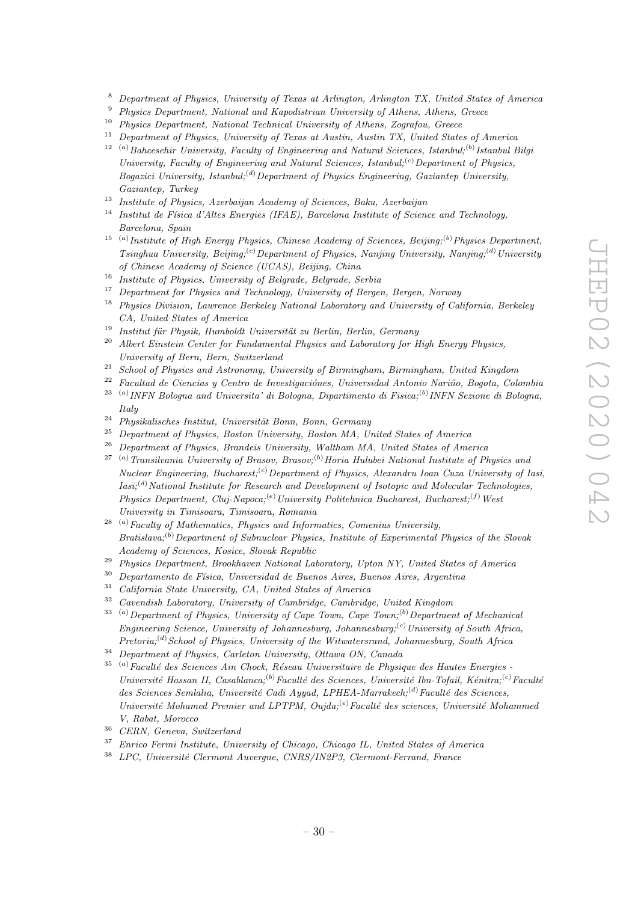- <sup>8</sup> Department of Physics, University of Texas at Arlington, Arlington TX, United States of America
- <sup>9</sup> Physics Department, National and Kapodistrian University of Athens, Athens, Greece
- <sup>10</sup> Physics Department, National Technical University of Athens, Zografou, Greece
- $11$  Department of Physics, University of Texas at Austin, Austin TX, United States of America
- $12$ <sup>(a)</sup>Bahcesehir University, Faculty of Engineering and Natural Sciences, Istanbul;<sup>(b)</sup> Istanbul Bilgi University, Faculty of Engineering and Natural Sciences, Istanbul;<sup>(c)</sup> Department of Physics, Bogazici University, Istanbul;<sup>(d)</sup>Department of Physics Engineering, Gaziantep University, Gaziantep, Turkey
- <sup>13</sup> Institute of Physics, Azerbaijan Academy of Sciences, Baku, Azerbaijan
- $14$  Institut de Física d'Altes Energies (IFAE), Barcelona Institute of Science and Technology, Barcelona, Spain
- <sup>15</sup> <sup>(a)</sup> Institute of High Energy Physics, Chinese Academy of Sciences, Beijing;<sup>(b)</sup> Physics Department, Tsinghua University, Beijing;<sup>(c)</sup>Department of Physics, Nanjing University, Nanjing;<sup>(d)</sup>University of Chinese Academy of Science (UCAS), Beijing, China
- <sup>16</sup> Institute of Physics, University of Belgrade, Belgrade, Serbia
- <sup>17</sup> Department for Physics and Technology, University of Bergen, Bergen, Norway
- <sup>18</sup> Physics Division, Lawrence Berkeley National Laboratory and University of California, Berkeley CA, United States of America
- $19$  Institut für Physik, Humboldt Universität zu Berlin, Berlin, Germany
- $20$  Albert Einstein Center for Fundamental Physics and Laboratory for High Energy Physics, University of Bern, Bern, Switzerland
- $21$  School of Physics and Astronomy, University of Birmingham, Birmingham, United Kingdom
- $22$  Facultad de Ciencias y Centro de Investigaciónes, Universidad Antonio Nariño, Bogota, Colombia
- $^{23}$ <sup>(a)</sup> INFN Bologna and Universita' di Bologna, Dipartimento di Fisica;<sup>(b)</sup> INFN Sezione di Bologna, Italy
- $24$  Physikalisches Institut, Universität Bonn, Bonn, Germany
- <sup>25</sup> Department of Physics, Boston University, Boston MA, United States of America
- <sup>26</sup> Department of Physics, Brandeis University, Waltham MA, United States of America
- <sup>27</sup> <sup>(a)</sup> Transilvania University of Brasov, Brasov;<sup>(b)</sup> Horia Hulubei National Institute of Physics and Nuclear Engineering, Bucharest;<sup>(c)</sup>Department of Physics, Alexandru Ioan Cuza University of Iasi,  $Iasi; (d) National Institute for Research and Development of Isotopic and Molecular Technologies,$ Physics Department, Cluj-Napoca;<sup>(e)</sup> University Politehnica Bucharest, Bucharest;<sup>(f)</sup> West University in Timisoara, Timisoara, Romania
- $28$ <sup>(a)</sup>Faculty of Mathematics, Physics and Informatics, Comenius University, Bratislava;<sup>(b)</sup> Department of Subnuclear Physics, Institute of Experimental Physics of the Slovak Academy of Sciences, Kosice, Slovak Republic
- <sup>29</sup> Physics Department, Brookhaven National Laboratory, Upton NY, United States of America
- $30$  Departamento de Física, Universidad de Buenos Aires, Buenos Aires, Argentina
- <sup>31</sup> California State University, CA, United States of America
- $32$  Cavendish Laboratory, University of Cambridge, Cambridge, United Kingdom
- $(3)$ Department of Physics, University of Cape Town, Cape Town; $(6)$ Department of Mechanical Engineering Science, University of Johannesburg, Johannesburg;<sup>(c)</sup>University of South Africa,  $Pretoria$ ;<sup>(d)</sup> School of Physics, University of the Witwatersrand, Johannesburg, South Africa
- <sup>34</sup> Department of Physics, Carleton University, Ottawa ON, Canada
- $35$ <sup>(a)</sup>Faculté des Sciences Ain Chock, Réseau Universitaire de Physique des Hautes Energies -Université Hassan II, Casablanca;<sup>(b)</sup>Faculté des Sciences, Université Ibn-Tofail, Kénitra;<sup>(c)</sup>Faculté des Sciences Semlalia, Université Cadi Ayyad, LPHEA-Marrakech;<sup>(d)</sup>Faculté des Sciences, Université Mohamed Premier and LPTPM, Oujda;<sup>(e)</sup>Faculté des sciences, Université Mohammed V, Rabat, Morocco
- <sup>36</sup> CERN, Geneva, Switzerland
- <sup>37</sup> Enrico Fermi Institute, University of Chicago, Chicago IL, United States of America
- $38$  LPC, Université Clermont Auvergne, CNRS/IN2P3, Clermont-Ferrand, France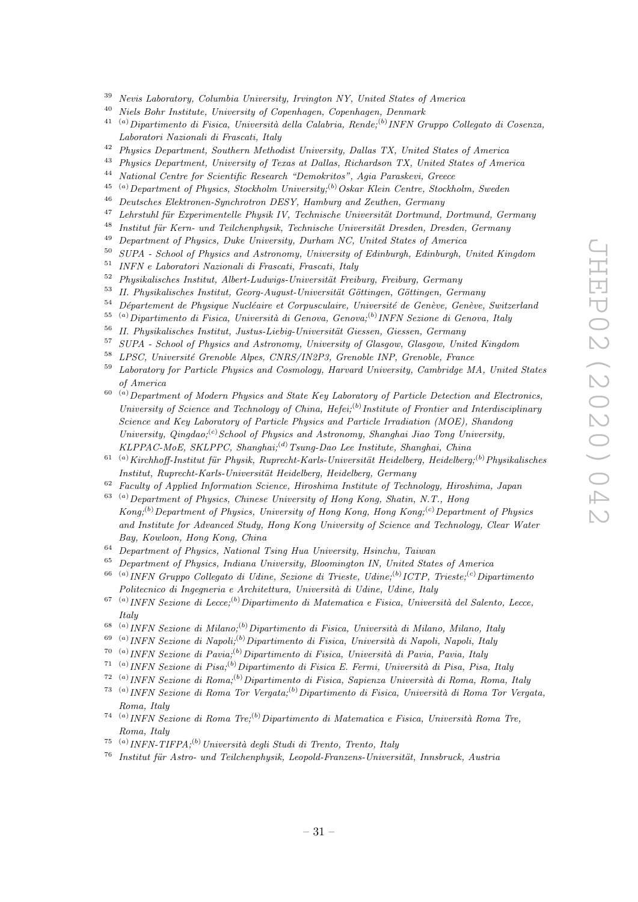- <sup>39</sup> Nevis Laboratory, Columbia University, Irvington NY, United States of America
- $40$  Niels Bohr Institute, University of Copenhagen, Copenhagen, Denmark
- <sup>41 (a)</sup>Dipartimento di Fisica, Università della Calabria, Rende;<sup>(b)</sup> INFN Gruppo Collegato di Cosenza, Laboratori Nazionali di Frascati, Italy
- <sup>42</sup> Physics Department, Southern Methodist University, Dallas TX, United States of America<sup>43</sup> Physics Department, University of Transact Dallas Picketechne TX, United States of America<sup>43</sup>
- <sup>43</sup> Physics Department, University of Texas at Dallas, Richardson TX, United States of America<br><sup>44</sup> National Centre for Scientific Bessamb "Demokrates", Asia Beneskayi, Crosse
- <sup>44</sup> National Centre for Scientific Research "Demokritos", Agia Paraskevi, Greece
- <sup>45</sup> <sup>(a)</sup> Department of Physics, Stockholm University;<sup>(b)</sup> Oskar Klein Centre, Stockholm, Sweden<br><sup>46</sup> Darticle is Elektron w Swedentryn DESV, Hamburg and Zactle in Campana
- <sup>46</sup> Deutsches Elektronen-Synchrotron DESY, Hamburg and Zeuthen, Germany
- $47$  Lehrstuhl für Experimentelle Physik IV, Technische Universität Dortmund, Dortmund, Germany
- <sup>48</sup> Institut für Kern- und Teilchenphysik, Technische Universität Dresden, Dresden, Germany
- <sup>49</sup> Department of Physics, Duke University, Durham NC, United States of America
- <sup>50</sup> SUPA School of Physics and Astronomy, University of Edinburgh, Edinburgh, United Kingdom
- <sup>51</sup> INFN e Laboratori Nazionali di Frascati, Frascati, Italy
- $52 Phusikalisches Institut, Albert-Ludwigs-Universität Freiburg, Freiburg, Germany$
- $53$  II. Physikalisches Institut, Georg-August-Universität Göttingen, Göttingen, Germany
- $54$  Département de Physique Nucléaire et Corpusculaire, Université de Genève, Genève, Switzerland
- <sup>55 (a)</sup>Dipartimento di Fisica, Università di Genova, Genova;<sup>(b)</sup> INFN Sezione di Genova, Italy
- $56$  II. Physikalisches Institut, Justus-Liebig-Universität Giessen, Giessen, Germany
- <sup>57</sup> SUPA School of Physics and Astronomy, University of Glasgow, Glasgow, United Kingdom
- <sup>58</sup> LPSC, Université Grenoble Alpes, CNRS/IN2P3, Grenoble INP, Grenoble, France
- <sup>59</sup> Laboratory for Particle Physics and Cosmology, Harvard University, Cambridge MA, United States of America
- $^{60-(a)}$  Department of Modern Physics and State Key Laboratory of Particle Detection and Electronics, University of Science and Technology of China, Hefei;<sup>(b)</sup> Institute of Frontier and Interdisciplinary Science and Key Laboratory of Particle Physics and Particle Irradiation (MOE), Shandong University,  $Qingdao; ^{(c)} School$  of Physics and Astronomy, Shanghai Jiao Tong University, KLPPAC-MoE, SKLPPC, Shanghai;<sup>(d)</sup> Tsung-Dao Lee Institute, Shanghai, China
- <sup>61 (a)</sup> Kirchhoff-Institut für Physik, Ruprecht-Karls-Universität Heidelberg, Heidelberg;<sup>(b)</sup> Physikalisches Institut, Ruprecht-Karls-Universität Heidelberg, Heidelberg, Germany
- $62$  Facultu of Applied Information Science, Hiroshima Institute of Technology, Hiroshima, Japan
- $^{63}$  (a) Department of Physics, Chinese University of Hong Kong, Shatin, N.T., Hong  $Kona;$ <sup>(b)</sup> Department of Physics, University of Hong Kong, Hong Kong;<sup>(c)</sup> Department of Physics and Institute for Advanced Study, Hong Kong University of Science and Technology, Clear Water Bay, Kowloon, Hong Kong, China
- <sup>64</sup> Department of Physics, National Tsing Hua University, Hsinchu, Taiwan
- <sup>65</sup> Department of Physics, Indiana University, Bloomington IN, United States of America
- <sup>66 (a)</sup> INFN Gruppo Collegato di Udine, Sezione di Trieste, Udine;<sup>(b)</sup> ICTP, Trieste;<sup>(c)</sup> Dipartimento Politecnico di Ingegneria e Architettura, Università di Udine, Udine, Italy
- <sup>67 (a)</sup> INFN Sezione di Lecce;<sup>(b)</sup> Dipartimento di Matematica e Fisica, Università del Salento, Lecce, Italy
- <sup>68 (a)</sup> INFN Sezione di Milano;<sup>(b)</sup> Dipartimento di Fisica, Università di Milano, Milano, Italy
- <sup>69 (a)</sup> INFN Sezione di Napoli;<sup>(b)</sup> Dipartimento di Fisica, Università di Napoli, Napoli, Italy
- <sup>70 (a)</sup> INFN Sezione di Pavia;<sup>(b)</sup> Dipartimento di Fisica, Università di Pavia, Pavia, Italy
- <sup>71 (a)</sup> INFN Sezione di Pisa;<sup>(b)</sup> Dipartimento di Fisica E. Fermi, Università di Pisa, Pisa, Italy
- <sup>72</sup> <sup>(a)</sup> INFN Sezione di Roma;<sup>(b)</sup> Dipartimento di Fisica, Sapienza Università di Roma, Roma, Italy
- <sup>73 (a)</sup> INFN Sezione di Roma Tor Vergata;<sup>(b)</sup> Dipartimento di Fisica, Università di Roma Tor Vergata, Roma, Italy
- <sup>74 (a)</sup> INFN Sezione di Roma Tre;<sup>(b)</sup> Dipartimento di Matematica e Fisica, Università Roma Tre, Roma, Italy
- <sup>75</sup> (a) INFN-TIFPA;<sup>(b)</sup> Università degli Studi di Trento, Trento, Italy
- $76$  Institut für Astro- und Teilchenphysik, Leopold-Franzens-Universität, Innsbruck, Austria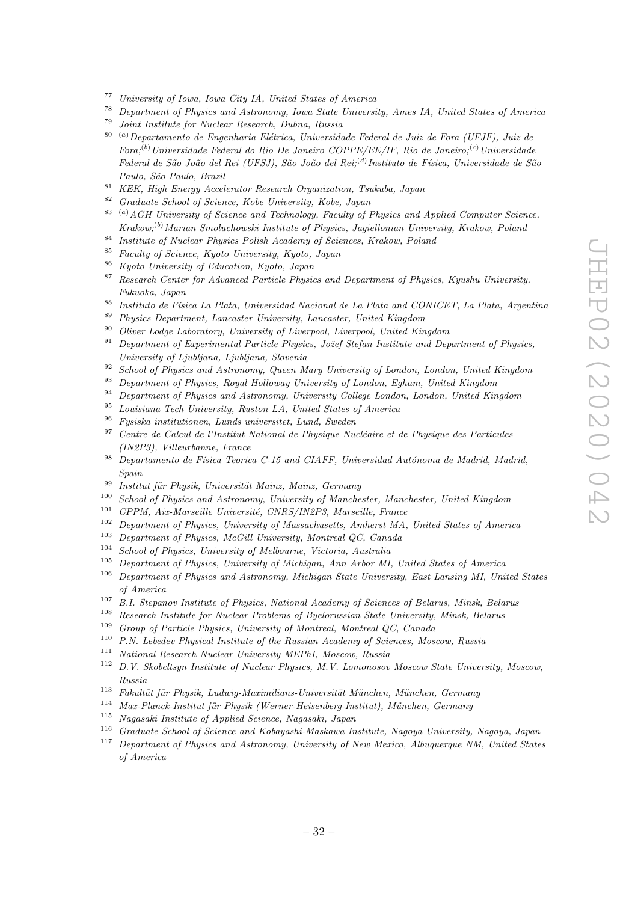- <sup>77</sup> University of Iowa, Iowa City IA, United States of America<sup>78</sup> Demonstrated Chainson and Actronomy Iowa State University
- <sup>78</sup> Department of Physics and Astronomy, Iowa State University, Ames IA, United States of America
- <sup>79</sup> Joint Institute for Nuclear Research, Dubna, Russia
- $80$ <sup>(a)</sup>Departamento de Engenharia Elétrica, Universidade Federal de Juiz de Fora (UFJF), Juiz de Fora;<sup>(b)</sup> Universidade Federal do Rio De Janeiro COPPE/EE/IF, Rio de Janeiro;<sup>(c)</sup> Universidade Federal de São João del Rei (UFSJ), São João del Rei;<sup>(d)</sup>Instituto de Física, Universidade de São Paulo, São Paulo, Brazil
- <sup>81</sup> KEK, High Energy Accelerator Research Organization, Tsukuba, Japan
- <sup>82</sup> Graduate School of Science, Kobe University, Kobe, Japan
- $83$  (a) AGH University of Science and Technology, Faculty of Physics and Applied Computer Science, Krakow;(b)Marian Smoluchowski Institute of Physics, Jagiellonian University, Krakow, Poland
- <sup>84</sup> Institute of Nuclear Physics Polish Academy of Sciences, Krakow, Poland
- <sup>85</sup> Faculty of Science, Kyoto University, Kyoto, Japan
- <sup>86</sup> Kyoto University of Education, Kyoto, Japan
- $87$  Research Center for Advanced Particle Physics and Department of Physics, Kyushu University, Fukuoka, Japan
- 88 Instituto de Física La Plata, Universidad Nacional de La Plata and CONICET, La Plata, Argentina
- <sup>89</sup> Physics Department, Lancaster University, Lancaster, United Kingdom
- <sup>90</sup> Oliver Lodge Laboratory, University of Liverpool, Liverpool, United Kingdom
- $91$  Department of Experimental Particle Physics, Jožef Stefan Institute and Department of Physics, University of Ljubljana, Ljubljana, Slovenia
- <sup>92</sup> School of Physics and Astronomy, Queen Mary University of London, London, United Kingdom
- <sup>93</sup> Department of Physics, Royal Holloway University of London, Egham, United Kingdom
- <sup>94</sup> Department of Physics and Astronomy, University College London, London, United Kingdom
- <sup>95</sup> Louisiana Tech University, Ruston LA, United States of America
- <sup>96</sup> Fysiska institutionen, Lunds universitet, Lund, Sweden
- $97$  Centre de Calcul de l'Institut National de Physique Nucléaire et de Physique des Particules (IN2P3), Villeurbanne, France
- $98$  Departamento de Física Teorica C-15 and CIAFF, Universidad Autónoma de Madrid, Madrid, Spain
- <sup>99</sup> Institut für Physik, Universität Mainz, Mainz, Germany<br><sup>100</sup> School of Physics and Astronomy, University of Manche
- <sup>100</sup> School of Physics and Astronomy, University of Manchester, Manchester, United Kingdom<br><sup>101</sup> CDDM, Air Manacht, University CNDS (INOP), Mancaille, France
- <sup>101</sup> CPPM, Aix-Marseille Université, CNRS/IN2P3, Marseille, France<br><sup>102</sup> Department of Physics, University of Massachusetts, Ambaret MA
- <sup>102</sup> Department of Physics, University of Massachusetts, Amherst MA, United States of America
- <sup>103</sup> Department of Physics, McGill University, Montreal QC, Canada
- <sup>104</sup> School of Physics, University of Melbourne, Victoria, Australia
- <sup>105</sup> Department of Physics, University of Michigan, Ann Arbor MI, United States of America
- $106$  Department of Physics and Astronomy, Michigan State University, East Lansing MI, United States of America
- $107$  B.I. Stepanov Institute of Physics, National Academy of Sciences of Belarus, Minsk, Belarus
- <sup>108</sup> Research Institute for Nuclear Problems of Byelorussian State University, Minsk, Belarus<br><sup>109</sup> Crown of Particle Physics, University of Mantreal Mantreal OC Conada
- <sup>109</sup> Group of Particle Physics, University of Montreal, Montreal QC, Canada
- $110$  P.N. Lebedev Physical Institute of the Russian Academy of Sciences, Moscow, Russia
- <sup>111</sup> National Research Nuclear University MEPhI, Moscow, Russia
- <sup>112</sup> D.V. Skobeltsyn Institute of Nuclear Physics, M.V. Lomonosov Moscow State University, Moscow, Russia
- $113$  Fakultät für Physik, Ludwig-Maximilians-Universität München, München, Germany
- $114$  Max-Planck-Institut für Physik (Werner-Heisenberg-Institut), München, Germany
- <sup>115</sup> Nagasaki Institute of Applied Science, Nagasaki, Japan
- <sup>116</sup> Graduate School of Science and Kobayashi-Maskawa Institute, Nagoya University, Nagoya, Japan
- <sup>117</sup> Department of Physics and Astronomy, University of New Mexico, Albuquerque NM, United States of America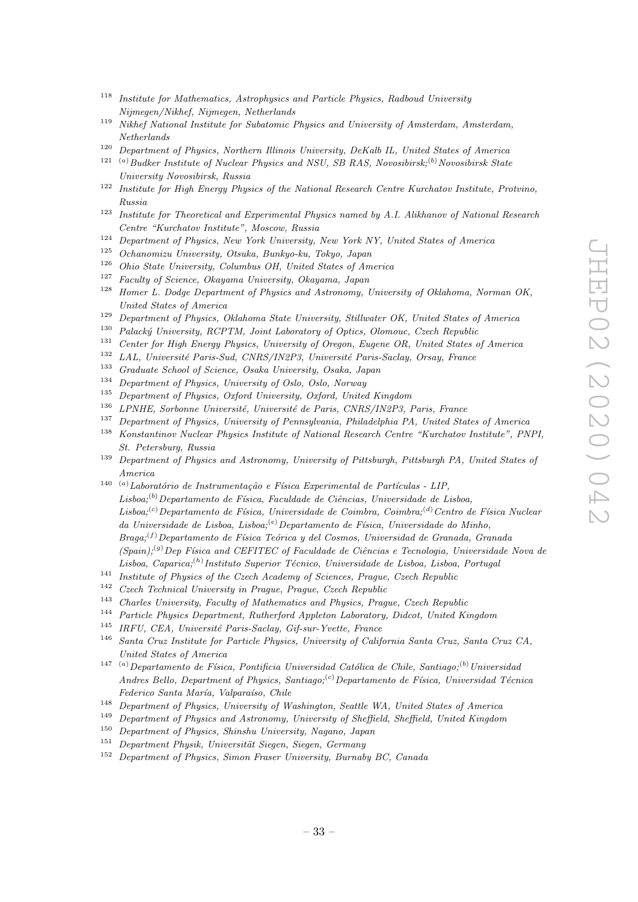- <sup>118</sup> Institute for Mathematics, Astrophysics and Particle Physics, Radboud University Nijmegen/Nikhef, Nijmegen, Netherlands
- <sup>119</sup> Nikhef National Institute for Subatomic Physics and University of Amsterdam, Amsterdam, Netherlands
- <sup>120</sup> Department of Physics, Northern Illinois University, DeKalb IL, United States of America
- <sup>121</sup> (a) Budker Institute of Nuclear Physics and NSU, SB RAS, Novosibirsk;<sup>(b)</sup> Novosibirsk State University Novosibirsk, Russia
- <sup>122</sup> Institute for High Energy Physics of the National Research Centre Kurchatov Institute, Protvino, Russia
- <sup>123</sup> Institute for Theoretical and Experimental Physics named by A.I. Alikhanov of National Research Centre "Kurchatov Institute", Moscow, Russia
- <sup>124</sup> Department of Physics, New York University, New York NY, United States of America
- <sup>125</sup> Ochanomizu University, Otsuka, Bunkyo-ku, Tokyo, Japan
- <sup>126</sup> Ohio State University, Columbus OH, United States of America
- <sup>127</sup> Faculty of Science, Okayama University, Okayama, Japan
- <sup>128</sup> Homer L. Dodge Department of Physics and Astronomy, University of Oklahoma, Norman OK, United States of America
- <sup>129</sup> Department of Physics, Oklahoma State University, Stillwater OK, United States of America<br><sup>130</sup> Pelacký University, PCPTM, Leint Leberatory of Ortice, Olemeye, Czech Benyhlic
- <sup>130</sup> Palacký University, RCPTM, Joint Laboratory of Optics, Olomouc, Czech Republic<br><sup>131</sup> Center for High Energy Physics, University of Opesan, Eugene OB, United States a
- <sup>131</sup> Center for High Energy Physics, University of Oregon, Eugene OR, United States of America
- <sup>132</sup> LAL, Université Paris-Sud, CNRS/IN2P3, Université Paris-Saclay, Orsay, France<br><sup>133</sup> Craduate School of Science, Orska University, Orska Japan
- <sup>133</sup> Graduate School of Science, Osaka University, Osaka, Japan
- <sup>134</sup> Department of Physics, University of Oslo, Oslo, Norway
- <sup>135</sup> Department of Physics, Oxford University, Oxford, United Kingdom<br><sup>136</sup> LDMUE, September University University de Perie, CNDS (INOP)
- LPNHE, Sorbonne Université, Université de Paris, CNRS/IN2P3, Paris, France
- <sup>137</sup> Department of Physics, University of Pennsylvania, Philadelphia PA, United States of America
- <sup>138</sup> Konstantinov Nuclear Physics Institute of National Research Centre "Kurchatov Institute", PNPI, St. Petersburg, Russia
- <sup>139</sup> Department of Physics and Astronomy, University of Pittsburgh, Pittsburgh PA, United States of America
- <sup>140 (a)</sup>Laboratório de Instrumentação e Física Experimental de Partículas LIP,  $Lisboa;^{(b)}$ Departamento de Física, Faculdade de Ciências, Universidade de Lisboa, Lisboa;<sup>(c)</sup>Departamento de Física, Universidade de Coimbra, Coimbra;<sup>(d)</sup>Centro de Física Nuclear da Universidade de Lisboa, Lisboa; <sup>(e)</sup> Departamento de Física, Universidade do Minho,  $Braq_i$ <sup>(f)</sup> Departamento de Física Teórica y del Cosmos, Universidad de Granada, Granada  $(Spain)^{(g)}Dep Física and CEFITEC of Faculdade de Ciências e Tecnologia, Universidade Nova de$ Lisboa, Caparica;<sup>(h)</sup> Instituto Superior Técnico, Universidade de Lisboa, Lisboa, Portugal
- <sup>141</sup> Institute of Physics of the Czech Academy of Sciences, Prague, Czech Republic<br> $\frac{142}{\sqrt{12}}$
- <sup>142</sup> Czech Technical University in Prague, Prague, Czech Republic
- <sup>143</sup> Charles University, Faculty of Mathematics and Physics, Prague, Czech Republic
- <sup>144</sup> Particle Physics Department, Rutherford Appleton Laboratory, Didcot, United Kingdom<br><sup>145</sup> IDEU CEA, Université Paris Saclay, Cif aux Vuette, France
- <sup>145</sup> IRFU, CEA, Universit´e Paris-Saclay, Gif-sur-Yvette, France
- <sup>146</sup> Santa Cruz Institute for Particle Physics, University of California Santa Cruz, Santa Cruz CA, United States of America
- <sup>147 (a)</sup>Departamento de Física, Pontificia Universidad Católica de Chile, Santiago;<sup>(b)</sup>Universidad Andres Bello, Department of Physics, Santiago;<sup>(c)</sup>Departamento de Física, Universidad Técnica Federico Santa María, Valparaíso, Chile
- <sup>148</sup> Department of Physics, University of Washington, Seattle WA, United States of America
- <sup>149</sup> Department of Physics and Astronomy, University of Sheffield, Sheffield, United Kingdom
- <sup>150</sup> Department of Physics, Shinshu University, Nagano, Japan
- $151$  Department Physik, Universität Siegen, Siegen, Germany
- <sup>152</sup> Department of Physics, Simon Fraser University, Burnaby BC, Canada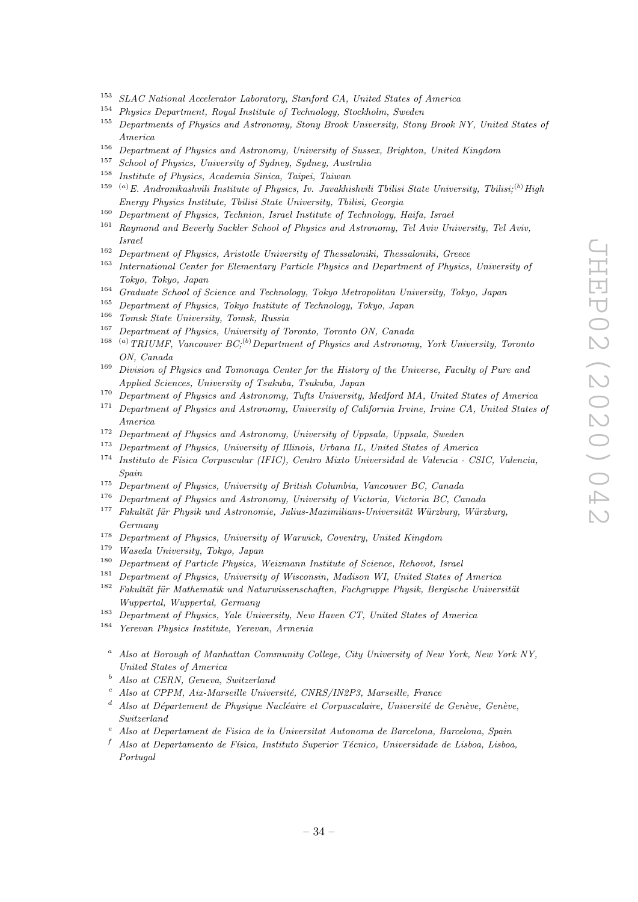- <sup>153</sup> SLAC National Accelerator Laboratory, Stanford CA, United States of America
- <sup>154</sup> Physics Department, Royal Institute of Technology, Stockholm, Sweden
- <sup>155</sup> Departments of Physics and Astronomy, Stony Brook University, Stony Brook NY, United States of America
- <sup>156</sup> Department of Physics and Astronomy, University of Sussex, Brighton, United Kingdom<br><sup>157</sup> Selected of Physics Heinrich of Sudame Sedame Australia
- <sup>157</sup> School of Physics, University of Sydney, Sydney, Australia<br><sup>158</sup> Institute of Physics, Academia Sinics, Tringi, Trium
- <sup>158</sup> Institute of Physics, Academia Sinica, Taipei, Taiwan
- <sup>159</sup> <sup>(a)</sup>E. Andronikashvili Institute of Physics, Iv. Javakhishvili Tbilisi State University, Tbilisi;<sup>(b)</sup> High Energy Physics Institute, Tbilisi State University, Tbilisi, Georgia
- <sup>160</sup> Department of Physics, Technion, Israel Institute of Technology, Haifa, Israel
- <sup>161</sup> Raymond and Beverly Sackler School of Physics and Astronomy, Tel Aviv University, Tel Aviv, Israel
- <sup>162</sup> Department of Physics, Aristotle University of Thessaloniki, Thessaloniki, Greece
- <sup>163</sup> International Center for Elementary Particle Physics and Department of Physics, University of Tokyo, Tokyo, Japan
- <sup>164</sup> Graduate School of Science and Technology, Tokyo Metropolitan University, Tokyo, Japan
- <sup>165</sup> Department of Physics, Tokyo Institute of Technology, Tokyo, Japan
- <sup>166</sup> Tomsk State University, Tomsk, Russia<br><sup>167</sup> Department of Physics, University of T
- <sup>167</sup> Department of Physics, University of Toronto, Toronto ON, Canada
- <sup>168</sup> (a) TRIUMF, Vancouver  $BC<sup>(b)</sup>$  Department of Physics and Astronomy, York University, Toronto ON, Canada
- <sup>169</sup> Division of Physics and Tomonaga Center for the History of the Universe, Faculty of Pure and Applied Sciences, University of Tsukuba, Tsukuba, Japan
- <sup>170</sup> Department of Physics and Astronomy, Tufts University, Medford MA, United States of America
- <sup>171</sup> Department of Physics and Astronomy, University of California Irvine, Irvine CA, United States of America
- <sup>172</sup> Department of Physics and Astronomy, University of Uppsala, Uppsala, Sweden
- <sup>173</sup> Department of Physics, University of Illinois, Urbana IL, United States of America
- $174$  Instituto de Física Corpuscular (IFIC), Centro Mixto Universidad de Valencia CSIC, Valencia, Spain
- <sup>175</sup> Department of Physics, University of British Columbia, Vancouver BC, Canada<br><sup>176</sup> Department of Physics and Astronomy University of Victoria, Victoria BC, Co
- <sup>176</sup> Department of Physics and Astronomy, University of Victoria, Victoria BC, Canada<br><sup>177</sup> Echaltät für Physik und Astronomie, Julius Maximilians Universität Würzburg, Würz
- <sup>177</sup> Fakult¨at f¨ur Physik und Astronomie, Julius-Maximilians-Universit¨at W¨urzburg, W¨urzburg, Germany
- <sup>178</sup> Department of Physics, University of Warwick, Coventry, United Kingdom
- <sup>179</sup> Waseda University, Tokyo, Japan
- <sup>180</sup> Department of Particle Physics, Weizmann Institute of Science, Rehovot, Israel
- <sup>181</sup> Department of Physics, University of Wisconsin, Madison WI, United States of America
- $182$  Fakultät für Mathematik und Naturwissenschaften, Fachgruppe Physik, Bergische Universität Wuppertal, Wuppertal, Germany
- <sup>183</sup> Department of Physics, Yale University, New Haven CT, United States of America
- <sup>184</sup> Yerevan Physics Institute, Yerevan, Armenia
	- <sup>a</sup> Also at Borough of Manhattan Community College, City University of New York, New York NY, United States of America
	- <sup>b</sup> Also at CERN, Geneva, Switzerland
	- Also at CPPM, Aix-Marseille Université, CNRS/IN2P3, Marseille, France
	- Also at Département de Physique Nucléaire et Corpusculaire, Université de Genève, Genève, Switzerland
	- <sup>e</sup> Also at Departament de Fisica de la Universitat Autonoma de Barcelona, Barcelona, Spain
	- $f$  Also at Departamento de Física, Instituto Superior Técnico, Universidade de Lisboa, Lisboa, Portugal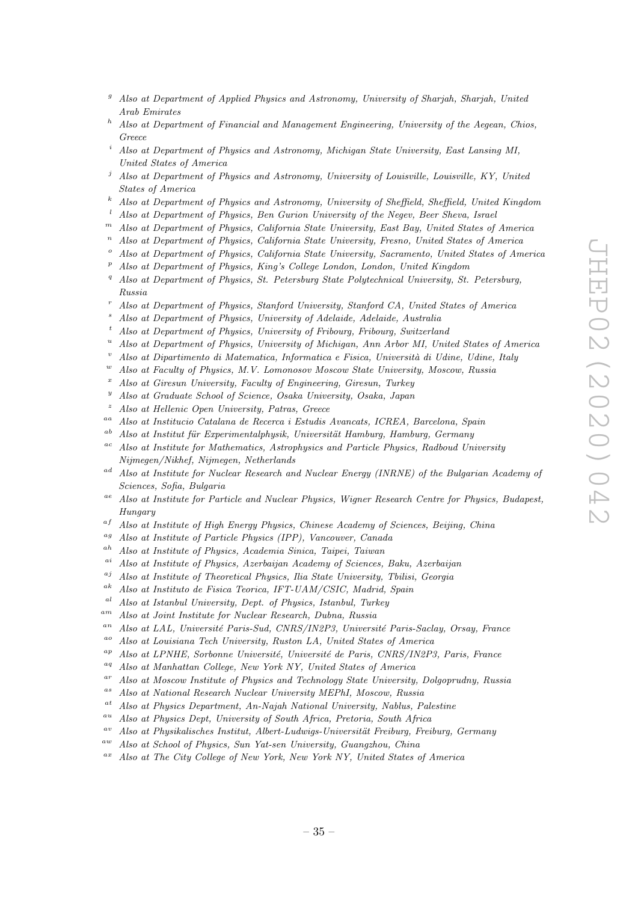- $g$  Also at Department of Applied Physics and Astronomy, University of Sharjah, Sharjah, United Arab Emirates
- $h$  Also at Department of Financial and Management Engineering, University of the Aegean, Chios, Greece
- <sup>i</sup> Also at Department of Physics and Astronomy, Michigan State University, East Lansing MI, United States of America
- <sup>j</sup> Also at Department of Physics and Astronomy, University of Louisville, Louisville, KY, United States of America
- <sup>k</sup> Also at Department of Physics and Astronomy, University of Sheffield, Sheffield, United Kingdom
- <sup>l</sup> Also at Department of Physics, Ben Gurion University of the Negev, Beer Sheva, Israel
- $<sup>m</sup>$  Also at Department of Physics, California State University, East Bay, United States of America</sup>
- <sup>n</sup> Also at Department of Physics, California State University, Fresno, United States of America
- Also at Department of Physics, California State University, Sacramento, United States of America
- $p<sup>p</sup>$  Also at Department of Physics, King's College London, London, United Kingdom
- <sup>q</sup> Also at Department of Physics, St. Petersburg State Polytechnical University, St. Petersburg, Russia
- <sup>r</sup> Also at Department of Physics, Stanford University, Stanford CA, United States of America
- Also at Department of Physics, University of Adelaide, Adelaide, Australia
- <sup>t</sup> Also at Department of Physics, University of Fribourg, Fribourg, Switzerland
- <sup>u</sup> Also at Department of Physics, University of Michigan, Ann Arbor MI, United States of America
- Also at Dipartimento di Matematica, Informatica e Fisica, Università di Udine, Udine, Italy
- Also at Faculty of Physics, M.V. Lomonosov Moscow State University, Moscow, Russia
- <sup>x</sup> Also at Giresun University, Faculty of Engineering, Giresun, Turkey
- <sup>y</sup> Also at Graduate School of Science, Osaka University, Osaka, Japan
- <sup>z</sup> Also at Hellenic Open University, Patras, Greece
- aa Also at Institucio Catalana de Recerca i Estudis Avancats, ICREA, Barcelona, Spain
- $a<sup>b</sup>$  Also at Institut für Experimentalphysik, Universität Hamburg, Hamburg, Germany
- <sup>ac</sup> Also at Institute for Mathematics, Astrophysics and Particle Physics, Radboud University Nijmegen/Nikhef, Nijmegen, Netherlands
- <sup>ad</sup> Also at Institute for Nuclear Research and Nuclear Energy (INRNE) of the Bulgarian Academy of Sciences, Sofia, Bulgaria
- <sup>ae</sup> Also at Institute for Particle and Nuclear Physics, Wigner Research Centre for Physics, Budapest, Hungary
- $a<sup>f</sup>$  Also at Institute of High Energy Physics, Chinese Academy of Sciences, Beijing, China
- ag Also at Institute of Particle Physics (IPP), Vancouver, Canada
- ah Also at Institute of Physics, Academia Sinica, Taipei, Taiwan
- $a_i$ <sup>ai</sup> Also at Institute of Physics, Azerbaijan Academy of Sciences, Baku, Azerbaijan
- $a_j$  Also at Institute of Theoretical Physics, Ilia State University, Tbilisi, Georgia
- ak Also at Instituto de Fisica Teorica, IFT-UAM/CSIC, Madrid, Spain
- al Also at Istanbul University, Dept. of Physics, Istanbul, Turkey
- am Also at Joint Institute for Nuclear Research, Dubna, Russia
- <sup>an</sup> Also at LAL, Université Paris-Sud, CNRS/IN2P3, Université Paris-Saclay, Orsay, France
- ao Also at Louisiana Tech University, Ruston LA, United States of America
- $a<sup>p</sup>$  Also at LPNHE, Sorbonne Université, Université de Paris, CNRS/IN2P3, Paris, France
- <sup>aq</sup> Also at Manhattan College, New York NY, United States of America
- $a^r$  Also at Moscow Institute of Physics and Technology State University, Dolgoprudny, Russia
- as Also at National Research Nuclear University MEPhI, Moscow, Russia
- at Also at Physics Department, An-Najah National University, Nablus, Palestine
- au Also at Physics Dept, University of South Africa, Pretoria, South Africa
- $a^v$  Also at Physikalisches Institut, Albert-Ludwigs-Universität Freiburg, Freiburg, Germany
- aw Also at School of Physics, Sun Yat-sen University, Guangzhou, China
- $a^x$  Also at The City College of New York, New York NY, United States of America